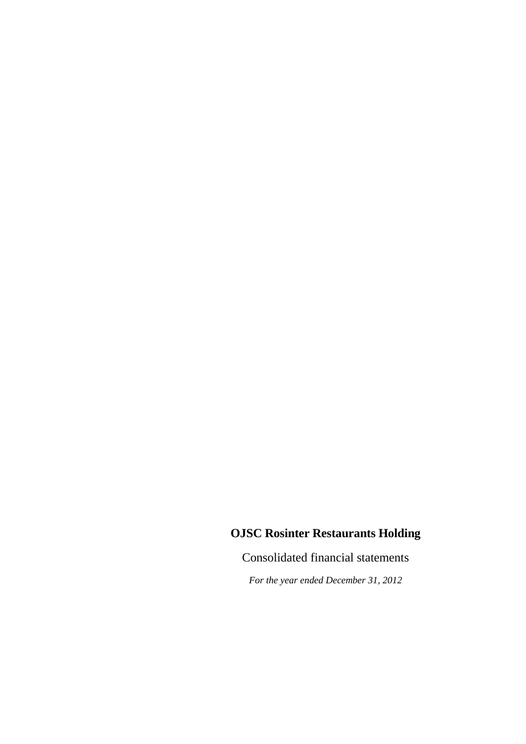Consolidated financial statements

*For the year ended December 31, 2012*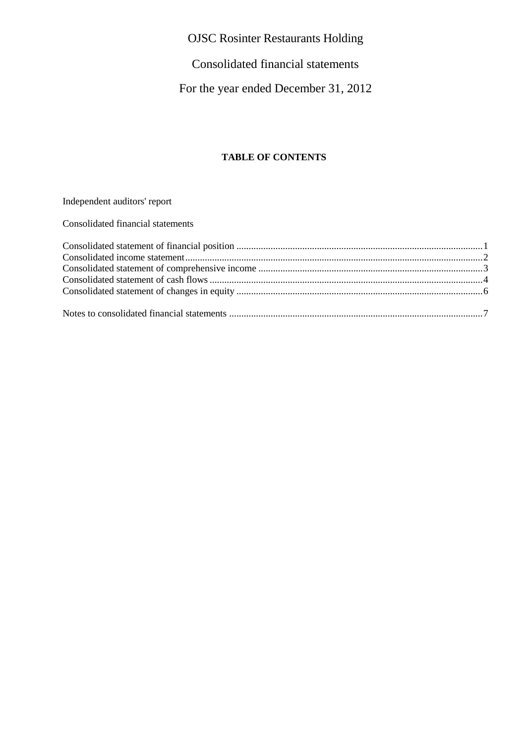Consolidated financial statements

For the year ended December 31, 2012

# **TABLE OF CONTENTS**

Independent auditors' report

Consolidated financial statements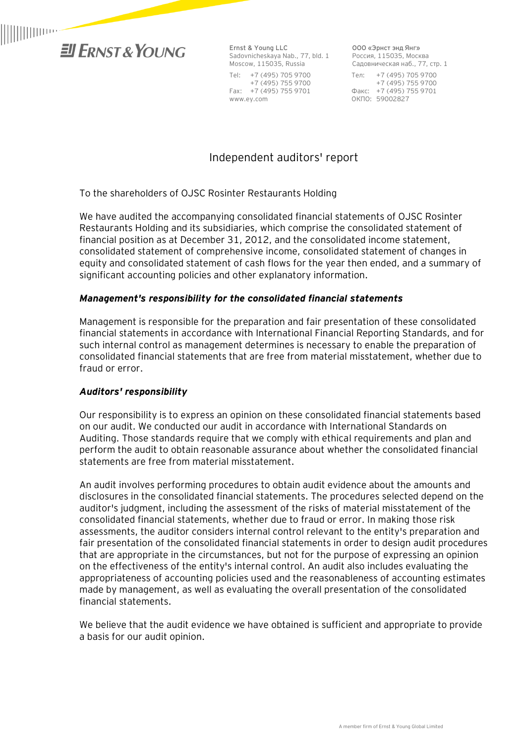

**Ernst & Young LLC**  Sadovnicheskaya Nab., 77, bld. 1 Moscow, 115035, Russia Tel: +7 (495) 705 9700 +7 (495) 755 9700 Fax: +7 (495) 755 9701 www.ey.com

**ООО «Эрнст энд Янг»**  Россия, 115035, Москва Садовническая наб., 77, стр. 1 Тел: +7 (495) 705 9700 +7 (495) 755 9700 Факс: +7 (495) 755 9701 ОКПО: 59002827

# Independent auditors' report

To the shareholders of OJSC Rosinter Restaurants Holding

We have audited the accompanying consolidated financial statements of OJSC Rosinter Restaurants Holding and its subsidiaries, which comprise the consolidated statement of financial position as at December 31, 2012, and the consolidated income statement, consolidated statement of comprehensive income, consolidated statement of changes in equity and consolidated statement of cash flows for the year then ended, and a summary of significant accounting policies and other explanatory information.

# *Management's responsibility for the consolidated financial statements*

Management is responsible for the preparation and fair presentation of these consolidated financial statements in accordance with International Financial Reporting Standards, and for such internal control as management determines is necessary to enable the preparation of consolidated financial statements that are free from material misstatement, whether due to fraud or error.

# *Auditors' responsibility*

Our responsibility is to express an opinion on these consolidated financial statements based on our audit. We conducted our audit in accordance with International Standards on Auditing. Those standards require that we comply with ethical requirements and plan and perform the audit to obtain reasonable assurance about whether the consolidated financial statements are free from material misstatement.

An audit involves performing procedures to obtain audit evidence about the amounts and disclosures in the consolidated financial statements. The procedures selected depend on the auditor's judgment, including the assessment of the risks of material misstatement of the consolidated financial statements, whether due to fraud or error. In making those risk assessments, the auditor considers internal control relevant to the entity's preparation and fair presentation of the consolidated financial statements in order to design audit procedures that are appropriate in the circumstances, but not for the purpose of expressing an opinion on the effectiveness of the entity's internal control. An audit also includes evaluating the appropriateness of accounting policies used and the reasonableness of accounting estimates made by management, as well as evaluating the overall presentation of the consolidated financial statements.

We believe that the audit evidence we have obtained is sufficient and appropriate to provide a basis for our audit opinion.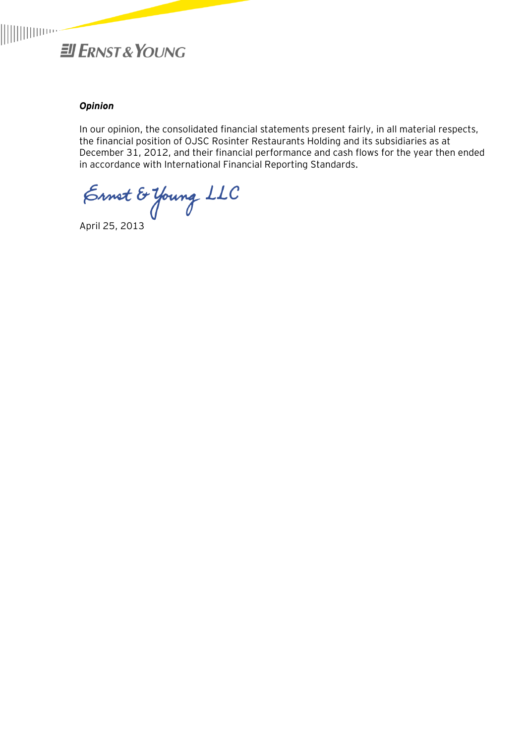

# *Opinion*

In our opinion, the consolidated financial statements present fairly, in all material respects, the financial position of OJSC Rosinter Restaurants Holding and its subsidiaries as at December 31, 2012, and their financial performance and cash flows for the year then ended in accordance with International Financial Reporting Standards.

Ernet & Young LLC

April 25, 2013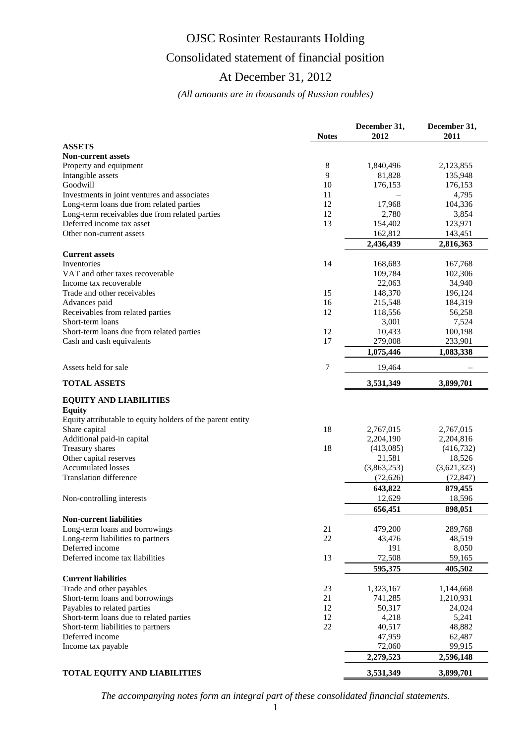# OJSC Rosinter Restaurants Holding Consolidated statement of financial position

# At December 31, 2012

*(All amounts are in thousands of Russian roubles)*

|                                                            | <b>Notes</b> | December 31,<br>2012     | December 31,<br>2011     |
|------------------------------------------------------------|--------------|--------------------------|--------------------------|
| <b>ASSETS</b>                                              |              |                          |                          |
| <b>Non-current assets</b>                                  |              |                          |                          |
| Property and equipment                                     | 8            | 1,840,496                | 2,123,855                |
| Intangible assets                                          | 9            | 81,828                   | 135,948                  |
| Goodwill                                                   | 10           | 176,153                  | 176,153                  |
| Investments in joint ventures and associates               | 11           |                          | 4,795                    |
| Long-term loans due from related parties                   | 12           | 17,968                   | 104,336                  |
| Long-term receivables due from related parties             | 12           | 2,780                    | 3,854                    |
| Deferred income tax asset                                  | 13           | 154,402                  | 123,971                  |
| Other non-current assets                                   |              | 162,812                  | 143,451                  |
|                                                            |              | 2,436,439                | 2,816,363                |
| <b>Current assets</b>                                      |              |                          |                          |
| Inventories                                                | 14           | 168,683                  | 167,768                  |
| VAT and other taxes recoverable                            |              | 109,784                  | 102,306                  |
| Income tax recoverable                                     |              | 22,063                   | 34,940                   |
| Trade and other receivables                                | 15           | 148,370                  | 196,124                  |
| Advances paid                                              | 16           | 215,548                  | 184,319                  |
| Receivables from related parties                           | 12           | 118,556                  | 56,258                   |
| Short-term loans                                           |              | 3,001                    | 7,524                    |
| Short-term loans due from related parties                  | 12           | 10,433                   | 100,198                  |
| Cash and cash equivalents                                  | 17           | 279,008                  | 233,901                  |
|                                                            |              | 1,075,446                | 1,083,338                |
| Assets held for sale                                       | 7            | 19,464                   |                          |
| <b>TOTAL ASSETS</b>                                        |              | 3,531,349                | 3,899,701                |
| <b>EQUITY AND LIABILITIES</b><br><b>Equity</b>             |              |                          |                          |
| Equity attributable to equity holders of the parent entity |              |                          |                          |
| Share capital                                              | 18           | 2,767,015                | 2,767,015                |
| Additional paid-in capital                                 | 18           | 2,204,190                | 2,204,816                |
| Treasury shares                                            |              | (413,085)<br>21,581      | (416, 732)               |
| Other capital reserves<br><b>Accumulated losses</b>        |              |                          | 18,526                   |
| <b>Translation difference</b>                              |              | (3,863,253)<br>(72, 626) | (3,621,323)<br>(72, 847) |
|                                                            |              | 643,822                  |                          |
|                                                            |              |                          | 879,455                  |
| Non-controlling interests                                  |              | 12,629                   | 18,596                   |
|                                                            |              | 656,451                  | 898,051                  |
| <b>Non-current liabilities</b>                             |              |                          |                          |
| Long-term loans and borrowings                             | 21<br>22     | 479,200                  | 289,768                  |
| Long-term liabilities to partners<br>Deferred income       |              | 43,476<br>191            | 48,519<br>8,050          |
| Deferred income tax liabilities                            | 13           | 72,508                   |                          |
|                                                            |              |                          | 59,165                   |
| <b>Current liabilities</b>                                 |              | 595,375                  | 405,502                  |
| Trade and other payables                                   | 23           |                          |                          |
| Short-term loans and borrowings                            | 21           | 1,323,167<br>741,285     | 1,144,668<br>1,210,931   |
| Payables to related parties                                | 12           | 50,317                   | 24,024                   |
| Short-term loans due to related parties                    | 12           | 4,218                    | 5,241                    |
| Short-term liabilities to partners                         | 22           | 40,517                   | 48,882                   |
| Deferred income                                            |              | 47,959                   | 62,487                   |
| Income tax payable                                         |              | 72,060                   | 99,915                   |
|                                                            |              | 2,279,523                | 2,596,148                |
| <b>TOTAL EQUITY AND LIABILITIES</b>                        |              | 3,531,349                |                          |
|                                                            |              |                          | 3,899,701                |

*The accompanying notes form an integral part of these consolidated financial statements.*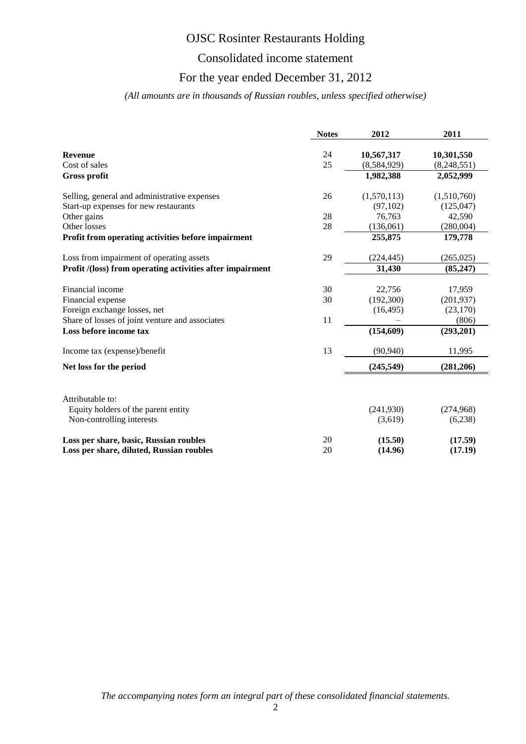# Consolidated income statement

# For the year ended December 31, 2012

# *(All amounts are in thousands of Russian roubles, unless specified otherwise)*

|                                                           | <b>Notes</b> | 2012        | 2011          |
|-----------------------------------------------------------|--------------|-------------|---------------|
| <b>Revenue</b>                                            | 24           | 10,567,317  | 10,301,550    |
| Cost of sales                                             | 25           | (8,584,929) | (8, 248, 551) |
| <b>Gross profit</b>                                       |              | 1,982,388   | 2,052,999     |
| Selling, general and administrative expenses              | 26           | (1,570,113) | (1,510,760)   |
| Start-up expenses for new restaurants                     |              | (97, 102)   | (125, 047)    |
| Other gains                                               | 28           | 76,763      | 42,590        |
| Other losses                                              | 28           | (136,061)   | (280,004)     |
| Profit from operating activities before impairment        |              | 255,875     | 179,778       |
| Loss from impairment of operating assets                  | 29           | (224, 445)  | (265, 025)    |
| Profit /(loss) from operating activities after impairment |              | 31,430      | (85, 247)     |
| Financial income                                          | 30           | 22,756      | 17,959        |
| Financial expense                                         | 30           | (192,300)   | (201, 937)    |
| Foreign exchange losses, net                              |              | (16, 495)   | (23, 170)     |
| Share of losses of joint venture and associates           | 11           |             | (806)         |
| Loss before income tax                                    |              | (154, 609)  | (293,201)     |
| Income tax (expense)/benefit                              | 13           | (90, 940)   | 11,995        |
| Net loss for the period                                   |              | (245, 549)  | (281, 206)    |
| Attributable to:                                          |              |             |               |
| Equity holders of the parent entity                       |              | (241,930)   | (274,968)     |
| Non-controlling interests                                 |              | (3,619)     | (6,238)       |
| Loss per share, basic, Russian roubles                    | 20           | (15.50)     | (17.59)       |
| Loss per share, diluted, Russian roubles                  | 20           | (14.96)     | (17.19)       |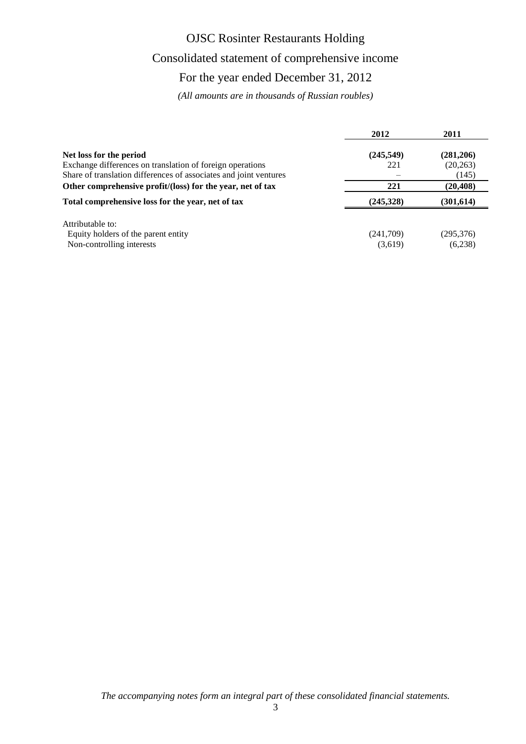# OJSC Rosinter Restaurants Holding Consolidated statement of comprehensive income

# For the year ended December 31, 2012

*(All amounts are in thousands of Russian roubles)*

|                                                                   | 2012       | 2011       |
|-------------------------------------------------------------------|------------|------------|
| Net loss for the period                                           | (245, 549) | (281,206)  |
| Exchange differences on translation of foreign operations         | 221        | (20, 263)  |
| Share of translation differences of associates and joint ventures |            | (145)      |
| Other comprehensive profit/(loss) for the year, net of tax        | 221        | (20, 408)  |
| Total comprehensive loss for the year, net of tax                 | (245,328)  | (301, 614) |
| Attributable to:                                                  |            |            |
| Equity holders of the parent entity                               | (241,709)  | (295,376)  |
| Non-controlling interests                                         | (3,619)    | (6,238)    |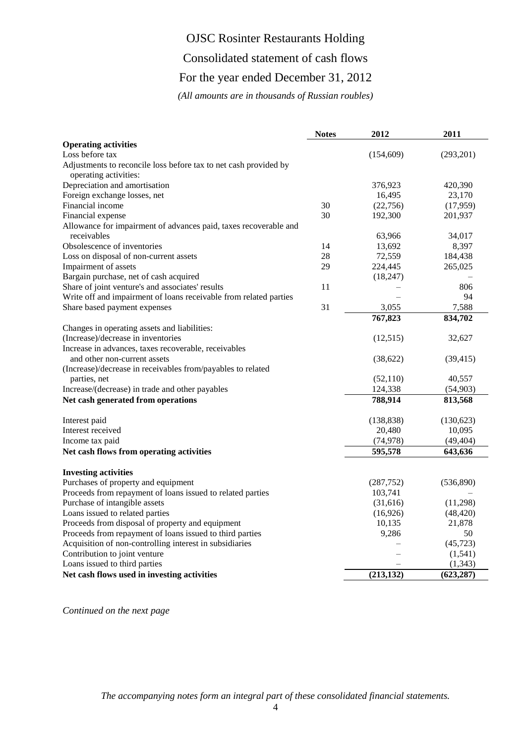# Consolidated statement of cash flows

# For the year ended December 31, 2012

*(All amounts are in thousands of Russian roubles)*

|                                                                   | <b>Notes</b> | 2012       | 2011       |
|-------------------------------------------------------------------|--------------|------------|------------|
| <b>Operating activities</b>                                       |              |            |            |
| Loss before tax                                                   |              | (154, 609) | (293,201)  |
| Adjustments to reconcile loss before tax to net cash provided by  |              |            |            |
| operating activities:                                             |              |            |            |
| Depreciation and amortisation                                     |              | 376,923    | 420,390    |
| Foreign exchange losses, net                                      |              | 16,495     | 23,170     |
| Financial income                                                  | 30           | (22, 756)  | (17,959)   |
| Financial expense                                                 | 30           | 192,300    | 201,937    |
| Allowance for impairment of advances paid, taxes recoverable and  |              |            |            |
| receivables                                                       |              | 63,966     | 34,017     |
| Obsolescence of inventories                                       | 14           | 13,692     | 8,397      |
| Loss on disposal of non-current assets                            | 28           | 72,559     | 184,438    |
| Impairment of assets                                              | 29           | 224,445    | 265,025    |
| Bargain purchase, net of cash acquired                            |              | (18, 247)  |            |
| Share of joint venture's and associates' results                  | 11           |            | 806        |
| Write off and impairment of loans receivable from related parties |              |            | 94         |
| Share based payment expenses                                      | 31           | 3,055      | 7,588      |
|                                                                   |              | 767,823    | 834,702    |
| Changes in operating assets and liabilities:                      |              |            |            |
| (Increase)/decrease in inventories                                |              | (12, 515)  | 32,627     |
| Increase in advances, taxes recoverable, receivables              |              |            |            |
| and other non-current assets                                      |              | (38, 622)  | (39, 415)  |
| (Increase)/decrease in receivables from/payables to related       |              |            |            |
| parties, net                                                      |              | (52, 110)  | 40,557     |
| Increase/(decrease) in trade and other payables                   |              | 124,338    | (54,903)   |
| Net cash generated from operations                                |              | 788,914    | 813,568    |
| Interest paid                                                     |              | (138, 838) | (130, 623) |
| Interest received                                                 |              | 20,480     | 10,095     |
| Income tax paid                                                   |              | (74, 978)  | (49, 404)  |
| Net cash flows from operating activities                          |              | 595,578    | 643,636    |
|                                                                   |              |            |            |
| <b>Investing activities</b>                                       |              |            |            |
| Purchases of property and equipment                               |              | (287, 752) | (536,890)  |
| Proceeds from repayment of loans issued to related parties        |              | 103,741    |            |
| Purchase of intangible assets                                     |              | (31,616)   | (11,298)   |
| Loans issued to related parties                                   |              | (16,926)   | (48, 420)  |
| Proceeds from disposal of property and equipment                  |              | 10,135     | 21,878     |
| Proceeds from repayment of loans issued to third parties          |              | 9,286      | 50         |
| Acquisition of non-controlling interest in subsidiaries           |              |            | (45, 723)  |
| Contribution to joint venture                                     |              |            | (1, 541)   |
| Loans issued to third parties                                     |              |            | (1, 343)   |
| Net cash flows used in investing activities                       |              | (213, 132) | (623, 287) |

*Continued on the next page*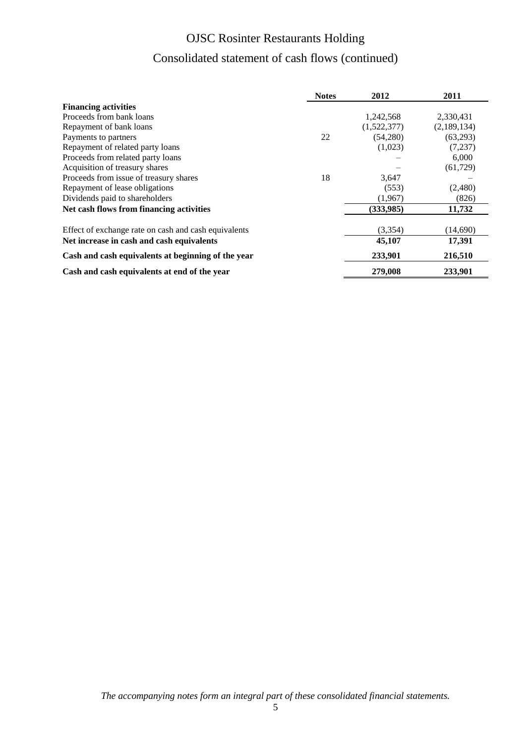# OJSC Rosinter Restaurants Holding Consolidated statement of cash flows (continued)

|                                                      | <b>Notes</b> | 2012        | 2011        |
|------------------------------------------------------|--------------|-------------|-------------|
| <b>Financing activities</b>                          |              |             |             |
| Proceeds from bank loans                             |              | 1,242,568   | 2,330,431   |
| Repayment of bank loans                              |              | (1,522,377) | (2,189,134) |
| Payments to partners                                 | 22           | (54,280)    | (63,293)    |
| Repayment of related party loans                     |              | (1,023)     | (7,237)     |
| Proceeds from related party loans                    |              |             | 6,000       |
| Acquisition of treasury shares                       |              |             | (61, 729)   |
| Proceeds from issue of treasury shares               | 18           | 3,647       |             |
| Repayment of lease obligations                       |              | (553)       | (2,480)     |
| Dividends paid to shareholders                       |              | (1,967)     | (826)       |
| Net cash flows from financing activities             |              | (333,985)   | 11,732      |
| Effect of exchange rate on cash and cash equivalents |              | (3,354)     | (14,690)    |
| Net increase in cash and cash equivalents            |              | 45,107      | 17,391      |
| Cash and cash equivalents at beginning of the year   |              | 233,901     | 216,510     |
| Cash and cash equivalents at end of the year         |              | 279,008     | 233,901     |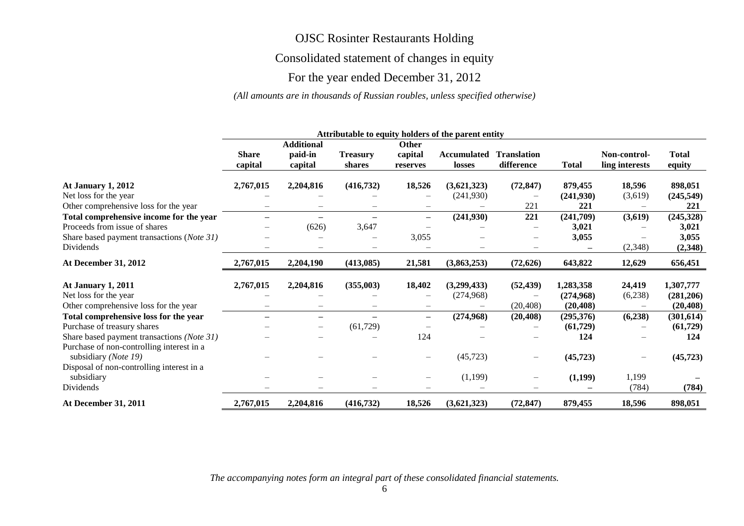# Consolidated statement of changes in equity

# For the year ended December 31, 2012

*(All amounts are in thousands of Russian roubles, unless specified otherwise)*

|                                                         |              |                          |                 |                                | Attributable to equity holders of the parent entity |                    |                  |                |                   |
|---------------------------------------------------------|--------------|--------------------------|-----------------|--------------------------------|-----------------------------------------------------|--------------------|------------------|----------------|-------------------|
|                                                         |              | <b>Additional</b>        |                 | Other                          |                                                     |                    |                  |                |                   |
|                                                         | <b>Share</b> | paid-in                  | <b>Treasury</b> | capital                        | <b>Accumulated</b>                                  | <b>Translation</b> |                  | Non-control-   | <b>Total</b>      |
|                                                         | capital      | capital                  | shares          | reserves                       | <b>losses</b>                                       | difference         | <b>Total</b>     | ling interests | equity            |
|                                                         | 2,767,015    | 2,204,816                |                 |                                |                                                     |                    | 879,455          | 18,596         | 898,051           |
| <b>At January 1, 2012</b>                               |              |                          | (416,732)       | 18,526                         | (3,621,323)                                         | (72, 847)          |                  |                |                   |
| Net loss for the year                                   |              |                          |                 |                                | (241,930)                                           | 221                | (241,930)<br>221 | (3,619)        | (245, 549)<br>221 |
| Other comprehensive loss for the year                   |              | $\qquad \qquad -$        |                 | $\qquad \qquad \longleftarrow$ |                                                     |                    |                  |                |                   |
| Total comprehensive income for the year                 |              | $\overline{\phantom{0}}$ |                 | $\overline{\phantom{m}}$       | (241,930)                                           | 221                | (241,709)        | (3,619)        | (245,328)         |
| Proceeds from issue of shares                           |              | (626)                    | 3,647           |                                |                                                     |                    | 3,021            |                | 3,021             |
| Share based payment transactions (Note 31)              |              |                          |                 | 3,055                          |                                                     |                    | 3,055            |                | 3,055             |
| Dividends                                               |              |                          |                 |                                |                                                     |                    |                  | (2,348)        | (2,348)           |
| <b>At December 31, 2012</b>                             | 2,767,015    | 2,204,190                | (413,085)       | 21,581                         | (3,863,253)                                         | (72, 626)          | 643,822          | 12,629         | 656,451           |
| At January 1, 2011                                      | 2,767,015    | 2,204,816                | (355,003)       | 18,402                         | (3,299,433)                                         | (52, 439)          | 1,283,358        | 24,419         | 1,307,777         |
| Net loss for the year                                   |              |                          |                 | $\overline{\phantom{m}}$       | (274,968)                                           |                    | (274,968)        | (6,238)        | (281, 206)        |
| Other comprehensive loss for the year                   |              |                          |                 |                                |                                                     | (20, 408)          | (20, 408)        |                | (20, 408)         |
| Total comprehensive loss for the year                   |              |                          |                 | $\qquad \qquad -$              | (274,968)                                           | (20, 408)          | (295,376)        | (6,238)        | (301, 614)        |
| Purchase of treasury shares                             |              | $\qquad \qquad -$        | (61, 729)       |                                |                                                     |                    | (61, 729)        |                | (61, 729)         |
| Share based payment transactions (Note 31)              |              |                          |                 | 124                            |                                                     |                    | 124              |                | 124               |
| Purchase of non-controlling interest in a               |              |                          |                 |                                |                                                     |                    |                  |                |                   |
| subsidiary (Note 19)                                    |              |                          |                 | $\overline{\phantom{m}}$       | (45, 723)                                           |                    | (45, 723)        |                | (45, 723)         |
| Disposal of non-controlling interest in a<br>subsidiary |              |                          |                 |                                | (1,199)                                             |                    | (1,199)          | 1,199          |                   |
| Dividends                                               |              |                          |                 |                                |                                                     |                    |                  | (784)          | (784)             |
| <b>At December 31, 2011</b>                             | 2,767,015    | 2,204,816                | (416,732)       | 18,526                         | (3,621,323)                                         | (72, 847)          | 879,455          | 18,596         | 898,051           |

*The accompanying notes form an integral part of these consolidated financial statements.*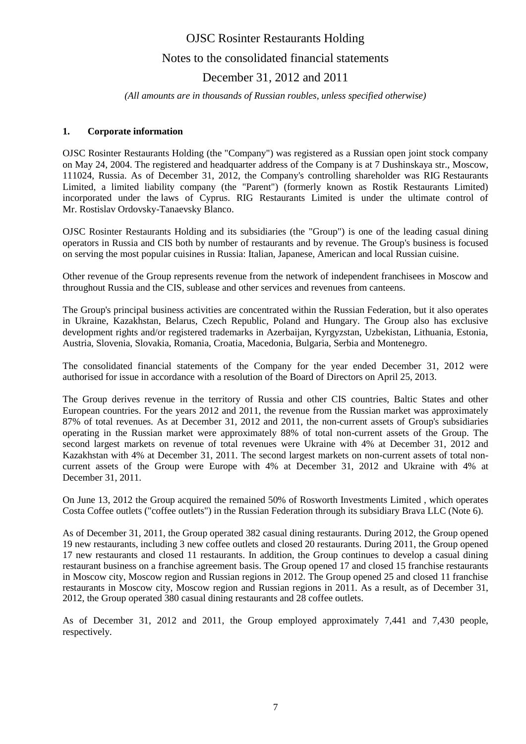# OJSC Rosinter Restaurants Holding Notes to the consolidated financial statements December 31, 2012 and 2011

*(All amounts are in thousands of Russian roubles, unless specified otherwise)*

### **1. Corporate information**

OJSC Rosinter Restaurants Holding (the "Company") was registered as a Russian open joint stock company on May 24, 2004. The registered and headquarter address of the Company is at 7 Dushinskaya str., Moscow, 111024, Russia. As of December 31, 2012, the Company's controlling shareholder was RIG Restaurants Limited, a limited liability company (the "Parent") (formerly known as Rostik Restaurants Limited) incorporated under the laws of Cyprus. RIG Restaurants Limited is under the ultimate control of Mr. Rostislav Ordovsky-Tanaevsky Blanco.

OJSC Rosinter Restaurants Holding and its subsidiaries (the "Group") is one of the leading casual dining operators in Russia and CIS both by number of restaurants and by revenue. The Group's business is focused on serving the most popular cuisines in Russia: Italian, Japanese, American and local Russian cuisine.

Other revenue of the Group represents revenue from the network of independent franchisees in Moscow and throughout Russia and the CIS, sublease and other services and revenues from canteens.

The Group's principal business activities are concentrated within the Russian Federation, but it also operates in Ukraine, Kazakhstan, Belarus, Czech Republic, Poland and Hungary. The Group also has exclusive development rights and/or registered trademarks in Azerbaijan, Kyrgyzstan, Uzbekistan, Lithuania, Estonia, Austria, Slovenia, Slovakia, Romania, Croatia, Macedonia, Bulgaria, Serbia and Montenegro.

The consolidated financial statements of the Company for the year ended December 31, 2012 were authorised for issue in accordance with a resolution of the Board of Directors on April 25, 2013.

The Group derives revenue in the territory of Russia and other CIS countries, Baltic States and other European countries. For the years 2012 and 2011, the revenue from the Russian market was approximately 87% of total revenues. As at December 31, 2012 and 2011, the non-current assets of Group's subsidiaries operating in the Russian market were approximately 88% of total non-current assets of the Group. The second largest markets on revenue of total revenues were Ukraine with 4% at December 31, 2012 and Kazakhstan with 4% at December 31, 2011. The second largest markets on non-current assets of total noncurrent assets of the Group were Europe with 4% at December 31, 2012 and Ukraine with 4% at December 31, 2011.

On June 13, 2012 the Group acquired the remained 50% of Rosworth Investments Limited , which operates Costa Coffee outlets ("coffee outlets") in the Russian Federation through its subsidiary Brava LLC (Note 6).

As of December 31, 2011, the Group operated 382 casual dining restaurants. During 2012, the Group opened 19 new restaurants, including 3 new coffee outlets and closed 20 restaurants. During 2011, the Group opened 17 new restaurants and closed 11 restaurants. In addition, the Group continues to develop a casual dining restaurant business on a franchise agreement basis. The Group opened 17 and closed 15 franchise restaurants in Moscow city, Moscow region and Russian regions in 2012. The Group opened 25 and closed 11 franchise restaurants in Moscow city, Moscow region and Russian regions in 2011. As a result, as of December 31, 2012, the Group operated 380 casual dining restaurants and 28 coffee outlets.

As of December 31, 2012 and 2011, the Group employed approximately 7,441 and 7,430 people, respectively.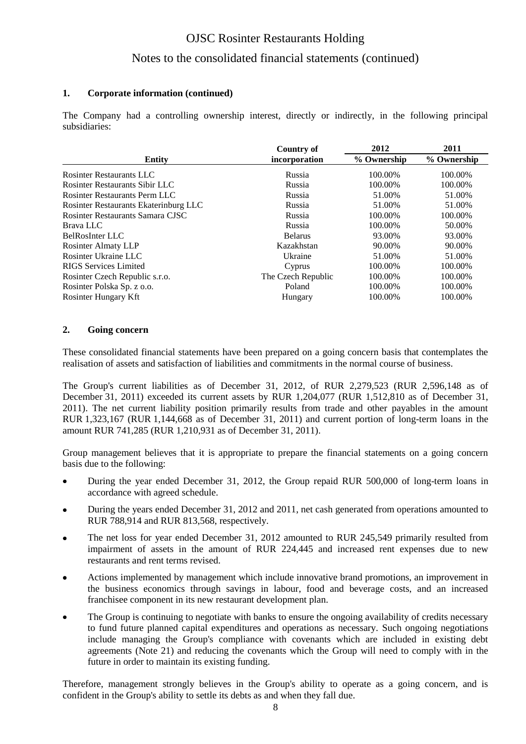# Notes to the consolidated financial statements (continued)

# **1. Corporate information (continued)**

The Company had a controlling ownership interest, directly or indirectly, in the following principal subsidiaries:

|                                       | Country of         | 2012        | 2011        |
|---------------------------------------|--------------------|-------------|-------------|
| Entity                                | incorporation      | % Ownership | % Ownership |
| Rosinter Restaurants LLC              | Russia             | 100.00%     | 100.00%     |
| Rosinter Restaurants Sibir LLC        | Russia             | 100.00%     | 100.00%     |
| Rosinter Restaurants Perm LLC         | Russia             | 51.00%      | 51.00%      |
| Rosinter Restaurants Ekaterinburg LLC | Russia             | 51.00%      | 51.00%      |
| Rosinter Restaurants Samara CISC      | Russia             | 100.00%     | 100.00%     |
| Brava LLC                             | Russia             | 100.00%     | 50.00%      |
| BelRosInter LLC                       | <b>Belarus</b>     | 93.00%      | 93.00%      |
| Rosinter Almaty LLP                   | Kazakhstan         | 90.00%      | 90.00%      |
| Rosinter Ukraine LLC                  | Ukraine            | 51.00%      | 51.00%      |
| <b>RIGS</b> Services Limited          | Cyprus             | 100.00%     | 100.00%     |
| Rosinter Czech Republic s.r.o.        | The Czech Republic | 100.00%     | 100.00%     |
| Rosinter Polska Sp. z o.o.            | Poland             | 100.00%     | 100.00%     |
| Rosinter Hungary Kft                  | Hungary            | 100.00%     | 100.00%     |

### **2. Going concern**

These consolidated financial statements have been prepared on a going concern basis that contemplates the realisation of assets and satisfaction of liabilities and commitments in the normal course of business.

The Group's current liabilities as of December 31, 2012, of RUR 2,279,523 (RUR 2,596,148 as of December 31, 2011) exceeded its current assets by RUR 1,204,077 (RUR 1,512,810 as of December 31, 2011). The net current liability position primarily results from trade and other payables in the amount RUR 1,323,167 (RUR 1,144,668 as of December 31, 2011) and current portion of long-term loans in the amount RUR 741,285 (RUR 1,210,931 as of December 31, 2011).

Group management believes that it is appropriate to prepare the financial statements on a going concern basis due to the following:

- During the year ended December 31, 2012, the Group repaid RUR 500,000 of long-term loans in  $\bullet$ accordance with agreed schedule.
- During the years ended December 31, 2012 and 2011, net cash generated from operations amounted to  $\bullet$ RUR 788,914 and RUR 813,568, respectively.
- The net loss for year ended December 31, 2012 amounted to RUR 245,549 primarily resulted from impairment of assets in the amount of RUR 224,445 and increased rent expenses due to new restaurants and rent terms revised.
- Actions implemented by management which include innovative brand promotions, an improvement in the business economics through savings in labour, food and beverage costs, and an increased franchisee component in its new restaurant development plan.
- The Group is continuing to negotiate with banks to ensure the ongoing availability of credits necessary to fund future planned capital expenditures and operations as necessary. Such ongoing negotiations include managing the Group's compliance with covenants which are included in existing debt agreements (Note 21) and reducing the covenants which the Group will need to comply with in the future in order to maintain its existing funding.

Therefore, management strongly believes in the Group's ability to operate as a going concern, and is confident in the Group's ability to settle its debts as and when they fall due.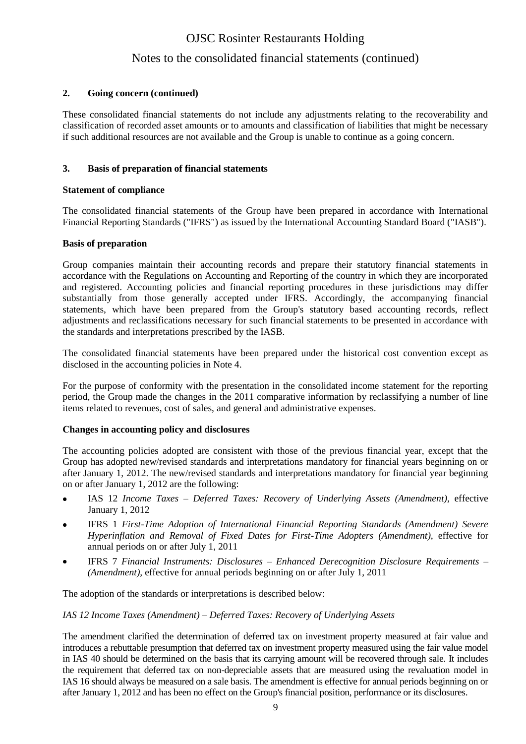# **2. Going concern (continued)**

These consolidated financial statements do not include any adjustments relating to the recoverability and classification of recorded asset amounts or to amounts and classification of liabilities that might be necessary if such additional resources are not available and the Group is unable to continue as a going concern.

## **3. Basis of preparation of financial statements**

## **Statement of compliance**

The consolidated financial statements of the Group have been prepared in accordance with International Financial Reporting Standards ("IFRS") as issued by the International Accounting Standard Board ("IASB").

## **Basis of preparation**

Group companies maintain their accounting records and prepare their statutory financial statements in accordance with the Regulations on Accounting and Reporting of the country in which they are incorporated and registered. Accounting policies and financial reporting procedures in these jurisdictions may differ substantially from those generally accepted under IFRS. Accordingly, the accompanying financial statements, which have been prepared from the Group's statutory based accounting records, reflect adjustments and reclassifications necessary for such financial statements to be presented in accordance with the standards and interpretations prescribed by the IASB.

The consolidated financial statements have been prepared under the historical cost convention except as disclosed in the accounting policies in Note 4.

For the purpose of conformity with the presentation in the consolidated income statement for the reporting period, the Group made the changes in the 2011 comparative information by reclassifying a number of line items related to revenues, cost of sales, and general and administrative expenses.

### **Сhanges in accounting policy and disclosures**

The accounting policies adopted are consistent with those of the previous financial year, except that the Group has adopted new/revised standards and interpretations mandatory for financial years beginning on or after January 1, 2012. The new/revised standards and interpretations mandatory for financial year beginning on or after January 1, 2012 are the following:

- IAS 12 *Income Taxes – Deferred Taxes: Recovery of Underlying Assets (Amendment),* effective  $\bullet$ January 1, 2012
- IFRS 1 *First-Time Adoption of International Financial Reporting Standards (Amendment) Severe Hyperinflation and Removal of Fixed Dates for First-Time Adopters (Amendment)*, effective for annual periods on or after July 1, 2011
- IFRS 7 *Financial Instruments: Disclosures – Enhanced Derecognition Disclosure Requirements –*  $\bullet$ *(Amendment),* effective for annual periods beginning on or after July 1, 2011

The adoption of the standards or interpretations is described below:

## *IAS 12 Income Taxes (Amendment) – Deferred Taxes: Recovery of Underlying Assets*

The amendment clarified the determination of deferred tax on investment property measured at fair value and introduces a rebuttable presumption that deferred tax on investment property measured using the fair value model in IAS 40 should be determined on the basis that its carrying amount will be recovered through sale. It includes the requirement that deferred tax on non-depreciable assets that are measured using the revaluation model in IAS 16 should always be measured on a sale basis. The amendment is effective for annual periods beginning on or after January 1, 2012 and has been no effect on the Group's financial position, performance or its disclosures.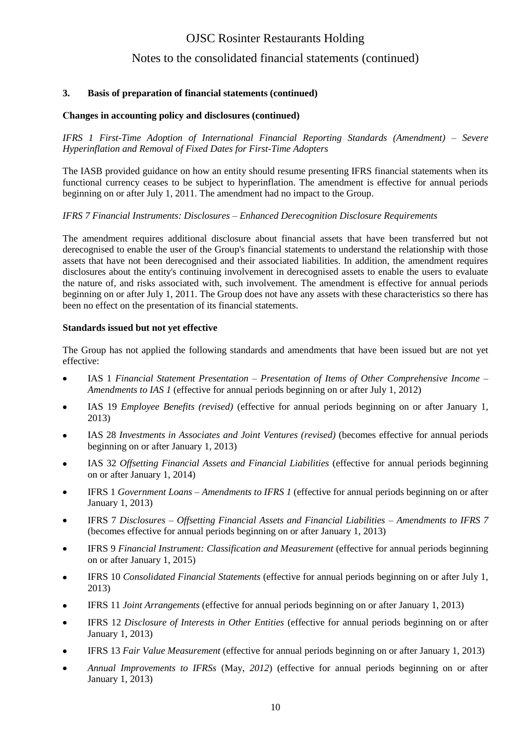# Notes to the consolidated financial statements (continued)

# **3. Basis of preparation of financial statements (continued)**

# **Сhanges in accounting policy and disclosures (continued)**

*IFRS 1 First-Time Adoption of International Financial Reporting Standards (Amendment) – Severe Hyperinflation and Removal of Fixed Dates for First-Time Adopters*

The IASB provided guidance on how an entity should resume presenting IFRS financial statements when its functional currency ceases to be subject to hyperinflation. The amendment is effective for annual periods beginning on or after July 1, 2011. The amendment had no impact to the Group.

## *IFRS 7 Financial Instruments: Disclosures – Enhanced Derecognition Disclosure Requirements*

The amendment requires additional disclosure about financial assets that have been transferred but not derecognised to enable the user of the Group's financial statements to understand the relationship with those assets that have not been derecognised and their associated liabilities. In addition, the amendment requires disclosures about the entity's continuing involvement in derecognised assets to enable the users to evaluate the nature of, and risks associated with, such involvement. The amendment is effective for annual periods beginning on or after July 1, 2011. The Group does not have any assets with these characteristics so there has been no effect on the presentation of its financial statements.

## **Standards issued but not yet effective**

The Group has not applied the following standards and amendments that have been issued but are not yet effective:

- IAS 1 *Financial Statement Presentation – Presentation of Items of Other Comprehensive Income*  $\bullet$ *Amendments to IAS 1* (effective for annual periods beginning on or after July 1, 2012)
- IAS 19 *Employee Benefits (revised)* (effective for annual periods beginning on or after January 1,  $\bullet$ 2013)
- IAS 28 *Investments in Associates and Joint Ventures (revised)* (becomes effective for annual periods  $\bullet$ beginning on or after January 1, 2013)
- IAS 32 *Offsetting Financial Assets and Financial Liabilities* (effective for annual periods beginning on or after January 1, 2014)
- IFRS 1 *Government Loans Amendments to IFRS 1* (effective for annual periods beginning on or after  $\bullet$ January 1, 2013)
- IFRS 7 *Disclosures Offsetting Financial Assets and Financial Liabilities – Amendments to IFRS 7*  (becomes effective for annual periods beginning on or after January 1, 2013)
- IFRS 9 *Financial Instrument: Classification and Measurement* (effective for annual periods beginning  $\bullet$ on or after January 1, 2015)
- IFRS 10 *Consolidated Financial Statements* (effective for annual periods beginning on or after July 1,  $\bullet$ 2013)
- IFRS 11 *Joint Arrangements* (effective for annual periods beginning on or after January 1, 2013)
- $\bullet$ IFRS 12 *Disclosure of Interests in Other Entities* (effective for annual periods beginning on or after January 1, 2013)
- IFRS 13 *Fair Value Measurement* (effective for annual periods beginning on or after January 1, 2013)  $\bullet$
- *Annual Improvements to IFRSs* (May, *2012*) (effective for annual periods beginning on or after  $\bullet$ January 1, 2013)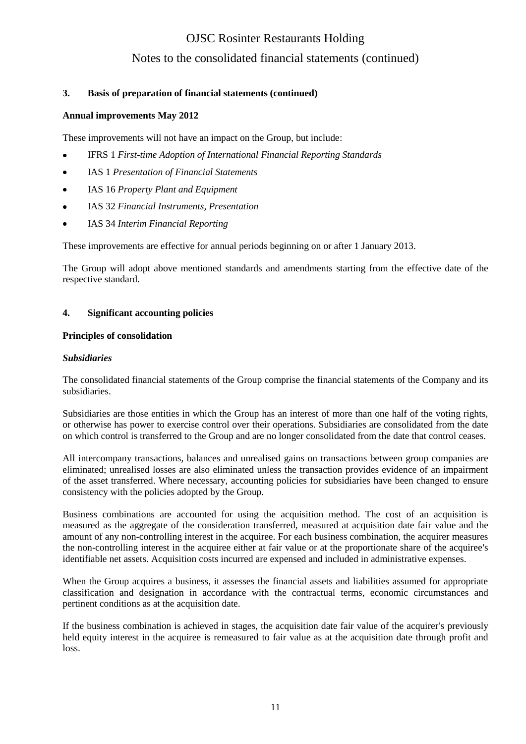# **3. Basis of preparation of financial statements (continued)**

## **Annual improvements May 2012**

These improvements will not have an impact on the Group, but include:

- IFRS 1 *First-time Adoption of International Financial Reporting Standards*  $\bullet$
- IAS 1 *Presentation of Financial Statements*  $\bullet$
- IAS 16 *Property Plant and Equipment*  $\bullet$
- $\bullet$ IAS 32 *Financial Instruments, Presentation*
- IAS 34 *Interim Financial Reporting*  $\bullet$

These improvements are effective for annual periods beginning on or after 1 January 2013.

The Group will adopt above mentioned standards and amendments starting from the effective date of the respective standard.

### **4. Significant accounting policies**

## **Principles of consolidation**

### *Subsidiaries*

The consolidated financial statements of the Group comprise the financial statements of the Company and its subsidiaries.

Subsidiaries are those entities in which the Group has an interest of more than one half of the voting rights, or otherwise has power to exercise control over their operations. Subsidiaries are consolidated from the date on which control is transferred to the Group and are no longer consolidated from the date that control ceases.

All intercompany transactions, balances and unrealised gains on transactions between group companies are eliminated; unrealised losses are also eliminated unless the transaction provides evidence of an impairment of the asset transferred. Where necessary, accounting policies for subsidiaries have been changed to ensure consistency with the policies adopted by the Group.

Business combinations are accounted for using the acquisition method. The cost of an acquisition is measured as the aggregate of the consideration transferred, measured at acquisition date fair value and the amount of any non-controlling interest in the acquiree. For each business combination, the acquirer measures the non-controlling interest in the acquiree either at fair value or at the proportionate share of the acquiree's identifiable net assets. Acquisition costs incurred are expensed and included in administrative expenses.

When the Group acquires a business, it assesses the financial assets and liabilities assumed for appropriate classification and designation in accordance with the contractual terms, economic circumstances and pertinent conditions as at the acquisition date.

If the business combination is achieved in stages, the acquisition date fair value of the acquirer's previously held equity interest in the acquiree is remeasured to fair value as at the acquisition date through profit and loss.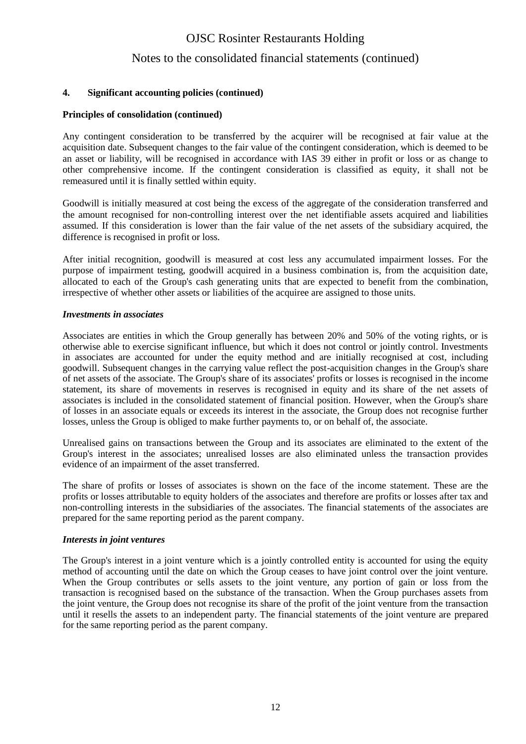# Notes to the consolidated financial statements (continued)

# **4. Significant accounting policies (continued)**

## **Principles of consolidation (continued)**

Any contingent consideration to be transferred by the acquirer will be recognised at fair value at the acquisition date. Subsequent changes to the fair value of the contingent consideration, which is deemed to be an asset or liability, will be recognised in accordance with IAS 39 either in profit or loss or as change to other comprehensive income. If the contingent consideration is classified as equity, it shall not be remeasured until it is finally settled within equity.

Goodwill is initially measured at cost being the excess of the aggregate of the consideration transferred and the amount recognised for non-controlling interest over the net identifiable assets acquired and liabilities assumed. If this consideration is lower than the fair value of the net assets of the subsidiary acquired, the difference is recognised in profit or loss.

After initial recognition, goodwill is measured at cost less any accumulated impairment losses. For the purpose of impairment testing, goodwill acquired in a business combination is, from the acquisition date, allocated to each of the Group's cash generating units that are expected to benefit from the combination, irrespective of whether other assets or liabilities of the acquiree are assigned to those units.

### *Investments in associates*

Associates are entities in which the Group generally has between 20% and 50% of the voting rights, or is otherwise able to exercise significant influence, but which it does not control or jointly control. Investments in associates are accounted for under the equity method and are initially recognised at cost, including goodwill. Subsequent changes in the carrying value reflect the post-acquisition changes in the Group's share of net assets of the associate. The Group's share of its associates' profits or losses is recognised in the income statement, its share of movements in reserves is recognised in equity and its share of the net assets of associates is included in the consolidated statement of financial position. However, when the Group's share of losses in an associate equals or exceeds its interest in the associate, the Group does not recognise further losses, unless the Group is obliged to make further payments to, or on behalf of, the associate.

Unrealised gains on transactions between the Group and its associates are eliminated to the extent of the Group's interest in the associates; unrealised losses are also eliminated unless the transaction provides evidence of an impairment of the asset transferred.

The share of profits or losses of associates is shown on the face of the income statement. These are the profits or losses attributable to equity holders of the associates and therefore are profits or losses after tax and non-controlling interests in the subsidiaries of the associates. The financial statements of the associates are prepared for the same reporting period as the parent company.

### *Interests in joint ventures*

The Group's interest in a joint venture which is a jointly controlled entity is accounted for using the equity method of accounting until the date on which the Group ceases to have joint control over the joint venture. When the Group contributes or sells assets to the joint venture, any portion of gain or loss from the transaction is recognised based on the substance of the transaction. When the Group purchases assets from the joint venture, the Group does not recognise its share of the profit of the joint venture from the transaction until it resells the assets to an independent party. The financial statements of the joint venture are prepared for the same reporting period as the parent company.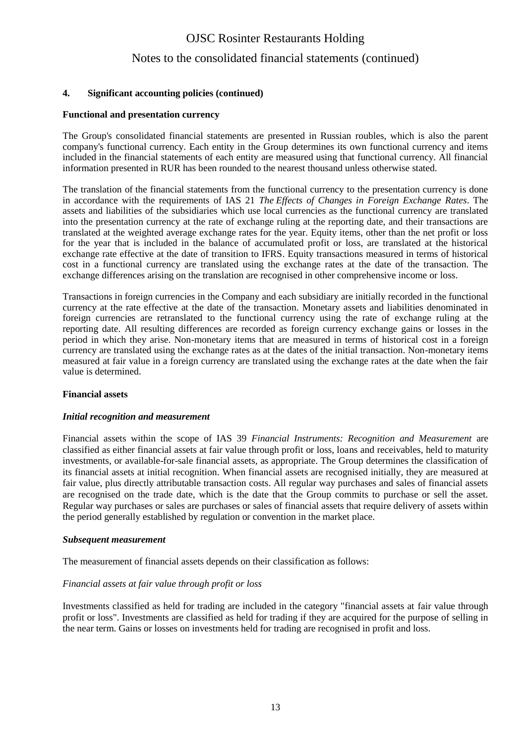# Notes to the consolidated financial statements (continued)

# **4. Significant accounting policies (continued)**

#### **Functional and presentation currency**

The Group's consolidated financial statements are presented in Russian roubles, which is also the parent company's functional currency. Each entity in the Group determines its own functional currency and items included in the financial statements of each entity are measured using that functional currency. All financial information presented in RUR has been rounded to the nearest thousand unless otherwise stated.

The translation of the financial statements from the functional currency to the presentation currency is done in accordance with the requirements of IAS 21 *The Effects of Changes in Foreign Exchange Rates*. The assets and liabilities of the subsidiaries which use local currencies as the functional currency are translated into the presentation currency at the rate of exchange ruling at the reporting date, and their transactions are translated at the weighted average exchange rates for the year. Equity items, other than the net profit or loss for the year that is included in the balance of accumulated profit or loss, are translated at the historical exchange rate effective at the date of transition to IFRS. Equity transactions measured in terms of historical cost in a functional currency are translated using the exchange rates at the date of the transaction. The exchange differences arising on the translation are recognised in other comprehensive income or loss.

Transactions in foreign currencies in the Company and each subsidiary are initially recorded in the functional currency at the rate effective at the date of the transaction. Monetary assets and liabilities denominated in foreign currencies are retranslated to the functional currency using the rate of exchange ruling at the reporting date. All resulting differences are recorded as foreign currency exchange gains or losses in the period in which they arise. Non-monetary items that are measured in terms of historical cost in a foreign currency are translated using the exchange rates as at the dates of the initial transaction. Non-monetary items measured at fair value in a foreign currency are translated using the exchange rates at the date when the fair value is determined.

### **Financial assets**

#### *Initial recognition and measurement*

Financial assets within the scope of IAS 39 *Financial Instruments: Recognition and Measurement* are classified as either financial assets at fair value through profit or loss, loans and receivables, held to maturity investments, or available-for-sale financial assets, as appropriate. The Group determines the classification of its financial assets at initial recognition. When financial assets are recognised initially, they are measured at fair value, plus directly attributable transaction costs. All regular way purchases and sales of financial assets are recognised on the trade date, which is the date that the Group commits to purchase or sell the asset. Regular way purchases or sales are purchases or sales of financial assets that require delivery of assets within the period generally established by regulation or convention in the market place.

#### *Subsequent measurement*

The measurement of financial assets depends on their classification as follows:

### *Financial assets at fair value through profit or loss*

Investments classified as held for trading are included in the category "financial assets at fair value through profit or loss". Investments are classified as held for trading if they are acquired for the purpose of selling in the near term. Gains or losses on investments held for trading are recognised in profit and loss.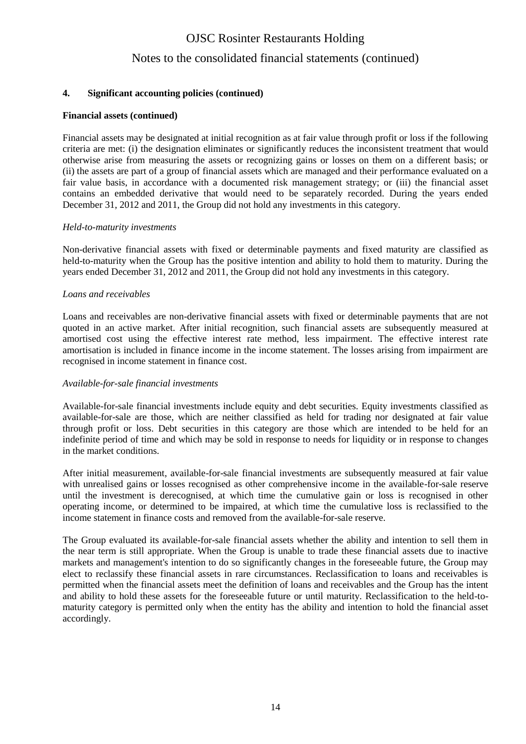# **4. Significant accounting policies (continued)**

### **Financial assets (continued)**

Financial assets may be designated at initial recognition as at fair value through profit or loss if the following criteria are met: (i) the designation eliminates or significantly reduces the inconsistent treatment that would otherwise arise from measuring the assets or recognizing gains or losses on them on a different basis; or (ii) the assets are part of a group of financial assets which are managed and their performance evaluated on a fair value basis, in accordance with a documented risk management strategy; or (iii) the financial asset contains an embedded derivative that would need to be separately recorded. During the years ended December 31, 2012 and 2011, the Group did not hold any investments in this category.

### *Held-to-maturity investments*

Non-derivative financial assets with fixed or determinable payments and fixed maturity are classified as held-to-maturity when the Group has the positive intention and ability to hold them to maturity. During the years ended December 31, 2012 and 2011, the Group did not hold any investments in this category.

## *Loans and receivables*

Loans and receivables are non-derivative financial assets with fixed or determinable payments that are not quoted in an active market. After initial recognition, such financial assets are subsequently measured at amortised cost using the effective interest rate method, less impairment. The effective interest rate amortisation is included in finance income in the income statement. The losses arising from impairment are recognised in income statement in finance cost.

### *Available-for-sale financial investments*

Available-for-sale financial investments include equity and debt securities. Equity investments classified as available-for-sale are those, which are neither classified as held for trading nor designated at fair value through profit or loss. Debt securities in this category are those which are intended to be held for an indefinite period of time and which may be sold in response to needs for liquidity or in response to changes in the market conditions.

After initial measurement, available-for-sale financial investments are subsequently measured at fair value with unrealised gains or losses recognised as other comprehensive income in the available-for-sale reserve until the investment is derecognised, at which time the cumulative gain or loss is recognised in other operating income, or determined to be impaired, at which time the cumulative loss is reclassified to the income statement in finance costs and removed from the available-for-sale reserve.

The Group evaluated its available-for-sale financial assets whether the ability and intention to sell them in the near term is still appropriate. When the Group is unable to trade these financial assets due to inactive markets and management's intention to do so significantly changes in the foreseeable future, the Group may elect to reclassify these financial assets in rare circumstances. Reclassification to loans and receivables is permitted when the financial assets meet the definition of loans and receivables and the Group has the intent and ability to hold these assets for the foreseeable future or until maturity. Reclassification to the held-tomaturity category is permitted only when the entity has the ability and intention to hold the financial asset accordingly.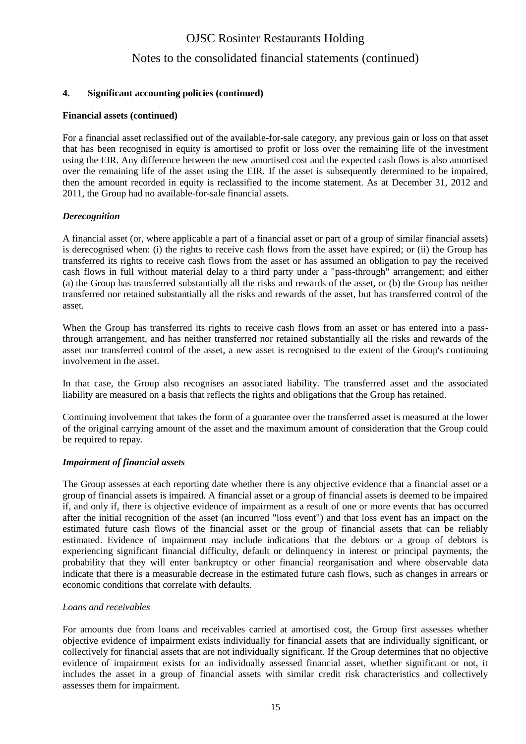## **4. Significant accounting policies (continued)**

### **Financial assets (continued)**

For a financial asset reclassified out of the available-for-sale category, any previous gain or loss on that asset that has been recognised in equity is amortised to profit or loss over the remaining life of the investment using the EIR. Any difference between the new amortised cost and the expected cash flows is also amortised over the remaining life of the asset using the EIR. If the asset is subsequently determined to be impaired, then the amount recorded in equity is reclassified to the income statement. As at December 31, 2012 and 2011, the Group had no available-for-sale financial assets.

### *Derecognition*

A financial asset (or, where applicable a part of a financial asset or part of a group of similar financial assets) is derecognised when: (i) the rights to receive cash flows from the asset have expired; or (ii) the Group has transferred its rights to receive cash flows from the asset or has assumed an obligation to pay the received cash flows in full without material delay to a third party under a "pass-through" arrangement; and either (a) the Group has transferred substantially all the risks and rewards of the asset, or (b) the Group has neither transferred nor retained substantially all the risks and rewards of the asset, but has transferred control of the asset.

When the Group has transferred its rights to receive cash flows from an asset or has entered into a passthrough arrangement, and has neither transferred nor retained substantially all the risks and rewards of the asset nor transferred control of the asset, a new asset is recognised to the extent of the Group's continuing involvement in the asset.

In that case, the Group also recognises an associated liability. The transferred asset and the associated liability are measured on a basis that reflects the rights and obligations that the Group has retained.

Continuing involvement that takes the form of a guarantee over the transferred asset is measured at the lower of the original carrying amount of the asset and the maximum amount of consideration that the Group could be required to repay.

### *Impairment of financial assets*

The Group assesses at each reporting date whether there is any objective evidence that a financial asset or a group of financial assets is impaired. A financial asset or a group of financial assets is deemed to be impaired if, and only if, there is objective evidence of impairment as a result of one or more events that has occurred after the initial recognition of the asset (an incurred "loss event") and that loss event has an impact on the estimated future cash flows of the financial asset or the group of financial assets that can be reliably estimated. Evidence of impairment may include indications that the debtors or a group of debtors is experiencing significant financial difficulty, default or delinquency in interest or principal payments, the probability that they will enter bankruptcy or other financial reorganisation and where observable data indicate that there is a measurable decrease in the estimated future cash flows, such as changes in arrears or economic conditions that correlate with defaults.

### *Loans and receivables*

For amounts due from loans and receivables carried at amortised cost, the Group first assesses whether objective evidence of impairment exists individually for financial assets that are individually significant, or collectively for financial assets that are not individually significant. If the Group determines that no objective evidence of impairment exists for an individually assessed financial asset, whether significant or not, it includes the asset in a group of financial assets with similar credit risk characteristics and collectively assesses them for impairment.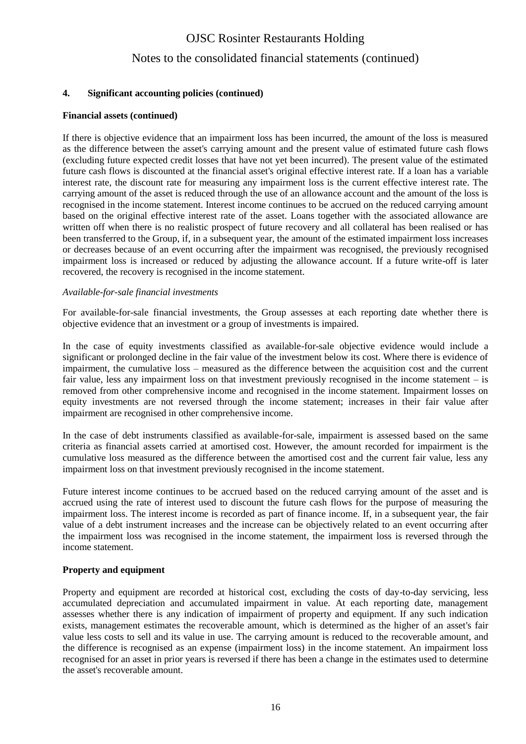## **4. Significant accounting policies (continued)**

### **Financial assets (continued)**

If there is objective evidence that an impairment loss has been incurred, the amount of the loss is measured as the difference between the asset's carrying amount and the present value of estimated future cash flows (excluding future expected credit losses that have not yet been incurred). The present value of the estimated future cash flows is discounted at the financial asset's original effective interest rate. If a loan has a variable interest rate, the discount rate for measuring any impairment loss is the current effective interest rate. The carrying amount of the asset is reduced through the use of an allowance account and the amount of the loss is recognised in the income statement. Interest income continues to be accrued on the reduced carrying amount based on the original effective interest rate of the asset. Loans together with the associated allowance are written off when there is no realistic prospect of future recovery and all collateral has been realised or has been transferred to the Group, if, in a subsequent year, the amount of the estimated impairment loss increases or decreases because of an event occurring after the impairment was recognised, the previously recognised impairment loss is increased or reduced by adjusting the allowance account. If a future write-off is later recovered, the recovery is recognised in the income statement.

### *Available-for-sale financial investments*

For available-for-sale financial investments, the Group assesses at each reporting date whether there is objective evidence that an investment or a group of investments is impaired.

In the case of equity investments classified as available-for-sale objective evidence would include a significant or prolonged decline in the fair value of the investment below its cost. Where there is evidence of impairment, the cumulative loss – measured as the difference between the acquisition cost and the current fair value, less any impairment loss on that investment previously recognised in the income statement – is removed from other comprehensive income and recognised in the income statement. Impairment losses on equity investments are not reversed through the income statement; increases in their fair value after impairment are recognised in other comprehensive income.

In the case of debt instruments classified as available-for-sale, impairment is assessed based on the same criteria as financial assets carried at amortised cost. However, the amount recorded for impairment is the cumulative loss measured as the difference between the amortised cost and the current fair value, less any impairment loss on that investment previously recognised in the income statement.

Future interest income continues to be accrued based on the reduced carrying amount of the asset and is accrued using the rate of interest used to discount the future cash flows for the purpose of measuring the impairment loss. The interest income is recorded as part of finance income. If, in a subsequent year, the fair value of a debt instrument increases and the increase can be objectively related to an event occurring after the impairment loss was recognised in the income statement, the impairment loss is reversed through the income statement.

### **Property and equipment**

Property and equipment are recorded at historical cost, excluding the costs of day-to-day servicing, less accumulated depreciation and accumulated impairment in value. At each reporting date, management assesses whether there is any indication of impairment of property and equipment. If any such indication exists, management estimates the recoverable amount, which is determined as the higher of an asset's fair value less costs to sell and its value in use. The carrying amount is reduced to the recoverable amount, and the difference is recognised as an expense (impairment loss) in the income statement. An impairment loss recognised for an asset in prior years is reversed if there has been a change in the estimates used to determine the asset's recoverable amount.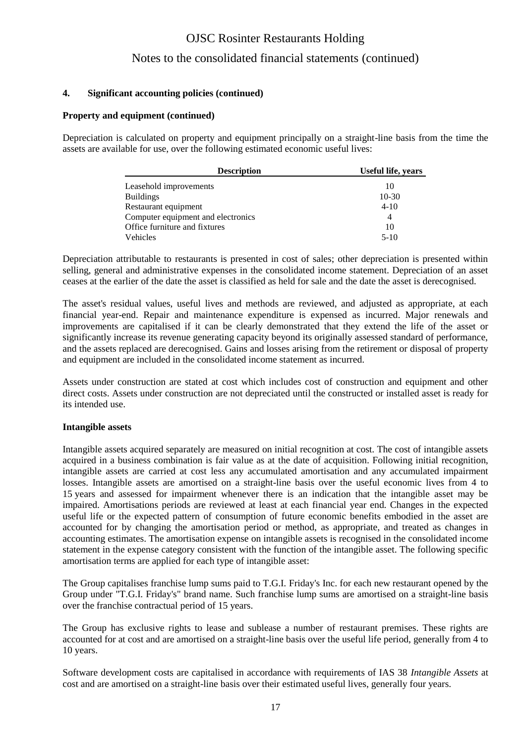# **4. Significant accounting policies (continued)**

#### **Property and equipment (continued)**

Depreciation is calculated on property and equipment principally on a straight-line basis from the time the assets are available for use, over the following estimated economic useful lives:

| <b>Description</b>                 | Useful life, years |
|------------------------------------|--------------------|
| Leasehold improvements             | 10                 |
| <b>Buildings</b>                   | $10-30$            |
| Restaurant equipment               | $4 - 10$           |
| Computer equipment and electronics | 4                  |
| Office furniture and fixtures      | 10                 |
| Vehicles                           | $5-10$             |

Depreciation attributable to restaurants is presented in cost of sales; other depreciation is presented within selling, general and administrative expenses in the consolidated income statement. Depreciation of an asset ceases at the earlier of the date the asset is classified as held for sale and the date the asset is derecognised.

The asset's residual values, useful lives and methods are reviewed, and adjusted as appropriate, at each financial year-end. Repair and maintenance expenditure is expensed as incurred. Major renewals and improvements are capitalised if it can be clearly demonstrated that they extend the life of the asset or significantly increase its revenue generating capacity beyond its originally assessed standard of performance, and the assets replaced are derecognised. Gains and losses arising from the retirement or disposal of property and equipment are included in the consolidated income statement as incurred.

Assets under construction are stated at cost which includes cost of construction and equipment and other direct costs. Assets under construction are not depreciated until the constructed or installed asset is ready for its intended use.

### **Intangible assets**

Intangible assets acquired separately are measured on initial recognition at cost. The cost of intangible assets acquired in a business combination is fair value as at the date of acquisition. Following initial recognition, intangible assets are carried at cost less any accumulated amortisation and any accumulated impairment losses. Intangible assets are amortised on a straight-line basis over the useful economic lives from 4 to 15 years and assessed for impairment whenever there is an indication that the intangible asset may be impaired. Amortisations periods are reviewed at least at each financial year end. Changes in the expected useful life or the expected pattern of consumption of future economic benefits embodied in the asset are accounted for by changing the amortisation period or method, as appropriate, and treated as changes in accounting estimates. The amortisation expense on intangible assets is recognised in the consolidated income statement in the expense category consistent with the function of the intangible asset. The following specific amortisation terms are applied for each type of intangible asset:

The Group capitalises franchise lump sums paid to T.G.I. Friday's Inc. for each new restaurant opened by the Group under "T.G.I. Friday's" brand name. Such franchise lump sums are amortised on a straight-line basis over the franchise contractual period of 15 years.

The Group has exclusive rights to lease and sublease a number of restaurant premises. These rights are accounted for at cost and are amortised on a straight-line basis over the useful life period, generally from 4 to 10 years.

Software development costs are capitalised in accordance with requirements of IAS 38 *Intangible Assets* at cost and are amortised on a straight-line basis over their estimated useful lives, generally four years.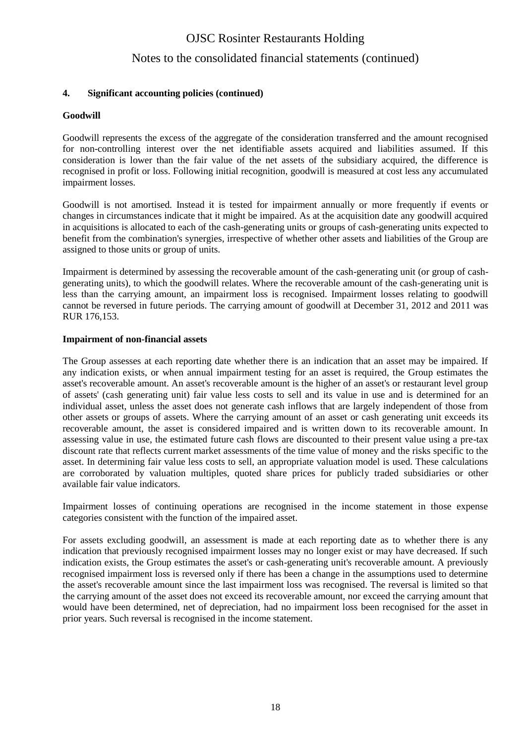# Notes to the consolidated financial statements (continued)

# **4. Significant accounting policies (continued)**

## **Goodwill**

Goodwill represents the excess of the aggregate of the consideration transferred and the amount recognised for non-controlling interest over the net identifiable assets acquired and liabilities assumed. If this consideration is lower than the fair value of the net assets of the subsidiary acquired, the difference is recognised in profit or loss. Following initial recognition, goodwill is measured at cost less any accumulated impairment losses.

Goodwill is not amortised. Instead it is tested for impairment annually or more frequently if events or changes in circumstances indicate that it might be impaired. As at the acquisition date any goodwill acquired in acquisitions is allocated to each of the cash-generating units or groups of cash-generating units expected to benefit from the combination's synergies, irrespective of whether other assets and liabilities of the Group are assigned to those units or group of units.

Impairment is determined by assessing the recoverable amount of the cash-generating unit (or group of cashgenerating units), to which the goodwill relates. Where the recoverable amount of the cash-generating unit is less than the carrying amount, an impairment loss is recognised. Impairment losses relating to goodwill cannot be reversed in future periods. The carrying amount of goodwill at December 31, 2012 and 2011 was RUR 176,153.

### **Impairment of non-financial assets**

The Group assesses at each reporting date whether there is an indication that an asset may be impaired. If any indication exists, or when annual impairment testing for an asset is required, the Group estimates the asset's recoverable amount. An asset's recoverable amount is the higher of an asset's or restaurant level group of assets' (cash generating unit) fair value less costs to sell and its value in use and is determined for an individual asset, unless the asset does not generate cash inflows that are largely independent of those from other assets or groups of assets. Where the carrying amount of an asset or cash generating unit exceeds its recoverable amount, the asset is considered impaired and is written down to its recoverable amount. In assessing value in use, the estimated future cash flows are discounted to their present value using a pre-tax discount rate that reflects current market assessments of the time value of money and the risks specific to the asset. In determining fair value less costs to sell, an appropriate valuation model is used. These calculations are corroborated by valuation multiples, quoted share prices for publicly traded subsidiaries or other available fair value indicators.

Impairment losses of continuing operations are recognised in the income statement in those expense categories consistent with the function of the impaired asset.

For assets excluding goodwill, an assessment is made at each reporting date as to whether there is any indication that previously recognised impairment losses may no longer exist or may have decreased. If such indication exists, the Group estimates the asset's or cash-generating unit's recoverable amount. A previously recognised impairment loss is reversed only if there has been a change in the assumptions used to determine the asset's recoverable amount since the last impairment loss was recognised. The reversal is limited so that the carrying amount of the asset does not exceed its recoverable amount, nor exceed the carrying amount that would have been determined, net of depreciation, had no impairment loss been recognised for the asset in prior years. Such reversal is recognised in the income statement.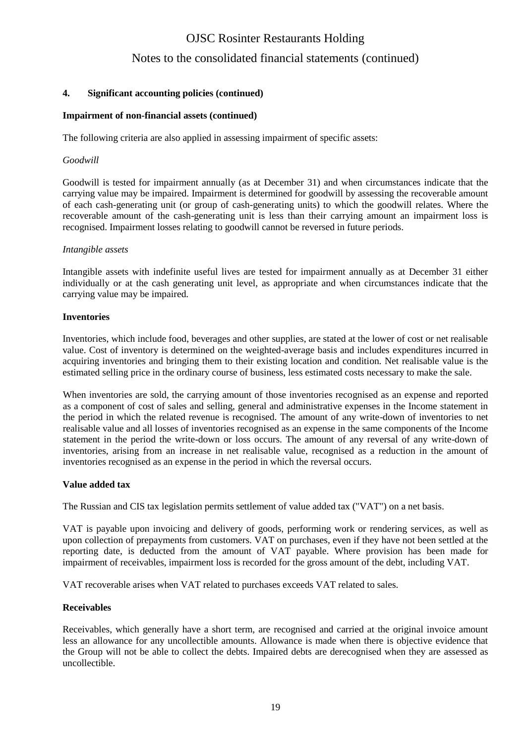# **4. Significant accounting policies (continued)**

### **Impairment of non-financial assets (continued)**

The following criteria are also applied in assessing impairment of specific assets:

### *Goodwill*

Goodwill is tested for impairment annually (as at December 31) and when circumstances indicate that the carrying value may be impaired. Impairment is determined for goodwill by assessing the recoverable amount of each cash-generating unit (or group of cash-generating units) to which the goodwill relates. Where the recoverable amount of the cash-generating unit is less than their carrying amount an impairment loss is recognised. Impairment losses relating to goodwill cannot be reversed in future periods.

### *Intangible assets*

Intangible assets with indefinite useful lives are tested for impairment annually as at December 31 either individually or at the cash generating unit level, as appropriate and when circumstances indicate that the carrying value may be impaired.

### **Inventories**

Inventories, which include food, beverages and other supplies, are stated at the lower of cost or net realisable value. Cost of inventory is determined on the weighted-average basis and includes expenditures incurred in acquiring inventories and bringing them to their existing location and condition. Net realisable value is the estimated selling price in the ordinary course of business, less estimated costs necessary to make the sale.

When inventories are sold, the carrying amount of those inventories recognised as an expense and reported as a component of cost of sales and selling, general and administrative expenses in the Income statement in the period in which the related revenue is recognised. The amount of any write-down of inventories to net realisable value and all losses of inventories recognised as an expense in the same components of the Income statement in the period the write-down or loss occurs. The amount of any reversal of any write-down of inventories, arising from an increase in net realisable value, recognised as a reduction in the amount of inventories recognised as an expense in the period in which the reversal occurs.

### **Value added tax**

The Russian and CIS tax legislation permits settlement of value added tax ("VAT") on a net basis.

VAT is payable upon invoicing and delivery of goods, performing work or rendering services, as well as upon collection of prepayments from customers. VAT on purchases, even if they have not been settled at the reporting date, is deducted from the amount of VAT payable. Where provision has been made for impairment of receivables, impairment loss is recorded for the gross amount of the debt, including VAT.

VAT recoverable arises when VAT related to purchases exceeds VAT related to sales.

### **Receivables**

Receivables, which generally have a short term, are recognised and carried at the original invoice amount less an allowance for any uncollectible amounts. Allowance is made when there is objective evidence that the Group will not be able to collect the debts. Impaired debts are derecognised when they are assessed as uncollectible.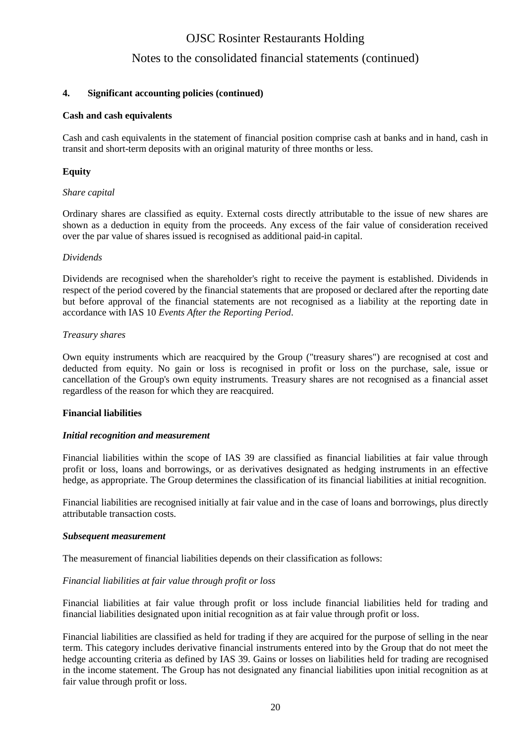## **4. Significant accounting policies (continued)**

### **Cash and cash equivalents**

Cash and cash equivalents in the statement of financial position comprise cash at banks and in hand, cash in transit and short-term deposits with an original maturity of three months or less.

# **Equity**

### *Share capital*

Ordinary shares are classified as equity. External costs directly attributable to the issue of new shares are shown as a deduction in equity from the proceeds. Any excess of the fair value of consideration received over the par value of shares issued is recognised as additional paid-in capital.

### *Dividends*

Dividends are recognised when the shareholder's right to receive the payment is established. Dividends in respect of the period covered by the financial statements that are proposed or declared after the reporting date but before approval of the financial statements are not recognised as a liability at the reporting date in accordance with IAS 10 *Events After the Reporting Period*.

## *Treasury shares*

Own equity instruments which are reacquired by the Group ("treasury shares") are recognised at cost and deducted from equity. No gain or loss is recognised in profit or loss on the purchase, sale, issue or cancellation of the Group's own equity instruments. Treasury shares are not recognised as a financial asset regardless of the reason for which they are reacquired.

### **Financial liabilities**

### *Initial recognition and measurement*

Financial liabilities within the scope of IAS 39 are classified as financial liabilities at fair value through profit or loss, loans and borrowings, or as derivatives designated as hedging instruments in an effective hedge, as appropriate. The Group determines the classification of its financial liabilities at initial recognition.

Financial liabilities are recognised initially at fair value and in the case of loans and borrowings, plus directly attributable transaction costs.

## *Subsequent measurement*

The measurement of financial liabilities depends on their classification as follows:

### *Financial liabilities at fair value through profit or loss*

Financial liabilities at fair value through profit or loss include financial liabilities held for trading and financial liabilities designated upon initial recognition as at fair value through profit or loss.

Financial liabilities are classified as held for trading if they are acquired for the purpose of selling in the near term. This category includes derivative financial instruments entered into by the Group that do not meet the hedge accounting criteria as defined by IAS 39. Gains or losses on liabilities held for trading are recognised in the income statement. The Group has not designated any financial liabilities upon initial recognition as at fair value through profit or loss.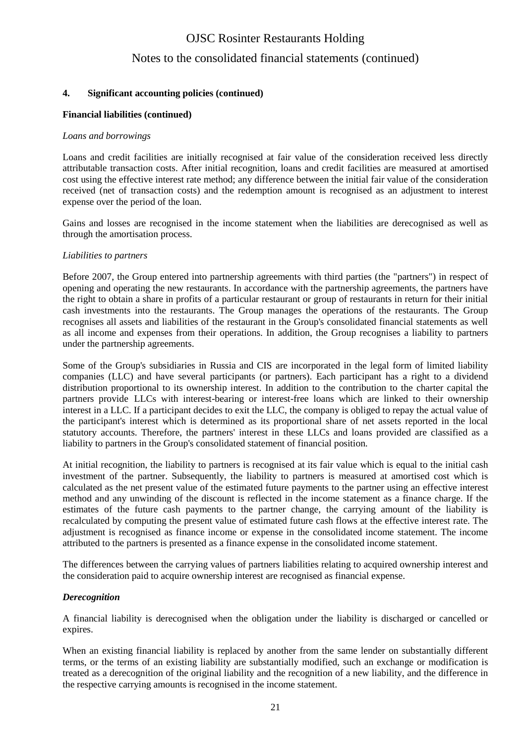# Notes to the consolidated financial statements (continued)

## **4. Significant accounting policies (continued)**

### **Financial liabilities (continued)**

#### *Loans and borrowings*

Loans and credit facilities are initially recognised at fair value of the consideration received less directly attributable transaction costs. After initial recognition, loans and credit facilities are measured at amortised cost using the effective interest rate method; any difference between the initial fair value of the consideration received (net of transaction costs) and the redemption amount is recognised as an adjustment to interest expense over the period of the loan.

Gains and losses are recognised in the income statement when the liabilities are derecognised as well as through the amortisation process.

#### *Liabilities to partners*

Before 2007, the Group entered into partnership agreements with third parties (the "partners") in respect of opening and operating the new restaurants. In accordance with the partnership agreements, the partners have the right to obtain a share in profits of a particular restaurant or group of restaurants in return for their initial cash investments into the restaurants. The Group manages the operations of the restaurants. The Group recognises all assets and liabilities of the restaurant in the Group's consolidated financial statements as well as all income and expenses from their operations. In addition, the Group recognises a liability to partners under the partnership agreements.

Some of the Group's subsidiaries in Russia and CIS are incorporated in the legal form of limited liability companies (LLC) and have several participants (or partners). Each participant has a right to a dividend distribution proportional to its ownership interest. In addition to the contribution to the charter capital the partners provide LLCs with interest-bearing or interest-free loans which are linked to their ownership interest in a LLC. If a participant decides to exit the LLC, the company is obliged to repay the actual value of the participant's interest which is determined as its proportional share of net assets reported in the local statutory accounts. Therefore, the partners' interest in these LLCs and loans provided are classified as a liability to partners in the Group's consolidated statement of financial position.

At initial recognition, the liability to partners is recognised at its fair value which is equal to the initial cash investment of the partner. Subsequently, the liability to partners is measured at amortised cost which is calculated as the net present value of the estimated future payments to the partner using an effective interest method and any unwinding of the discount is reflected in the income statement as a finance charge. If the estimates of the future cash payments to the partner change, the carrying amount of the liability is recalculated by computing the present value of estimated future cash flows at the effective interest rate. The adjustment is recognised as finance income or expense in the consolidated income statement. The income attributed to the partners is presented as a finance expense in the consolidated income statement.

The differences between the carrying values of partners liabilities relating to acquired ownership interest and the consideration paid to acquire ownership interest are recognised as financial expense.

### *Derecognition*

A financial liability is derecognised when the obligation under the liability is discharged or cancelled or expires.

When an existing financial liability is replaced by another from the same lender on substantially different terms, or the terms of an existing liability are substantially modified, such an exchange or modification is treated as a derecognition of the original liability and the recognition of a new liability, and the difference in the respective carrying amounts is recognised in the income statement.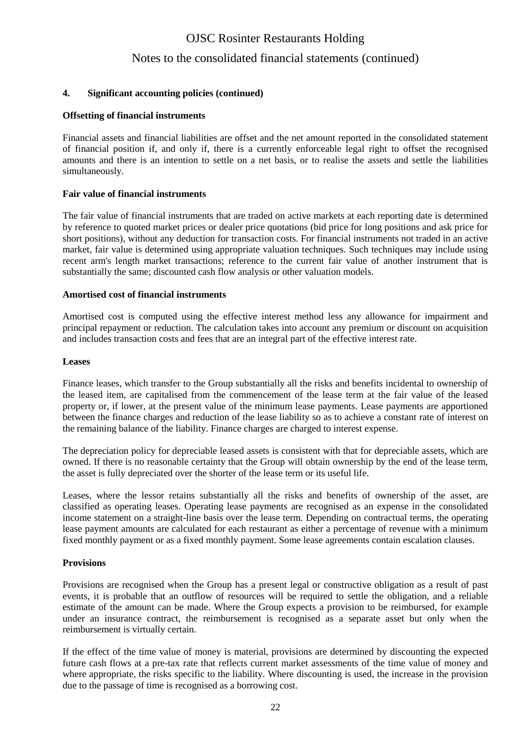## **4. Significant accounting policies (continued)**

#### **Offsetting of financial instruments**

Financial assets and financial liabilities are offset and the net amount reported in the consolidated statement of financial position if, and only if, there is a currently enforceable legal right to offset the recognised amounts and there is an intention to settle on a net basis, or to realise the assets and settle the liabilities simultaneously.

#### **Fair value of financial instruments**

The fair value of financial instruments that are traded on active markets at each reporting date is determined by reference to quoted market prices or dealer price quotations (bid price for long positions and ask price for short positions), without any deduction for transaction costs. For financial instruments not traded in an active market, fair value is determined using appropriate valuation techniques. Such techniques may include using recent arm's length market transactions; reference to the current fair value of another instrument that is substantially the same; discounted cash flow analysis or other valuation models.

#### **Amortised cost of financial instruments**

Amortised cost is computed using the effective interest method less any allowance for impairment and principal repayment or reduction. The calculation takes into account any premium or discount on acquisition and includes transaction costs and fees that are an integral part of the effective interest rate.

#### **Leases**

Finance leases, which transfer to the Group substantially all the risks and benefits incidental to ownership of the leased item, are capitalised from the commencement of the lease term at the fair value of the leased property or, if lower, at the present value of the minimum lease payments. Lease payments are apportioned between the finance charges and reduction of the lease liability so as to achieve a constant rate of interest on the remaining balance of the liability. Finance charges are charged to interest expense.

The depreciation policy for depreciable leased assets is consistent with that for depreciable assets, which are owned. If there is no reasonable certainty that the Group will obtain ownership by the end of the lease term, the asset is fully depreciated over the shorter of the lease term or its useful life.

Leases, where the lessor retains substantially all the risks and benefits of ownership of the asset, are classified as operating leases. Operating lease payments are recognised as an expense in the consolidated income statement on a straight-line basis over the lease term. Depending on contractual terms, the operating lease payment amounts are calculated for each restaurant as either a percentage of revenue with a minimum fixed monthly payment or as a fixed monthly payment. Some lease agreements contain escalation clauses.

### **Provisions**

Provisions are recognised when the Group has a present legal or constructive obligation as a result of past events, it is probable that an outflow of resources will be required to settle the obligation, and a reliable estimate of the amount can be made. Where the Group expects a provision to be reimbursed, for example under an insurance contract, the reimbursement is recognised as a separate asset but only when the reimbursement is virtually certain.

If the effect of the time value of money is material, provisions are determined by discounting the expected future cash flows at a pre-tax rate that reflects current market assessments of the time value of money and where appropriate, the risks specific to the liability. Where discounting is used, the increase in the provision due to the passage of time is recognised as a borrowing cost.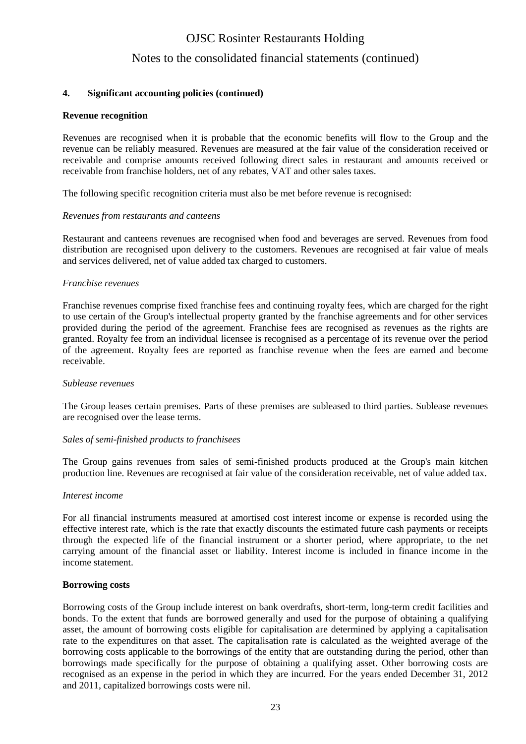# Notes to the consolidated financial statements (continued)

## **4. Significant accounting policies (continued)**

#### **Revenue recognition**

Revenues are recognised when it is probable that the economic benefits will flow to the Group and the revenue can be reliably measured. Revenues are measured at the fair value of the consideration received or receivable and comprise amounts received following direct sales in restaurant and amounts received or receivable from franchise holders, net of any rebates, VAT and other sales taxes.

The following specific recognition criteria must also be met before revenue is recognised:

#### *Revenues from restaurants and canteens*

Restaurant and canteens revenues are recognised when food and beverages are served. Revenues from food distribution are recognised upon delivery to the customers. Revenues are recognised at fair value of meals and services delivered, net of value added tax charged to customers.

#### *Franchise revenues*

Franchise revenues comprise fixed franchise fees and continuing royalty fees, which are charged for the right to use certain of the Group's intellectual property granted by the franchise agreements and for other services provided during the period of the agreement. Franchise fees are recognised as revenues as the rights are granted. Royalty fee from an individual licensee is recognised as a percentage of its revenue over the period of the agreement. Royalty fees are reported as franchise revenue when the fees are earned and become receivable.

#### *Sublease revenues*

The Group leases certain premises. Parts of these premises are subleased to third parties. Sublease revenues are recognised over the lease terms.

### *Sales of semi-finished products to franchisees*

The Group gains revenues from sales of semi-finished products produced at the Group's main kitchen production line. Revenues are recognised at fair value of the consideration receivable, net of value added tax.

#### *Interest income*

For all financial instruments measured at amortised cost interest income or expense is recorded using the effective interest rate, which is the rate that exactly discounts the estimated future cash payments or receipts through the expected life of the financial instrument or a shorter period, where appropriate, to the net carrying amount of the financial asset or liability. Interest income is included in finance income in the income statement.

### **Borrowing costs**

Borrowing costs of the Group include interest on bank overdrafts, short-term, long-term credit facilities and bonds. To the extent that funds are borrowed generally and used for the purpose of obtaining a qualifying asset, the amount of borrowing costs eligible for capitalisation are determined by applying a capitalisation rate to the expenditures on that asset. The capitalisation rate is calculated as the weighted average of the borrowing costs applicable to the borrowings of the entity that are outstanding during the period, other than borrowings made specifically for the purpose of obtaining a qualifying asset. Other borrowing costs are recognised as an expense in the period in which they are incurred. For the years ended December 31, 2012 and 2011, capitalized borrowings costs were nil.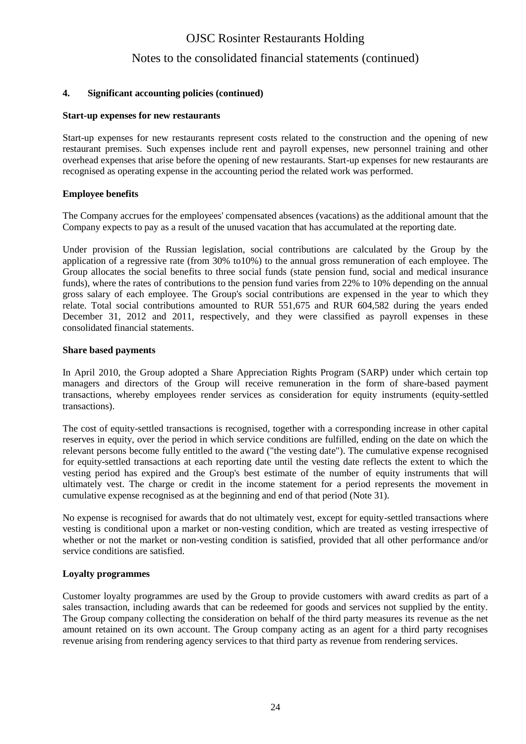## **4. Significant accounting policies (continued)**

#### **Start-up expenses for new restaurants**

Start-up expenses for new restaurants represent costs related to the construction and the opening of new restaurant premises. Such expenses include rent and payroll expenses, new personnel training and other overhead expenses that arise before the opening of new restaurants. Start-up expenses for new restaurants are recognised as operating expense in the accounting period the related work was performed.

## **Employee benefits**

The Company accrues for the employees' compensated absences (vacations) as the additional amount that the Company expects to pay as a result of the unused vacation that has accumulated at the reporting date.

Under provision of the Russian legislation, social contributions are calculated by the Group by the application of a regressive rate (from 30% to10%) to the annual gross remuneration of each employee. The Group allocates the social benefits to three social funds (state pension fund, social and medical insurance funds), where the rates of contributions to the pension fund varies from 22% to 10% depending on the annual gross salary of each employee. The Group's social contributions are expensed in the year to which they relate. Total social contributions amounted to RUR 551,675 and RUR 604,582 during the years ended December 31, 2012 and 2011, respectively, and they were classified as payroll expenses in these consolidated financial statements.

#### **Share based payments**

In April 2010, the Group adopted a Share Appreciation Rights Program (SARP) under which certain top managers and directors of the Group will receive remuneration in the form of share-based payment transactions, whereby employees render services as consideration for equity instruments (equity-settled transactions).

The cost of equity-settled transactions is recognised, together with a corresponding increase in other capital reserves in equity, over the period in which service conditions are fulfilled, ending on the date on which the relevant persons become fully entitled to the award ("the vesting date"). The cumulative expense recognised for equity-settled transactions at each reporting date until the vesting date reflects the extent to which the vesting period has expired and the Group's best estimate of the number of equity instruments that will ultimately vest. The charge or credit in the income statement for a period represents the movement in cumulative expense recognised as at the beginning and end of that period (Note 31).

No expense is recognised for awards that do not ultimately vest, except for equity-settled transactions where vesting is conditional upon a market or non-vesting condition, which are treated as vesting irrespective of whether or not the market or non-vesting condition is satisfied, provided that all other performance and/or service conditions are satisfied.

### **Loyalty programmes**

Customer loyalty programmes are used by the Group to provide customers with award credits as part of a sales transaction, including awards that can be redeemed for goods and services not supplied by the entity. The Group company collecting the consideration on behalf of the third party measures its revenue as the net amount retained on its own account. The Group company acting as an agent for a third party recognises revenue arising from rendering agency services to that third party as revenue from rendering services.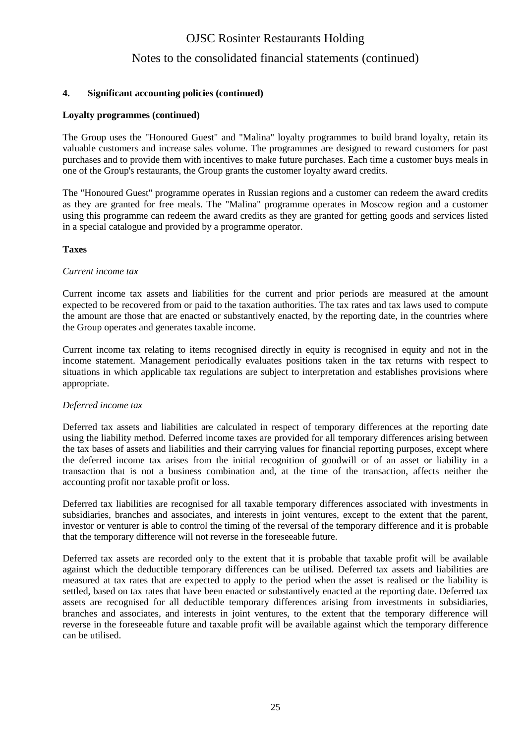## **4. Significant accounting policies (continued)**

### **Loyalty programmes (continued)**

The Group uses the "Honoured Guest" and "Malina" loyalty programmes to build brand loyalty, retain its valuable customers and increase sales volume. The programmes are designed to reward customers for past purchases and to provide them with incentives to make future purchases. Each time a customer buys meals in one of the Group's restaurants, the Group grants the customer loyalty award credits.

The "Honoured Guest" programme operates in Russian regions and a customer can redeem the award credits as they are granted for free meals. The "Malina" programme operates in Moscow region and a customer using this programme can redeem the award credits as they are granted for getting goods and services listed in a special catalogue and provided by a programme operator.

### **Taxes**

#### *Current income tax*

Current income tax assets and liabilities for the current and prior periods are measured at the amount expected to be recovered from or paid to the taxation authorities. The tax rates and tax laws used to compute the amount are those that are enacted or substantively enacted, by the reporting date, in the countries where the Group operates and generates taxable income.

Current income tax relating to items recognised directly in equity is recognised in equity and not in the income statement. Management periodically evaluates positions taken in the tax returns with respect to situations in which applicable tax regulations are subject to interpretation and establishes provisions where appropriate.

### *Deferred income tax*

Deferred tax assets and liabilities are calculated in respect of temporary differences at the reporting date using the liability method. Deferred income taxes are provided for all temporary differences arising between the tax bases of assets and liabilities and their carrying values for financial reporting purposes, except where the deferred income tax arises from the initial recognition of goodwill or of an asset or liability in a transaction that is not a business combination and, at the time of the transaction, affects neither the accounting profit nor taxable profit or loss.

Deferred tax liabilities are recognised for all taxable temporary differences associated with investments in subsidiaries, branches and associates, and interests in joint ventures, except to the extent that the parent, investor or venturer is able to control the timing of the reversal of the temporary difference and it is probable that the temporary difference will not reverse in the foreseeable future.

Deferred tax assets are recorded only to the extent that it is probable that taxable profit will be available against which the deductible temporary differences can be utilised. Deferred tax assets and liabilities are measured at tax rates that are expected to apply to the period when the asset is realised or the liability is settled, based on tax rates that have been enacted or substantively enacted at the reporting date. Deferred tax assets are recognised for all deductible temporary differences arising from investments in subsidiaries, branches and associates, and interests in joint ventures, to the extent that the temporary difference will reverse in the foreseeable future and taxable profit will be available against which the temporary difference can be utilised.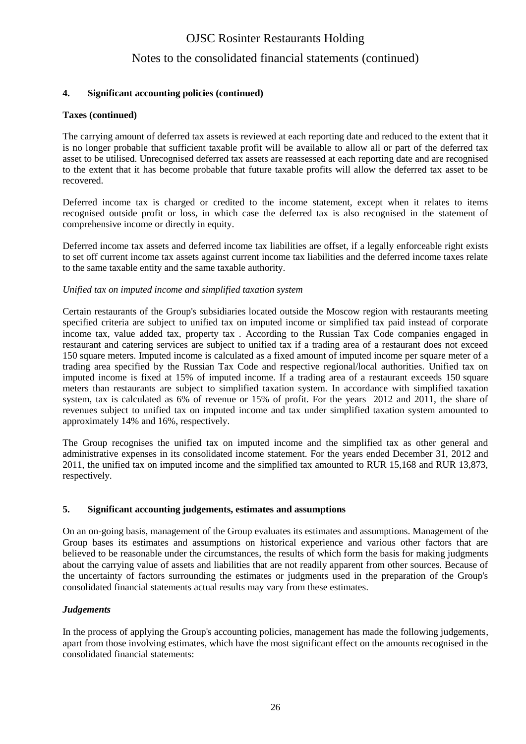# Notes to the consolidated financial statements (continued)

# **4. Significant accounting policies (continued)**

## **Taxes (continued)**

The carrying amount of deferred tax assets is reviewed at each reporting date and reduced to the extent that it is no longer probable that sufficient taxable profit will be available to allow all or part of the deferred tax asset to be utilised. Unrecognised deferred tax assets are reassessed at each reporting date and are recognised to the extent that it has become probable that future taxable profits will allow the deferred tax asset to be recovered.

Deferred income tax is charged or credited to the income statement, except when it relates to items recognised outside profit or loss, in which case the deferred tax is also recognised in the statement of comprehensive income or directly in equity.

Deferred income tax assets and deferred income tax liabilities are offset, if a legally enforceable right exists to set off current income tax assets against current income tax liabilities and the deferred income taxes relate to the same taxable entity and the same taxable authority.

## *Unified tax on imputed income and simplified taxation system*

Certain restaurants of the Group's subsidiaries located outside the Moscow region with restaurants meeting specified criteria are subject to unified tax on imputed income or simplified tax paid instead of corporate income tax, value added tax, property tax . According to the Russian Tax Code companies engaged in restaurant and catering services are subject to unified tax if a trading area of a restaurant does not exceed 150 square meters. Imputed income is calculated as a fixed amount of imputed income per square meter of a trading area specified by the Russian Tax Code and respective regional/local authorities. Unified tax on imputed income is fixed at 15% of imputed income. If a trading area of a restaurant exceeds 150 square meters than restaurants are subject to simplified taxation system. In accordance with simplified taxation system, tax is calculated as 6% of revenue or 15% of profit. For the years 2012 and 2011, the share of revenues subject to unified tax on imputed income and tax under simplified taxation system amounted to approximately 14% and 16%, respectively.

The Group recognises the unified tax on imputed income and the simplified tax as other general and administrative expenses in its consolidated income statement. For the years ended December 31, 2012 and 2011, the unified tax on imputed income and the simplified tax amounted to RUR 15,168 and RUR 13,873, respectively.

# **5. Significant accounting judgements, estimates and assumptions**

On an on-going basis, management of the Group evaluates its estimates and assumptions. Management of the Group bases its estimates and assumptions on historical experience and various other factors that are believed to be reasonable under the circumstances, the results of which form the basis for making judgments about the carrying value of assets and liabilities that are not readily apparent from other sources. Because of the uncertainty of factors surrounding the estimates or judgments used in the preparation of the Group's consolidated financial statements actual results may vary from these estimates.

# *Judgements*

In the process of applying the Group's accounting policies, management has made the following judgements, apart from those involving estimates, which have the most significant effect on the amounts recognised in the consolidated financial statements: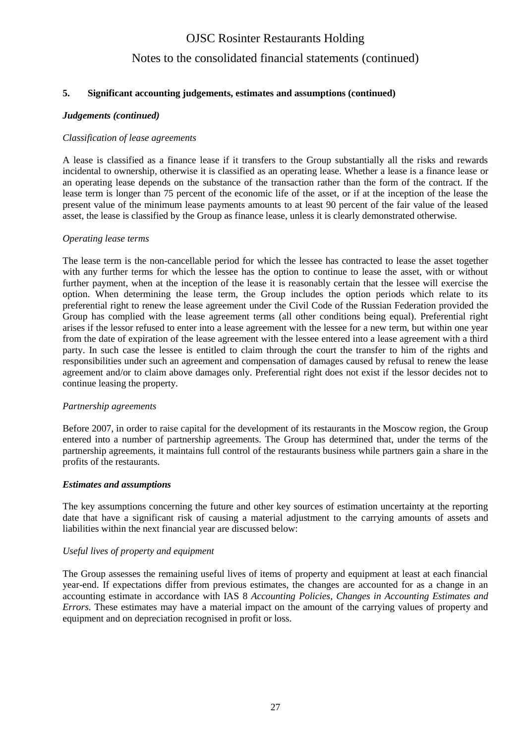# Notes to the consolidated financial statements (continued)

# **5. Significant accounting judgements, estimates and assumptions (continued)**

## *Judgements (continued)*

## *Classification of lease agreements*

A lease is classified as a finance lease if it transfers to the Group substantially all the risks and rewards incidental to ownership, otherwise it is classified as an operating lease. Whether a lease is a finance lease or an operating lease depends on the substance of the transaction rather than the form of the contract. If the lease term is longer than 75 percent of the economic life of the asset, or if at the inception of the lease the present value of the minimum lease payments amounts to at least 90 percent of the fair value of the leased asset, the lease is classified by the Group as finance lease, unless it is clearly demonstrated otherwise.

### *Operating lease terms*

The lease term is the non-cancellable period for which the lessee has contracted to lease the asset together with any further terms for which the lessee has the option to continue to lease the asset, with or without further payment, when at the inception of the lease it is reasonably certain that the lessee will exercise the option. When determining the lease term, the Group includes the option periods which relate to its preferential right to renew the lease agreement under the Civil Code of the Russian Federation provided the Group has complied with the lease agreement terms (all other conditions being equal). Preferential right arises if the lessor refused to enter into a lease agreement with the lessee for a new term, but within one year from the date of expiration of the lease agreement with the lessee entered into a lease agreement with a third party. In such case the lessee is entitled to claim through the court the transfer to him of the rights and responsibilities under such an agreement and compensation of damages caused by refusal to renew the lease agreement and/or to claim above damages only. Preferential right does not exist if the lessor decides not to continue leasing the property.

### *Partnership agreements*

Before 2007, in order to raise capital for the development of its restaurants in the Moscow region, the Group entered into a number of partnership agreements. The Group has determined that, under the terms of the partnership agreements, it maintains full control of the restaurants business while partners gain a share in the profits of the restaurants.

### *Estimates and assumptions*

The key assumptions concerning the future and other key sources of estimation uncertainty at the reporting date that have a significant risk of causing a material adjustment to the carrying amounts of assets and liabilities within the next financial year are discussed below:

### *Useful lives of property and equipment*

The Group assesses the remaining useful lives of items of property and equipment at least at each financial year-end. If expectations differ from previous estimates, the changes are accounted for as a change in an accounting estimate in accordance with IAS 8 *Accounting Policies, Changes in Accounting Estimates and Errors*. These estimates may have a material impact on the amount of the carrying values of property and equipment and on depreciation recognised in profit or loss.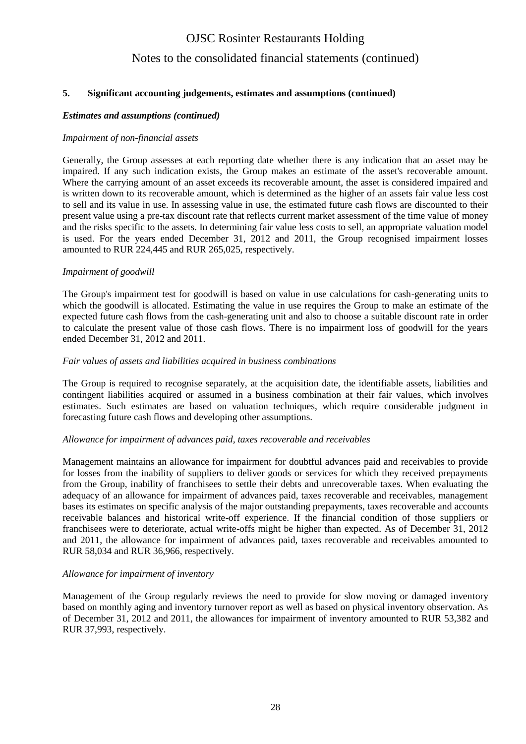# Notes to the consolidated financial statements (continued)

## **5. Significant accounting judgements, estimates and assumptions (continued)**

### *Estimates and assumptions (continued)*

## *Impairment of non-financial assets*

Generally, the Group assesses at each reporting date whether there is any indication that an asset may be impaired. If any such indication exists, the Group makes an estimate of the asset's recoverable amount. Where the carrying amount of an asset exceeds its recoverable amount, the asset is considered impaired and is written down to its recoverable amount, which is determined as the higher of an assets fair value less cost to sell and its value in use. In assessing value in use, the estimated future cash flows are discounted to their present value using a pre-tax discount rate that reflects current market assessment of the time value of money and the risks specific to the assets. In determining fair value less costs to sell, an appropriate valuation model is used. For the years ended December 31, 2012 and 2011, the Group recognised impairment losses amounted to RUR 224,445 and RUR 265,025, respectively.

### *Impairment of goodwill*

The Group's impairment test for goodwill is based on value in use calculations for cash-generating units to which the goodwill is allocated. Estimating the value in use requires the Group to make an estimate of the expected future cash flows from the cash-generating unit and also to choose a suitable discount rate in order to calculate the present value of those cash flows. There is no impairment loss of goodwill for the years ended December 31, 2012 and 2011.

### *Fair values of assets and liabilities acquired in business combinations*

The Group is required to recognise separately, at the acquisition date, the identifiable assets, liabilities and contingent liabilities acquired or assumed in a business combination at their fair values, which involves estimates. Such estimates are based on valuation techniques, which require considerable judgment in forecasting future cash flows and developing other assumptions.

### *Allowance for impairment of advances paid, taxes recoverable and receivables*

Management maintains an allowance for impairment for doubtful advances paid and receivables to provide for losses from the inability of suppliers to deliver goods or services for which they received prepayments from the Group, inability of franchisees to settle their debts and unrecoverable taxes. When evaluating the adequacy of an allowance for impairment of advances paid, taxes recoverable and receivables, management bases its estimates on specific analysis of the major outstanding prepayments, taxes recoverable and accounts receivable balances and historical write-off experience. If the financial condition of those suppliers or franchisees were to deteriorate, actual write-offs might be higher than expected. As of December 31, 2012 and 2011, the allowance for impairment of advances paid, taxes recoverable and receivables amounted to RUR 58,034 and RUR 36,966, respectively.

### *Allowance for impairment of inventory*

Management of the Group regularly reviews the need to provide for slow moving or damaged inventory based on monthly aging and inventory turnover report as well as based on physical inventory observation. As of December 31, 2012 and 2011, the allowances for impairment of inventory amounted to RUR 53,382 and RUR 37,993, respectively.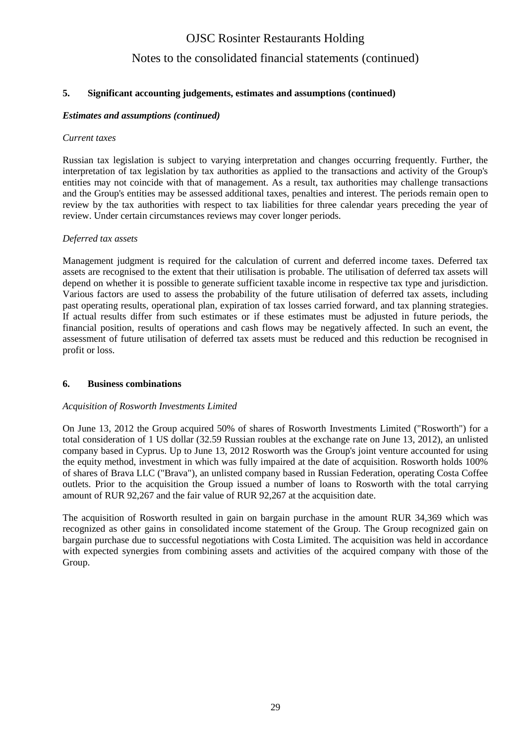# Notes to the consolidated financial statements (continued)

# **5. Significant accounting judgements, estimates and assumptions (continued)**

## *Estimates and assumptions (continued)*

### *Current taxes*

Russian tax legislation is subject to varying interpretation and changes occurring frequently. Further, the interpretation of tax legislation by tax authorities as applied to the transactions and activity of the Group's entities may not coincide with that of management. As a result, tax authorities may challenge transactions and the Group's entities may be assessed additional taxes, penalties and interest. The periods remain open to review by the tax authorities with respect to tax liabilities for three calendar years preceding the year of review. Under certain circumstances reviews may cover longer periods.

## *Deferred tax assets*

Management judgment is required for the calculation of current and deferred income taxes. Deferred tax assets are recognised to the extent that their utilisation is probable. The utilisation of deferred tax assets will depend on whether it is possible to generate sufficient taxable income in respective tax type and jurisdiction. Various factors are used to assess the probability of the future utilisation of deferred tax assets, including past operating results, operational plan, expiration of tax losses carried forward, and tax planning strategies. If actual results differ from such estimates or if these estimates must be adjusted in future periods, the financial position, results of operations and cash flows may be negatively affected. In such an event, the assessment of future utilisation of deferred tax assets must be reduced and this reduction be recognised in profit or loss.

### **6. Business combinations**

### *Acquisition of Rosworth Investments Limited*

On June 13, 2012 the Group acquired 50% of shares of Rosworth Investments Limited ("Rosworth") for a total consideration of 1 US dollar (32.59 Russian roubles at the exchange rate on June 13, 2012), an unlisted company based in Cyprus. Up to June 13, 2012 Rosworth was the Group's joint venture accounted for using the equity method, investment in which was fully impaired at the date of acquisition. Rosworth holds 100% of shares of Brava LLC ("Brava"), an unlisted company based in Russian Federation, operating Costa Coffee outlets. Prior to the acquisition the Group issued a number of loans to Rosworth with the total carrying amount of RUR 92,267 and the fair value of RUR 92,267 at the acquisition date.

The acquisition of Rosworth resulted in gain on bargain purchase in the amount RUR 34,369 which was recognized as other gains in consolidated income statement of the Group. The Group recognized gain on bargain purchase due to successful negotiations with Costa Limited. The acquisition was held in accordance with expected synergies from combining assets and activities of the acquired company with those of the Group.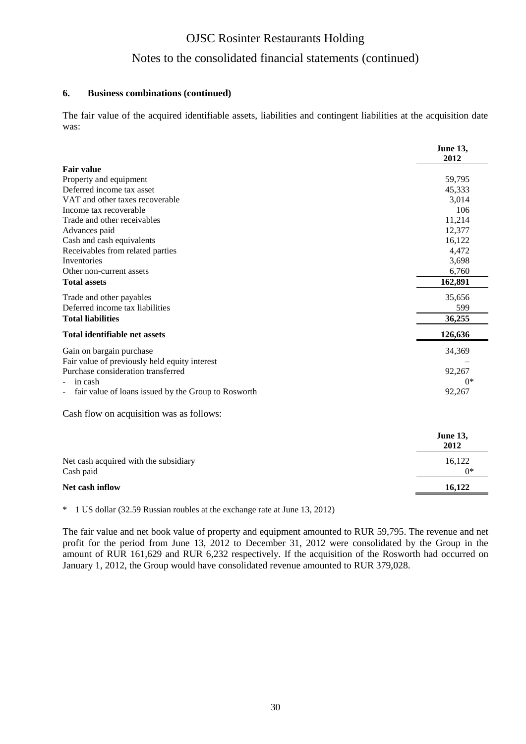# **6. Business combinations (continued)**

The fair value of the acquired identifiable assets, liabilities and contingent liabilities at the acquisition date was:

|                                                     | <b>June 13,</b><br>2012 |
|-----------------------------------------------------|-------------------------|
| <b>Fair value</b>                                   |                         |
| Property and equipment                              | 59,795                  |
| Deferred income tax asset                           | 45,333                  |
| VAT and other taxes recoverable                     | 3,014                   |
| Income tax recoverable                              | 106                     |
| Trade and other receivables                         | 11,214                  |
| Advances paid                                       | 12,377                  |
| Cash and cash equivalents                           | 16,122                  |
| Receivables from related parties                    | 4,472                   |
| Inventories                                         | 3,698                   |
| Other non-current assets                            | 6,760                   |
| <b>Total assets</b>                                 | 162,891                 |
| Trade and other payables                            | 35,656                  |
| Deferred income tax liabilities                     | 599                     |
| <b>Total liabilities</b>                            | 36,255                  |
| Total identifiable net assets                       | 126,636                 |
| Gain on bargain purchase                            | 34,369                  |
| Fair value of previously held equity interest       |                         |
| Purchase consideration transferred                  | 92,267                  |
| in cash                                             | $0*$                    |
| fair value of loans issued by the Group to Rosworth | 92,267                  |
| Cash flow on acquisition was as follows:            |                         |
|                                                     | <b>June 13,</b>         |

|                                                    | June $13$ ,<br>2012 |
|----------------------------------------------------|---------------------|
| Net cash acquired with the subsidiary<br>Cash paid | 16,122<br>$0*$      |
| Net cash inflow                                    | 16,122              |

\* 1 US dollar (32.59 Russian roubles at the exchange rate at June 13, 2012)

The fair value and net book value of property and equipment amounted to RUR 59,795. The revenue and net profit for the period from June 13, 2012 to December 31, 2012 were consolidated by the Group in the amount of RUR 161,629 and RUR 6,232 respectively. If the acquisition of the Rosworth had occurred on January 1, 2012, the Group would have consolidated revenue amounted to RUR 379,028.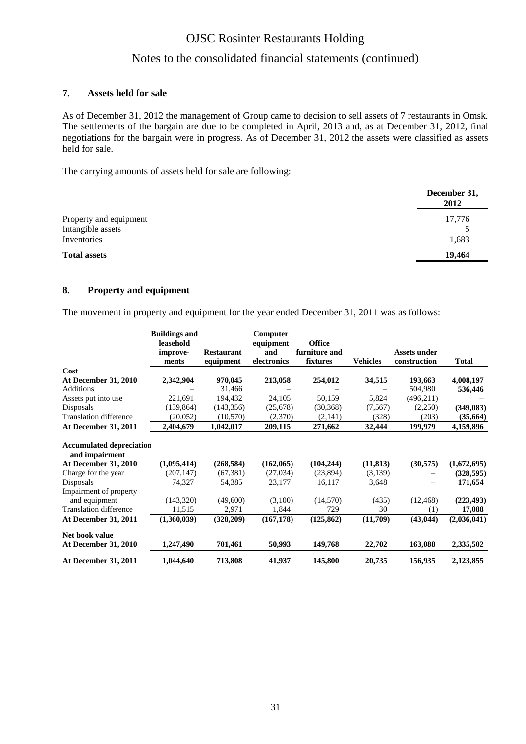# **7. Assets held for sale**

As of December 31, 2012 the management of Group came to decision to sell assets of 7 restaurants in Omsk. The settlements of the bargain are due to be completed in April, 2013 and, as at December 31, 2012, final negotiations for the bargain were in progress. As of December 31, 2012 the assets were classified as assets held for sale.

The carrying amounts of assets held for sale are following:

|                        | December 31,<br>2012 |
|------------------------|----------------------|
| Property and equipment | 17,776               |
| Intangible assets      |                      |
| Inventories            | 1,683                |
| <b>Total assets</b>    | 19,464               |

## **8. Property and equipment**

The movement in property and equipment for the year ended December 31, 2011 was as follows:

|                                                   | <b>Buildings and</b><br>leasehold | <b>Restaurant</b> | Computer<br>equipment<br>and | <b>Office</b><br>furniture and |                 | Assets under |              |
|---------------------------------------------------|-----------------------------------|-------------------|------------------------------|--------------------------------|-----------------|--------------|--------------|
|                                                   | improve-<br>ments                 | equipment         | electronics                  | fixtures                       | <b>Vehicles</b> | construction | <b>Total</b> |
| Cost                                              |                                   |                   |                              |                                |                 |              |              |
| <b>At December 31, 2010</b>                       | 2,342,904                         | 970,045           | 213,058                      | 254,012                        | 34,515          | 193,663      | 4,008,197    |
| <b>Additions</b>                                  |                                   | 31,466            |                              |                                |                 | 504,980      | 536,446      |
| Assets put into use                               | 221,691                           | 194,432           | 24,105                       | 50,159                         | 5,824           | (496,211)    |              |
| Disposals                                         | (139, 864)                        | (143, 356)        | (25,678)                     | (30, 368)                      | (7,567)         | (2,250)      | (349,083)    |
| <b>Translation difference</b>                     | (20,052)                          | (10,570)          | (2,370)                      | (2,141)                        | (328)           | (203)        | (35, 664)    |
| At December 31, 2011                              | 2,404,679                         | 1,042,017         | 209,115                      | 271,662                        | 32,444          | 199,979      | 4,159,896    |
| <b>Accumulated depreciation</b><br>and impairment |                                   |                   |                              |                                |                 |              |              |
| <b>At December 31, 2010</b>                       | (1,095,414)                       | (268, 584)        | (162, 065)                   | (104, 244)                     | (11, 813)       | (30,575)     | (1,672,695)  |
| Charge for the year                               | (207, 147)                        | (67, 381)         | (27,034)                     | (23,894)                       | (3,139)         |              | (328, 595)   |
| Disposals                                         | 74,327                            | 54,385            | 23,177                       | 16,117                         | 3,648           |              | 171,654      |
| Impairment of property                            |                                   |                   |                              |                                |                 |              |              |
| and equipment                                     | (143,320)                         | (49,600)          | (3,100)                      | (14,570)                       | (435)           | (12, 468)    | (223, 493)   |
| <b>Translation difference</b>                     | 11,515                            | 2,971             | 1,844                        | 729                            | 30              | (1)          | 17,088       |
| <b>At December 31, 2011</b>                       | (1,360,039)                       | (328, 209)        | (167, 178)                   | (125, 862)                     | (11,709)        | (43, 044)    | (2,036,041)  |
| Net book value<br><b>At December 31, 2010</b>     | 1,247,490                         | 701,461           | 50,993                       | 149,768                        | 22,702          | 163,088      | 2,335,502    |
|                                                   |                                   |                   |                              |                                |                 |              |              |
| <b>At December 31, 2011</b>                       | 1,044,640                         | 713,808           | 41,937                       | 145,800                        | 20,735          | 156,935      | 2,123,855    |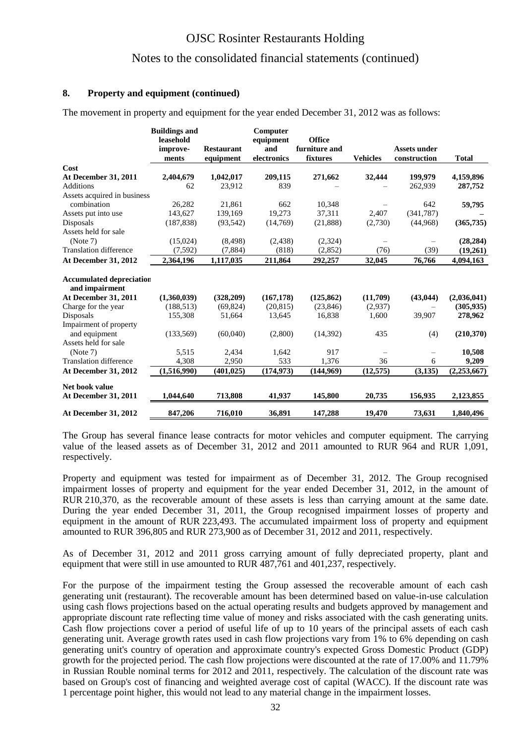# Notes to the consolidated financial statements (continued)

# **8. Property and equipment (continued)**

The movement in property and equipment for the year ended December 31, 2012 was as follows:

|                                                   | <b>Buildings and</b> |                   | Computer    |               |                 |                     |              |
|---------------------------------------------------|----------------------|-------------------|-------------|---------------|-----------------|---------------------|--------------|
|                                                   | leasehold            |                   | equipment   | <b>Office</b> |                 |                     |              |
|                                                   | improve-             | <b>Restaurant</b> | and         | furniture and |                 | <b>Assets under</b> |              |
|                                                   | ments                | equipment         | electronics | fixtures      | <b>Vehicles</b> | construction        | <b>Total</b> |
| Cost                                              |                      |                   |             |               |                 |                     |              |
| At December 31, 2011                              | 2,404,679            | 1,042,017         | 209,115     | 271,662       | 32,444          | 199,979             | 4,159,896    |
| <b>Additions</b>                                  | 62                   | 23.912            | 839         |               |                 | 262,939             | 287,752      |
| Assets acquired in business                       |                      |                   |             |               |                 |                     |              |
| combination                                       | 26,282               | 21,861            | 662         | 10,348        |                 | 642                 | 59,795       |
| Assets put into use                               | 143.627              | 139,169           | 19,273      | 37,311        | 2,407           | (341,787)           |              |
| Disposals                                         | (187, 838)           | (93, 542)         | (14,769)    | (21, 888)     | (2,730)         | (44,968)            | (365, 735)   |
| Assets held for sale                              |                      |                   |             |               |                 |                     |              |
| (Note 7)                                          | (15,024)             | (8, 498)          | (2, 438)    | (2,324)       |                 |                     | (28, 284)    |
| <b>Translation difference</b>                     | (7, 592)             | (7,884)           | (818)       | (2,852)       | (76)            | (39)                | (19,261)     |
| At December 31, 2012                              | 2,364,196            | 1,117,035         | 211,864     | 292,257       | 32,045          | 76,766              | 4,094,163    |
| <b>Accumulated depreciation</b><br>and impairment |                      |                   |             |               |                 |                     |              |
| At December 31, 2011                              | (1,360,039)          | (328, 209)        | (167, 178)  | (125, 862)    | (11,709)        | (43, 044)           | (2,036,041)  |
| Charge for the year                               | (188, 513)           | (69, 824)         | (20, 815)   | (23, 846)     | (2,937)         |                     | (305, 935)   |
| Disposals                                         | 155,308              | 51,664            | 13,645      | 16,838        | 1,600           | 39,907              | 278,962      |
| Impairment of property                            |                      |                   |             |               |                 |                     |              |
| and equipment                                     | (133, 569)           | (60,040)          | (2,800)     | (14,392)      | 435             | (4)                 | (210,370)    |
| Assets held for sale                              |                      |                   |             |               |                 |                     |              |
| (Note 7)                                          | 5,515                | 2,434             | 1,642       | 917           |                 | $\qquad \qquad -$   | 10,508       |
| <b>Translation difference</b>                     | 4,308                | 2,950             | 533         | 1,376         | 36              | 6                   | 9.209        |
| <b>At December 31, 2012</b>                       | (1,516,990)          | (401, 025)        | (174, 973)  | (144,969)     | (12, 575)       | (3, 135)            | (2,253,667)  |
| Net book value                                    |                      |                   |             |               |                 |                     |              |
| <b>At December 31, 2011</b>                       | 1,044,640            | 713,808           | 41,937      | 145,800       | 20,735          | 156,935             | 2,123,855    |
| <b>At December 31, 2012</b>                       | 847,206              | 716,010           | 36,891      | 147,288       | 19,470          | 73,631              | 1,840,496    |

The Group has several finance lease contracts for motor vehicles and computer equipment. The carrying value of the leased assets as of December 31, 2012 and 2011 amounted to RUR 964 and RUR 1,091, respectively.

Property and equipment was tested for impairment as of December 31, 2012. The Group recognised impairment losses of property and equipment for the year ended December 31, 2012, in the amount of RUR 210,370, as the recoverable amount of these assets is less than carrying amount at the same date. During the year ended December 31, 2011, the Group recognised impairment losses of property and equipment in the amount of RUR 223,493. The accumulated impairment loss of property and equipment amounted to RUR 396,805 and RUR 273,900 as of December 31, 2012 and 2011, respectively.

As of December 31, 2012 and 2011 gross carrying amount of fully depreciated property, plant and equipment that were still in use amounted to RUR 487,761 and 401,237, respectively.

For the purpose of the impairment testing the Group assessed the recoverable amount of each cash generating unit (restaurant). The recoverable amount has been determined based on value-in-use calculation using cash flows projections based on the actual operating results and budgets approved by management and appropriate discount rate reflecting time value of money and risks associated with the cash generating units. Cash flow projections cover a period of useful life of up to 10 years of the principal assets of each cash generating unit. Average growth rates used in cash flow projections vary from 1% to 6% depending on cash generating unit's country of operation and approximate country's expected Gross Domestic Product (GDP) growth for the projected period. The cash flow projections were discounted at the rate of 17.00% and 11.79% in Russian Rouble nominal terms for 2012 and 2011, respectively. The calculation of the discount rate was based on Group's cost of financing and weighted average cost of capital (WACC). If the discount rate was 1 percentage point higher, this would not lead to any material change in the impairment losses.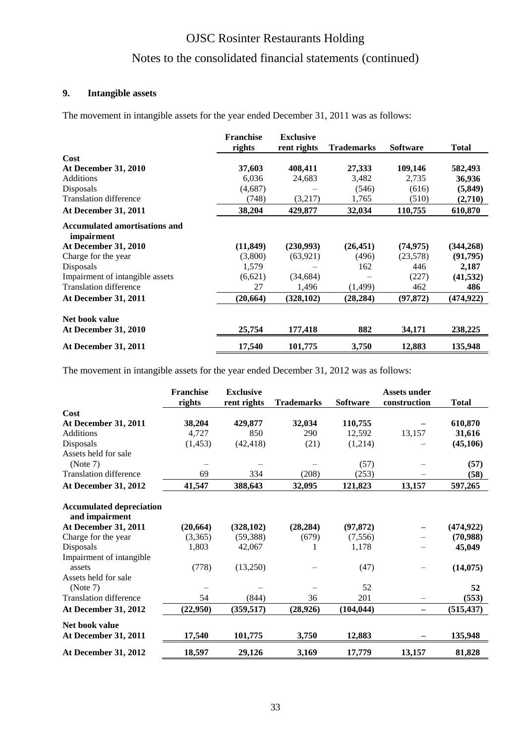# **9. Intangible assets**

The movement in intangible assets for the year ended December 31, 2011 was as follows:

|                                                    | <b>Franchise</b> | <b>Exclusive</b> |                   |                 |              |
|----------------------------------------------------|------------------|------------------|-------------------|-----------------|--------------|
|                                                    | rights           | rent rights      | <b>Trademarks</b> | <b>Software</b> | <b>Total</b> |
| Cost                                               |                  |                  |                   |                 |              |
| <b>At December 31, 2010</b>                        | 37,603           | 408,411          | 27,333            | 109,146         | 582,493      |
| <b>Additions</b>                                   | 6,036            | 24,683           | 3,482             | 2,735           | 36,936       |
| Disposals                                          | (4,687)          |                  | (546)             | (616)           | (5,849)      |
| <b>Translation difference</b>                      | (748)            | (3,217)          | 1,765             | (510)           | (2,710)      |
| <b>At December 31, 2011</b>                        | 38,204           | 429,877          | 32,034            | 110,755         | 610,870      |
| <b>Accumulated amortisations and</b><br>impairment |                  |                  |                   |                 |              |
| <b>At December 31, 2010</b>                        | (11, 849)        | (230,993)        | (26, 451)         | (74, 975)       | (344, 268)   |
| Charge for the year                                | (3,800)          | (63, 921)        | (496)             | (23,578)        | (91,795)     |
| Disposals                                          | 1,579            |                  | 162               | 446             | 2,187        |
| Impairment of intangible assets                    | (6,621)          | (34, 684)        |                   | (227)           | (41, 532)    |
| <b>Translation difference</b>                      | 27               | 1,496            | (1,499)           | 462             | 486          |
| At December 31, 2011                               | (20, 664)        | (328, 102)       | (28, 284)         | (97, 872)       | (474, 922)   |
| Net book value                                     |                  |                  |                   |                 |              |
| <b>At December 31, 2010</b>                        | 25,754           | 177,418          | 882               | 34,171          | 238,225      |
| At December 31, 2011                               | 17,540           | 101,775          | 3,750             | 12,883          | 135,948      |

The movement in intangible assets for the year ended December 31, 2012 was as follows:

|                                                   | <b>Franchise</b><br>rights | <b>Exclusive</b><br>rent rights | <b>Trademarks</b> | <b>Software</b> | <b>Assets under</b><br>construction | <b>Total</b> |
|---------------------------------------------------|----------------------------|---------------------------------|-------------------|-----------------|-------------------------------------|--------------|
| Cost                                              |                            |                                 |                   |                 |                                     |              |
| <b>At December 31, 2011</b>                       | 38,204                     | 429,877                         | 32,034            | 110,755         |                                     | 610,870      |
| <b>Additions</b>                                  | 4,727                      | 850                             | 290               | 12,592          | 13,157                              | 31,616       |
| Disposals                                         | (1, 453)                   | (42, 418)                       | (21)              | (1,214)         |                                     | (45, 106)    |
| Assets held for sale<br>(Note 7)                  |                            |                                 |                   | (57)            |                                     |              |
| <b>Translation difference</b>                     | 69                         | 334                             | (208)             | (253)           |                                     | (57)<br>(58) |
|                                                   |                            |                                 |                   |                 |                                     |              |
| <b>At December 31, 2012</b>                       | 41,547                     | 388,643                         | 32,095            | 121,823         | 13,157                              | 597,265      |
| <b>Accumulated depreciation</b><br>and impairment |                            |                                 |                   |                 |                                     |              |
| At December 31, 2011                              | (20, 664)                  | (328, 102)                      | (28, 284)         | (97, 872)       |                                     | (474, 922)   |
| Charge for the year                               | (3,365)                    | (59, 388)                       | (679)             | (7, 556)        |                                     | (70,988)     |
| Disposals                                         | 1,803                      | 42,067                          | 1                 | 1,178           |                                     | 45,049       |
| Impairment of intangible<br>assets                | (778)                      | (13,250)                        |                   | (47)            |                                     | (14,075)     |
| Assets held for sale                              |                            |                                 |                   |                 |                                     |              |
| (Note 7)                                          |                            |                                 |                   | 52              |                                     | 52           |
| <b>Translation difference</b>                     | 54                         | (844)                           | 36                | 201             |                                     | (553)        |
| <b>At December 31, 2012</b>                       | (22,950)                   | (359, 517)                      | (28, 926)         | (104, 044)      |                                     | (515, 437)   |
| Net book value                                    |                            |                                 |                   |                 |                                     |              |
| <b>At December 31, 2011</b>                       | 17,540                     | 101,775                         | 3,750             | 12,883          |                                     | 135,948      |
| At December 31, 2012                              | 18,597                     | 29,126                          | 3,169             | 17,779          | 13,157                              | 81,828       |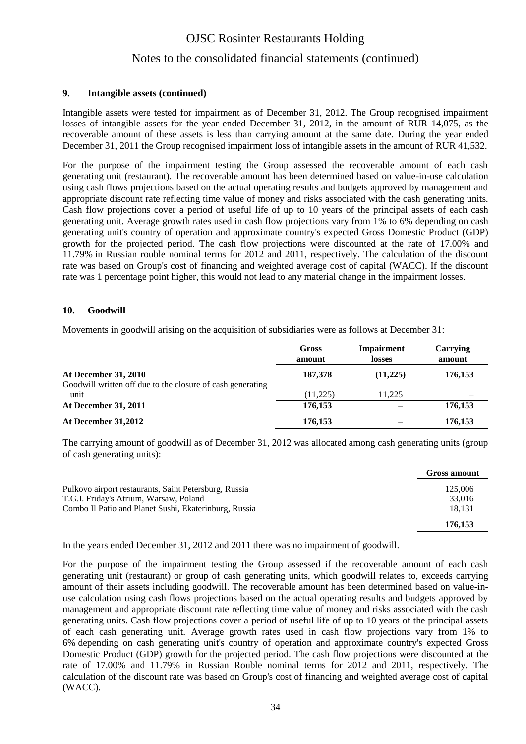# Notes to the consolidated financial statements (continued)

# **9. Intangible assets (continued)**

Intangible assets were tested for impairment as of December 31, 2012. The Group recognised impairment losses of intangible assets for the year ended December 31, 2012, in the amount of RUR 14,075, as the recoverable amount of these assets is less than carrying amount at the same date. During the year ended December 31, 2011 the Group recognised impairment loss of intangible assets in the amount of RUR 41,532.

For the purpose of the impairment testing the Group assessed the recoverable amount of each cash generating unit (restaurant). The recoverable amount has been determined based on value-in-use calculation using cash flows projections based on the actual operating results and budgets approved by management and appropriate discount rate reflecting time value of money and risks associated with the cash generating units. Cash flow projections cover a period of useful life of up to 10 years of the principal assets of each cash generating unit. Average growth rates used in cash flow projections vary from 1% to 6% depending on cash generating unit's country of operation and approximate country's expected Gross Domestic Product (GDP) growth for the projected period. The cash flow projections were discounted at the rate of 17.00% and 11.79% in Russian rouble nominal terms for 2012 and 2011, respectively. The calculation of the discount rate was based on Group's cost of financing and weighted average cost of capital (WACC). If the discount rate was 1 percentage point higher, this would not lead to any material change in the impairment losses.

### **10. Goodwill**

Movements in goodwill arising on the acquisition of subsidiaries were as follows at December 31:

|                                                                    | <b>Gross</b><br>amount | Impairment<br>losses | Carrying<br>amount |
|--------------------------------------------------------------------|------------------------|----------------------|--------------------|
| <b>At December 31, 2010</b>                                        | 187,378                | (11,225)             | 176,153            |
| Goodwill written off due to the closure of cash generating<br>unit | (11,225)               | 11.225               |                    |
| <b>At December 31, 2011</b>                                        | 176,153                |                      | 176,153            |
| <b>At December 31,2012</b>                                         | 176,153                |                      | 176,153            |

The carrying amount of goodwill as of December 31, 2012 was allocated among cash generating units (group of cash generating units):

|                                                       | <b>Gross amount</b> |
|-------------------------------------------------------|---------------------|
| Pulkovo airport restaurants, Saint Petersburg, Russia | 125,006             |
| T.G.I. Friday's Atrium, Warsaw, Poland                | 33,016              |
| Combo Il Patio and Planet Sushi, Ekaterinburg, Russia | 18,131              |
|                                                       | 176,153             |

In the years ended December 31, 2012 and 2011 there was no impairment of goodwill.

For the purpose of the impairment testing the Group assessed if the recoverable amount of each cash generating unit (restaurant) or group of cash generating units, which goodwill relates to, exceeds carrying amount of their assets including goodwill. The recoverable amount has been determined based on value-inuse calculation using cash flows projections based on the actual operating results and budgets approved by management and appropriate discount rate reflecting time value of money and risks associated with the cash generating units. Cash flow projections cover a period of useful life of up to 10 years of the principal assets of each cash generating unit. Average growth rates used in cash flow projections vary from 1% to 6% depending on cash generating unit's country of operation and approximate country's expected Gross Domestic Product (GDP) growth for the projected period. The cash flow projections were discounted at the rate of 17.00% and 11.79% in Russian Rouble nominal terms for 2012 and 2011, respectively. The calculation of the discount rate was based on Group's cost of financing and weighted average cost of capital (WACC).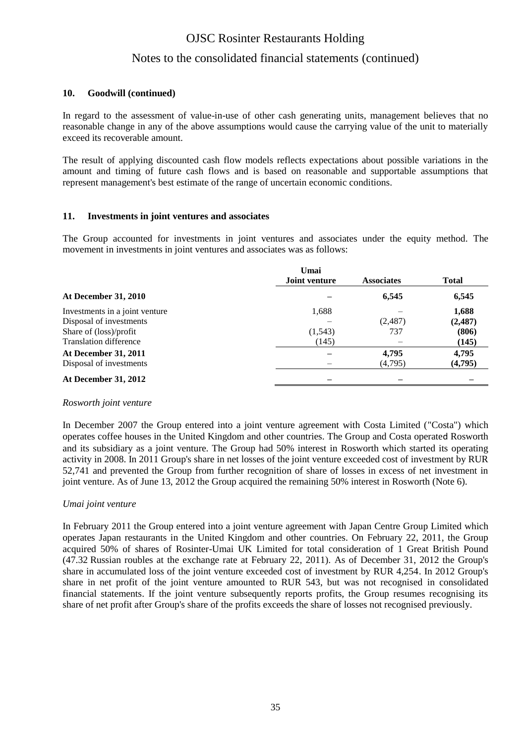## **10. Goodwill (continued)**

In regard to the assessment of value-in-use of other cash generating units, management believes that no reasonable change in any of the above assumptions would cause the carrying value of the unit to materially exceed its recoverable amount.

The result of applying discounted cash flow models reflects expectations about possible variations in the amount and timing of future cash flows and is based on reasonable and supportable assumptions that represent management's best estimate of the range of uncertain economic conditions.

### **11. Investments in joint ventures and associates**

The Group accounted for investments in joint ventures and associates under the equity method. The movement in investments in joint ventures and associates was as follows:

|                                | Umai                 |                   |              |  |
|--------------------------------|----------------------|-------------------|--------------|--|
|                                | <b>Joint venture</b> | <b>Associates</b> | <b>Total</b> |  |
| <b>At December 31, 2010</b>    |                      | 6,545             | 6,545        |  |
| Investments in a joint venture | 1,688                |                   | 1,688        |  |
| Disposal of investments        |                      | (2,487)           | (2, 487)     |  |
| Share of (loss)/profit         | (1,543)              | 737               | (806)        |  |
| <b>Translation difference</b>  | (145)                |                   | (145)        |  |
| <b>At December 31, 2011</b>    |                      | 4,795             | 4,795        |  |
| Disposal of investments        |                      | (4,795)           | (4,795)      |  |
| <b>At December 31, 2012</b>    |                      |                   |              |  |

### *Rosworth joint venture*

In December 2007 the Group entered into a joint venture agreement with Costa Limited ("Costa") which operates coffee houses in the United Kingdom and other countries. The Group and Costa operated Rosworth and its subsidiary as a joint venture. The Group had 50% interest in Rosworth which started its operating activity in 2008. In 2011 Group's share in net losses of the joint venture exceeded cost of investment by RUR 52,741 and prevented the Group from further recognition of share of losses in excess of net investment in joint venture. As of June 13, 2012 the Group acquired the remaining 50% interest in Rosworth (Note 6).

### *Umai joint venture*

In February 2011 the Group entered into a joint venture agreement with Japan Centre Group Limited which operates Japan restaurants in the United Kingdom and other countries. On February 22, 2011, the Group acquired 50% of shares of Rosinter-Umai UK Limited for total consideration of 1 Great British Pound (47.32 Russian roubles at the exchange rate at February 22, 2011). As of December 31, 2012 the Group's share in accumulated loss of the joint venture exceeded cost of investment by RUR 4,254. In 2012 Group's share in net profit of the joint venture amounted to RUR 543, but was not recognised in consolidated financial statements. If the joint venture subsequently reports profits, the Group resumes recognising its share of net profit after Group's share of the profits exceeds the share of losses not recognised previously.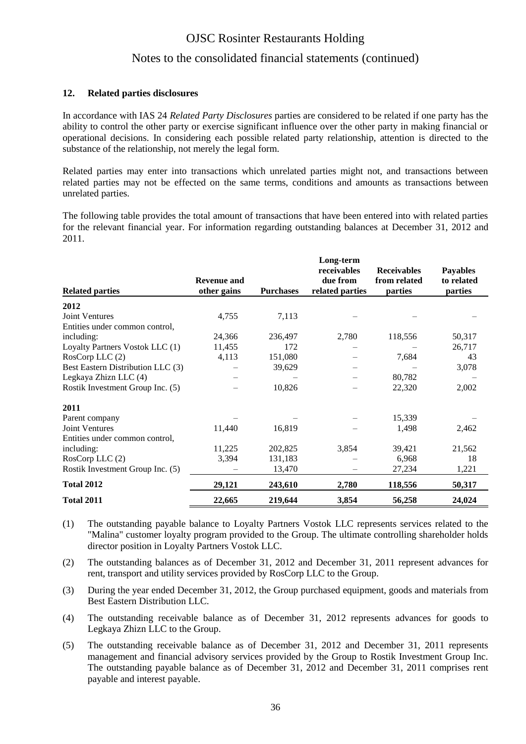# Notes to the consolidated financial statements (continued)

## **12. Related parties disclosures**

In accordance with IAS 24 *Related Party Disclosures* parties are considered to be related if one party has the ability to control the other party or exercise significant influence over the other party in making financial or operational decisions. In considering each possible related party relationship, attention is directed to the substance of the relationship, not merely the legal form.

Related parties may enter into transactions which unrelated parties might not, and transactions between related parties may not be effected on the same terms, conditions and amounts as transactions between unrelated parties.

The following table provides the total amount of transactions that have been entered into with related parties for the relevant financial year. For information regarding outstanding balances at December 31, 2012 and 2011.

| <b>Related parties</b>            | <b>Revenue and</b><br>other gains | <b>Purchases</b> | Long-term<br>receivables<br>due from<br>related parties | <b>Receivables</b><br>from related<br>parties | <b>Payables</b><br>to related<br>parties |
|-----------------------------------|-----------------------------------|------------------|---------------------------------------------------------|-----------------------------------------------|------------------------------------------|
| 2012                              |                                   |                  |                                                         |                                               |                                          |
| <b>Joint Ventures</b>             | 4,755                             | 7,113            |                                                         |                                               |                                          |
| Entities under common control,    |                                   |                  |                                                         |                                               |                                          |
| including:                        | 24,366                            | 236,497          | 2,780                                                   | 118,556                                       | 50,317                                   |
| Loyalty Partners Vostok LLC (1)   | 11,455                            | 172              |                                                         |                                               | 26,717                                   |
| RosCorp LLC (2)                   | 4,113                             | 151,080          |                                                         | 7,684                                         | 43                                       |
| Best Eastern Distribution LLC (3) |                                   | 39,629           |                                                         |                                               | 3,078                                    |
| Legkaya Zhizn LLC (4)             |                                   |                  |                                                         | 80,782                                        |                                          |
| Rostik Investment Group Inc. (5)  |                                   | 10,826           |                                                         | 22,320                                        | 2,002                                    |
| 2011                              |                                   |                  |                                                         |                                               |                                          |
| Parent company                    |                                   |                  |                                                         | 15,339                                        |                                          |
| <b>Joint Ventures</b>             | 11,440                            | 16,819           |                                                         | 1,498                                         | 2,462                                    |
| Entities under common control,    |                                   |                  |                                                         |                                               |                                          |
| including:                        | 11,225                            | 202,825          | 3,854                                                   | 39,421                                        | 21,562                                   |
| RosCorp LLC(2)                    | 3,394                             | 131,183          |                                                         | 6,968                                         | 18                                       |
| Rostik Investment Group Inc. (5)  |                                   | 13,470           |                                                         | 27,234                                        | 1,221                                    |
| <b>Total 2012</b>                 | 29,121                            | 243,610          | 2,780                                                   | 118,556                                       | 50,317                                   |
| <b>Total 2011</b>                 | 22,665                            | 219,644          | 3,854                                                   | 56,258                                        | 24,024                                   |

(1) The outstanding payable balance to Loyalty Partners Vostok LLC represents services related to the "Malina" customer loyalty program provided to the Group. The ultimate controlling shareholder holds director position in Loyalty Partners Vostok LLC.

(2) The outstanding balances as of December 31, 2012 and December 31, 2011 represent advances for rent, transport and utility services provided by RosCorp LLC to the Group.

- (3) During the year ended December 31, 2012, the Group purchased equipment, goods and materials from Best Eastern Distribution LLC.
- (4) The outstanding receivable balance as of December 31, 2012 represents advances for goods to Legkaya Zhizn LLC to the Group.
- (5) The outstanding receivable balance as of December 31, 2012 and December 31, 2011 represents management and financial advisory services provided by the Group to Rostik Investment Group Inc. The outstanding payable balance as of December 31, 2012 and December 31, 2011 comprises rent payable and interest payable.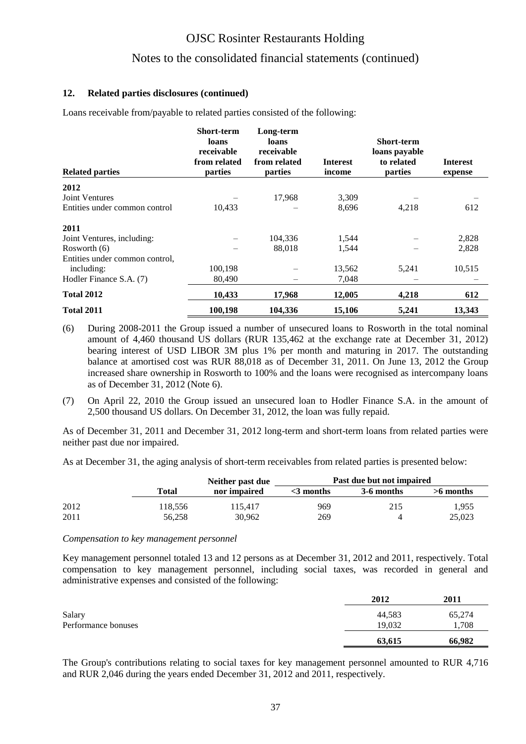# Notes to the consolidated financial statements (continued)

# **12. Related parties disclosures (continued)**

Loans receivable from/payable to related parties consisted of the following:

| <b>Related parties</b>         | <b>Short-term</b><br>loans<br>receivable<br>from related<br>parties | Long-term<br>loans<br>receivable<br>from related<br>parties | <b>Interest</b><br>income | <b>Short-term</b><br>loans payable<br>to related<br>parties | <b>Interest</b><br>expense |
|--------------------------------|---------------------------------------------------------------------|-------------------------------------------------------------|---------------------------|-------------------------------------------------------------|----------------------------|
| 2012                           |                                                                     |                                                             |                           |                                                             |                            |
| <b>Joint Ventures</b>          |                                                                     | 17,968                                                      | 3,309                     |                                                             |                            |
| Entities under common control  | 10,433                                                              |                                                             | 8,696                     | 4,218                                                       | 612                        |
| 2011                           |                                                                     |                                                             |                           |                                                             |                            |
| Joint Ventures, including:     |                                                                     | 104,336                                                     | 1,544                     |                                                             | 2,828                      |
| Rosworth (6)                   |                                                                     | 88,018                                                      | 1,544                     |                                                             | 2,828                      |
| Entities under common control, |                                                                     |                                                             |                           |                                                             |                            |
| including:                     | 100,198                                                             |                                                             | 13,562                    | 5,241                                                       | 10,515                     |
| Hodler Finance S.A. (7)        | 80,490                                                              |                                                             | 7,048                     |                                                             |                            |
| <b>Total 2012</b>              | 10,433                                                              | 17,968                                                      | 12,005                    | 4,218                                                       | 612                        |
| Total 2011                     | 100,198                                                             | 104,336                                                     | 15,106                    | 5,241                                                       | 13,343                     |

(6) During 2008-2011 the Group issued a number of unsecured loans to Rosworth in the total nominal amount of 4,460 thousand US dollars (RUR 135,462 at the exchange rate at December 31, 2012) bearing interest of USD LIBOR 3M plus 1% per month and maturing in 2017. The outstanding balance at amortised cost was RUR 88,018 as of December 31, 2011. On June 13, 2012 the Group increased share ownership in Rosworth to 100% and the loans were recognised as intercompany loans as of December 31, 2012 (Note 6).

(7) On April 22, 2010 the Group issued an unsecured loan to Hodler Finance S.A. in the amount of 2,500 thousand US dollars. On December 31, 2012, the loan was fully repaid.

As of December 31, 2011 and December 31, 2012 long-term and short-term loans from related parties were neither past due nor impaired.

As at December 31, the aging analysis of short-term receivables from related parties is presented below:

|              |                   | Neither past due  |              | Past due but not impaired |                 |
|--------------|-------------------|-------------------|--------------|---------------------------|-----------------|
|              | Total             | nor impaired      | $<$ 3 months | 3-6 months                | $>6$ months     |
| 2012<br>2011 | 118.556<br>56.258 | 115,417<br>30.962 | 969<br>269   | 215                       | 1.955<br>25.023 |

*Compensation to key management personnel*

Key management personnel totaled 13 and 12 persons as at December 31, 2012 and 2011, respectively. Total compensation to key management personnel, including social taxes, was recorded in general and administrative expenses and consisted of the following:

|                     | 2012   | 2011   |
|---------------------|--------|--------|
| Salary              | 44,583 | 65,274 |
| Performance bonuses | 19,032 | 1,708  |
|                     | 63,615 | 66,982 |

The Group's contributions relating to social taxes for key management personnel amounted to RUR 4,716 and RUR 2,046 during the years ended December 31, 2012 and 2011, respectively.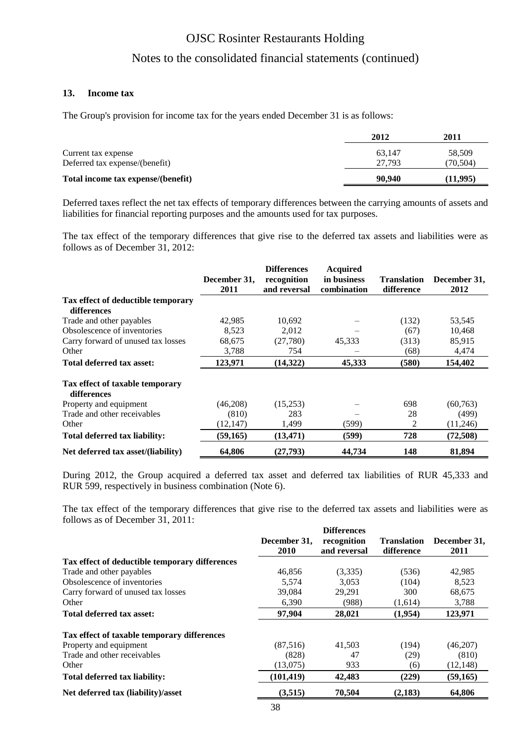# **13. Income tax**

The Group's provision for income tax for the years ended December 31 is as follows:

|                                    | 2012   | 2011     |
|------------------------------------|--------|----------|
| Current tax expense                | 63.147 | 58.509   |
| Deferred tax expense/(benefit)     | 27.793 | (70.504) |
| Total income tax expense/(benefit) | 90,940 | (11,995) |

Deferred taxes reflect the net tax effects of temporary differences between the carrying amounts of assets and liabilities for financial reporting purposes and the amounts used for tax purposes.

The tax effect of the temporary differences that give rise to the deferred tax assets and liabilities were as follows as of December 31, 2012:

|                                                | December 31,<br>2011 | <b>Differences</b><br>recognition<br>and reversal | <b>Acquired</b><br>in business<br>combination | <b>Translation</b><br>difference | December 31,<br>2012 |
|------------------------------------------------|----------------------|---------------------------------------------------|-----------------------------------------------|----------------------------------|----------------------|
| Tax effect of deductible temporary             |                      |                                                   |                                               |                                  |                      |
| differences                                    |                      |                                                   |                                               |                                  |                      |
| Trade and other payables                       | 42,985               | 10,692                                            |                                               | (132)                            | 53,545               |
| Obsolescence of inventories                    | 8,523                | 2,012                                             |                                               | (67)                             | 10,468               |
| Carry forward of unused tax losses             | 68,675               | (27,780)                                          | 45,333                                        | (313)                            | 85,915               |
| Other                                          | 3.788                | 754                                               |                                               | (68)                             | 4,474                |
| Total deferred tax asset:                      | 123,971              | (14, 322)                                         | 45,333                                        | (580)                            | 154,402              |
| Tax effect of taxable temporary<br>differences |                      |                                                   |                                               |                                  |                      |
| Property and equipment                         | (46,208)             | (15,253)                                          |                                               | 698                              | (60, 763)            |
| Trade and other receivables                    | (810)                | 283                                               |                                               | 28                               | (499)                |
| Other                                          | (12, 147)            | 1,499                                             | (599)                                         | 2                                | (11,246)             |
| Total deferred tax liability:                  | (59, 165)            | (13, 471)                                         | (599)                                         | 728                              | (72, 508)            |
| Net deferred tax asset/(liability)             | 64,806               | (27, 793)                                         | 44,734                                        | 148                              | 81,894               |

During 2012, the Group acquired a deferred tax asset and deferred tax liabilities of RUR 45,333 and RUR 599, respectively in business combination (Note 6).

The tax effect of the temporary differences that give rise to the deferred tax assets and liabilities were as follows as of December 31, 2011:

|                                                |              | <b>Differences</b> |                    |              |
|------------------------------------------------|--------------|--------------------|--------------------|--------------|
|                                                | December 31, | recognition        | <b>Translation</b> | December 31, |
|                                                | 2010         | and reversal       | difference         | 2011         |
| Tax effect of deductible temporary differences |              |                    |                    |              |
| Trade and other payables                       | 46,856       | (3,335)            | (536)              | 42,985       |
| Obsolescence of inventories                    | 5,574        | 3.053              | (104)              | 8,523        |
| Carry forward of unused tax losses             | 39,084       | 29,291             | 300                | 68,675       |
| Other                                          | 6,390        | (988)              | (1,614)            | 3,788        |
| Total deferred tax asset:                      | 97,904       | 28,021             | (1,954)            | 123,971      |
| Tax effect of taxable temporary differences    |              |                    |                    |              |
| Property and equipment                         | (87,516)     | 41,503             | (194)              | (46,207)     |
| Trade and other receivables                    | (828)        | 47                 | (29)               | (810)        |
| Other                                          | (13,075)     | 933                | (6)                | (12, 148)    |
| Total deferred tax liability:                  | (101, 419)   | 42,483             | (229)              | (59, 165)    |
| Net deferred tax (liability)/asset             | (3,515)      | 70,504             | (2, 183)           | 64,806       |
|                                                |              |                    |                    |              |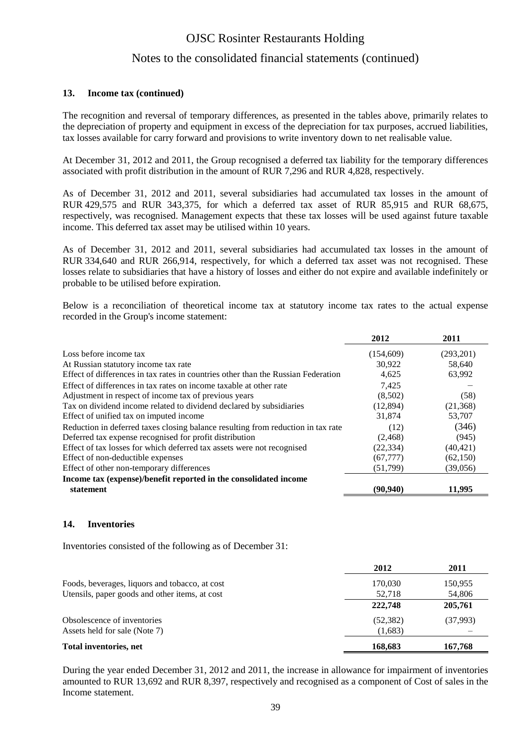## **13. Income tax (continued)**

The recognition and reversal of temporary differences, as presented in the tables above, primarily relates to the depreciation of property and equipment in excess of the depreciation for tax purposes, accrued liabilities, tax losses available for carry forward and provisions to write inventory down to net realisable value.

At December 31, 2012 and 2011, the Group recognised a deferred tax liability for the temporary differences associated with profit distribution in the amount of RUR 7,296 and RUR 4,828, respectively.

As of December 31, 2012 and 2011, several subsidiaries had accumulated tax losses in the amount of RUR 429,575 and RUR 343,375, for which a deferred tax asset of RUR 85,915 and RUR 68,675, respectively, was recognised. Management expects that these tax losses will be used against future taxable income. This deferred tax asset may be utilised within 10 years.

As of December 31, 2012 and 2011, several subsidiaries had accumulated tax losses in the amount of RUR 334,640 and RUR 266,914, respectively, for which a deferred tax asset was not recognised. These losses relate to subsidiaries that have a history of losses and either do not expire and available indefinitely or probable to be utilised before expiration.

Below is a reconciliation of theoretical income tax at statutory income tax rates to the actual expense recorded in the Group's income statement:

|                                                                                   | 2012      | 2011      |
|-----------------------------------------------------------------------------------|-----------|-----------|
| Loss before income tax                                                            | (154,609) | (293,201) |
| At Russian statutory income tax rate                                              | 30,922    | 58,640    |
| Effect of differences in tax rates in countries other than the Russian Federation | 4,625     | 63,992    |
| Effect of differences in tax rates on income taxable at other rate                | 7.425     |           |
| Adjustment in respect of income tax of previous years                             | (8,502)   | (58)      |
| Tax on dividend income related to dividend declared by subsidiaries               | (12, 894) | (21, 368) |
| Effect of unified tax on imputed income                                           | 31,874    | 53,707    |
| Reduction in deferred taxes closing balance resulting from reduction in tax rate  | (12)      | (346)     |
| Deferred tax expense recognised for profit distribution                           | (2,468)   | (945)     |
| Effect of tax losses for which deferred tax assets were not recognised            | (22, 334) | (40, 421) |
| Effect of non-deductible expenses                                                 | (67, 777) | (62, 150) |
| Effect of other non-temporary differences                                         | (51, 799) | (39,056)  |
| Income tax (expense)/benefit reported in the consolidated income                  |           |           |
| statement                                                                         | (90, 940) | 11,995    |

### **14. Inventories**

Inventories consisted of the following as of December 31:

|                                                | 2012      | 2011     |
|------------------------------------------------|-----------|----------|
| Foods, beverages, liquors and tobacco, at cost | 170,030   | 150,955  |
| Utensils, paper goods and other items, at cost | 52.718    | 54,806   |
|                                                | 222,748   | 205,761  |
| Obsolescence of inventories                    | (52, 382) | (37,993) |
| Assets held for sale (Note 7)                  | (1,683)   |          |
| Total inventories, net                         | 168,683   | 167,768  |

During the year ended December 31, 2012 and 2011, the increase in allowance for impairment of inventories amounted to RUR 13,692 and RUR 8,397, respectively and recognised as a component of Cost of sales in the Income statement.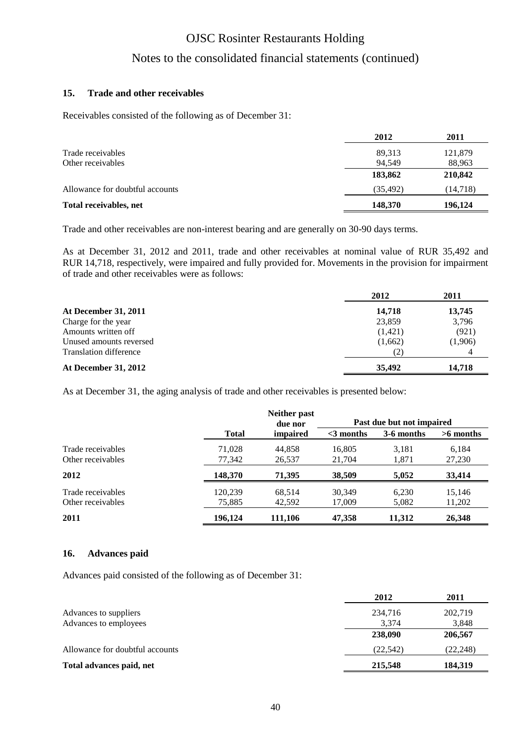# Notes to the consolidated financial statements (continued)

# **15. Trade and other receivables**

Receivables consisted of the following as of December 31:

|                                 | 2012      | 2011      |
|---------------------------------|-----------|-----------|
| Trade receivables               | 89.313    | 121,879   |
| Other receivables               | 94.549    | 88,963    |
|                                 | 183,862   | 210,842   |
| Allowance for doubtful accounts | (35, 492) | (14, 718) |
| Total receivables, net          | 148,370   | 196,124   |

Trade and other receivables are non-interest bearing and are generally on 30-90 days terms.

As at December 31, 2012 and 2011, trade and other receivables at nominal value of RUR 35,492 and RUR 14,718, respectively, were impaired and fully provided for. Movements in the provision for impairment of trade and other receivables were as follows:

|                               | 2012    | 2011    |
|-------------------------------|---------|---------|
| <b>At December 31, 2011</b>   | 14,718  | 13,745  |
| Charge for the year           | 23,859  | 3,796   |
| Amounts written off           | (1,421) | (921)   |
| Unused amounts reversed       | (1,662) | (1,906) |
| <b>Translation difference</b> | (2)     |         |
| <b>At December 31, 2012</b>   | 35,492  | 14.718  |

As at December 31, the aging analysis of trade and other receivables is presented below:

|                   |              | Neither past<br>due nor |              | Past due but not impaired |             |
|-------------------|--------------|-------------------------|--------------|---------------------------|-------------|
|                   | <b>Total</b> | impaired                | $<$ 3 months | 3-6 months                | $>6$ months |
| Trade receivables | 71,028       | 44.858                  | 16,805       | 3.181                     | 6,184       |
| Other receivables | 77,342       | 26,537                  | 21,704       | 1,871                     | 27,230      |
| 2012              | 148,370      | 71.395                  | 38,509       | 5.052                     | 33,414      |
| Trade receivables | 120.239      | 68.514                  | 30,349       | 6,230                     | 15,146      |
| Other receivables | 75,885       | 42,592                  | 17,009       | 5,082                     | 11,202      |
| 2011              | 196.124      | 111.106                 | 47,358       | 11.312                    | 26,348      |

### **16. Advances paid**

Advances paid consisted of the following as of December 31:

|                                 | 2012     | 2011      |
|---------------------------------|----------|-----------|
| Advances to suppliers           | 234,716  | 202,719   |
| Advances to employees           | 3,374    | 3,848     |
|                                 | 238,090  | 206,567   |
| Allowance for doubtful accounts | (22.542) | (22, 248) |
| Total advances paid, net        | 215,548  | 184,319   |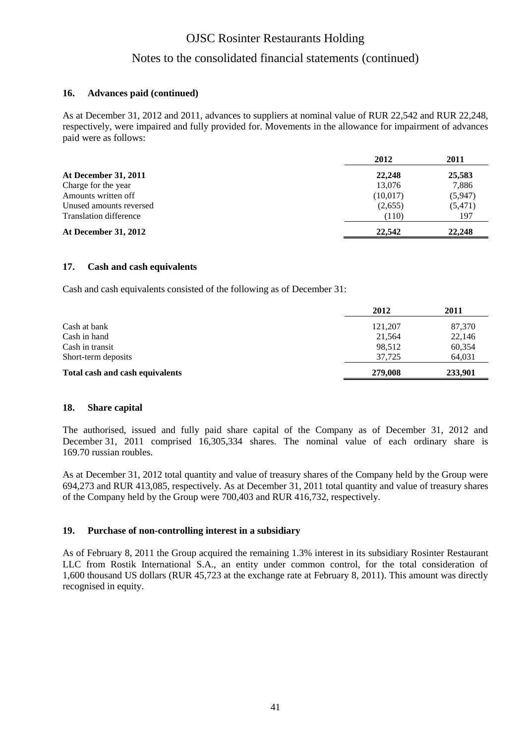## **16. Advances paid (continued)**

As at December 31, 2012 and 2011, advances to suppliers at nominal value of RUR 22,542 and RUR 22,248, respectively, were impaired and fully provided for. Movements in the allowance for impairment of advances paid were as follows:

|                             | 2012     | 2011     |
|-----------------------------|----------|----------|
| <b>At December 31, 2011</b> | 22,248   | 25,583   |
| Charge for the year         | 13,076   | 7,886    |
| Amounts written off         | (10,017) | (5,947)  |
| Unused amounts reversed     | (2,655)  | (5, 471) |
| Translation difference      | (110)    | 197      |
| <b>At December 31, 2012</b> | 22,542   | 22,248   |

## **17. Cash and cash equivalents**

Cash and cash equivalents consisted of the following as of December 31:

|                                 | 2012    | 2011    |
|---------------------------------|---------|---------|
| Cash at bank                    | 121,207 | 87,370  |
| Cash in hand                    | 21,564  | 22,146  |
| Cash in transit                 | 98,512  | 60,354  |
| Short-term deposits             | 37.725  | 64,031  |
| Total cash and cash equivalents | 279,008 | 233,901 |

### **18. Share capital**

The authorised, issued and fully paid share capital of the Company as of December 31, 2012 and December 31, 2011 comprised 16,305,334 shares. The nominal value of each ordinary share is 169.70 russian roubles.

As at December 31, 2012 total quantity and value of treasury shares of the Company held by the Group were 694,273 and RUR 413,085, respectively. As at December 31, 2011 total quantity and value of treasury shares of the Company held by the Group were 700,403 and RUR 416,732, respectively.

### **19. Purchase of non-controlling interest in a subsidiary**

As of February 8, 2011 the Group acquired the remaining 1.3% interest in its subsidiary Rosinter Restaurant LLC from Rostik International S.A., an entity under common control, for the total consideration of 1,600 thousand US dollars (RUR 45,723 at the exchange rate at February 8, 2011). This amount was directly recognised in equity.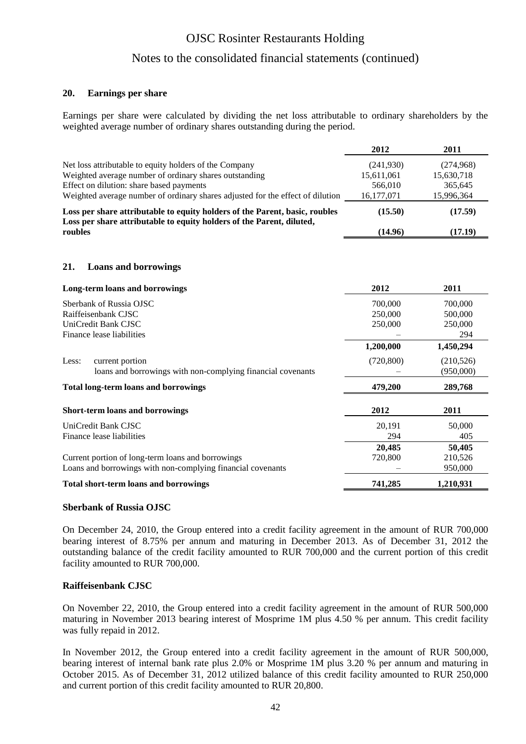## **20. Earnings per share**

Earnings per share were calculated by dividing the net loss attributable to ordinary shareholders by the weighted average number of ordinary shares outstanding during the period.

|                                                                                                                                                      | 2012         | 2011       |
|------------------------------------------------------------------------------------------------------------------------------------------------------|--------------|------------|
| Net loss attributable to equity holders of the Company                                                                                               | (241,930)    | (274,968)  |
| Weighted average number of ordinary shares outstanding                                                                                               | 15,611,061   | 15,630,718 |
| Effect on dilution: share based payments                                                                                                             | 566,010      | 365.645    |
| Weighted average number of ordinary shares adjusted for the effect of dilution                                                                       | 16, 177, 071 | 15,996,364 |
| Loss per share attributable to equity holders of the Parent, basic, roubles<br>Loss per share attributable to equity holders of the Parent, diluted, | (15.50)      | (17.59)    |
| roubles                                                                                                                                              | (14.96)      | (17.19)    |

#### **21. Loans and borrowings**

| Long-term loans and borrowings                              | 2012       | 2011       |
|-------------------------------------------------------------|------------|------------|
| Sherbank of Russia OJSC                                     | 700,000    | 700,000    |
| Raiffeisenbank CJSC                                         | 250,000    | 500,000    |
| UniCredit Bank CJSC                                         | 250,000    | 250,000    |
| Finance lease liabilities                                   |            | 294        |
|                                                             | 1,200,000  | 1,450,294  |
| Less:<br>current portion                                    | (720, 800) | (210, 526) |
| loans and borrowings with non-complying financial covenants |            | (950,000)  |
| <b>Total long-term loans and borrowings</b>                 | 479,200    | 289,768    |
| <b>Short-term loans and borrowings</b>                      | 2012       | 2011       |
| UniCredit Bank CJSC                                         | 20,191     | 50,000     |
| Finance lease liabilities                                   | 294        | 405        |
|                                                             | 20,485     | 50,405     |
| Current portion of long-term loans and borrowings           | 720,800    | 210,526    |
| Loans and borrowings with non-complying financial covenants |            | 950,000    |
| <b>Total short-term loans and borrowings</b>                | 741,285    | 1,210,931  |

#### **Sberbank of Russia OJSC**

On December 24, 2010, the Group entered into a credit facility agreement in the amount of RUR 700,000 bearing interest of 8.75% per annum and maturing in December 2013. As of December 31, 2012 the outstanding balance of the credit facility amounted to RUR 700,000 and the current portion of this credit facility amounted to RUR 700,000.

### **Raiffeisenbank CJSC**

On November 22, 2010, the Group entered into a credit facility agreement in the amount of RUR 500,000 maturing in November 2013 bearing interest of Mosprime 1M plus 4.50 % per annum. This credit facility was fully repaid in 2012.

In November 2012, the Group entered into a credit facility agreement in the amount of RUR 500,000, bearing interest of internal bank rate plus 2.0% or Mosprime 1M plus 3.20 % per annum and maturing in October 2015. As of December 31, 2012 utilized balance of this credit facility amounted to RUR 250,000 and current portion of this credit facility amounted to RUR 20,800.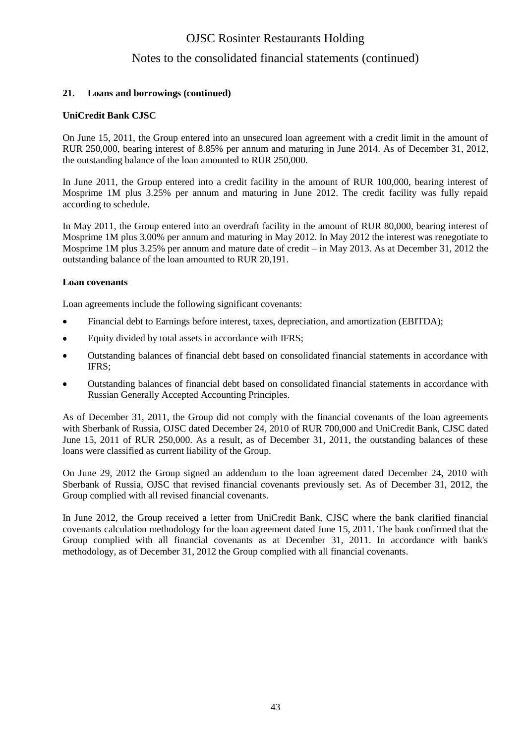# Notes to the consolidated financial statements (continued)

# **21. Loans and borrowings (continued)**

# **UniCredit Bank CJSC**

On June 15, 2011, the Group entered into an unsecured loan agreement with a credit limit in the amount of RUR 250,000, bearing interest of 8.85% per annum and maturing in June 2014. As of December 31, 2012, the outstanding balance of the loan amounted to RUR 250,000.

In June 2011, the Group entered into a credit facility in the amount of RUR 100,000, bearing interest of Mosprime 1M plus 3.25% per annum and maturing in June 2012. The credit facility was fully repaid according to schedule.

In May 2011, the Group entered into an overdraft facility in the amount of RUR 80,000, bearing interest of Mosprime 1M plus 3.00% per annum and maturing in May 2012. In May 2012 the interest was renegotiate to Mosprime 1M plus 3.25% per annum and mature date of credit – in May 2013. As at December 31, 2012 the outstanding balance of the loan amounted to RUR 20,191.

### **Loan covenants**

Loan agreements include the following significant covenants:

- Financial debt to Earnings before interest, taxes, depreciation, and amortization (EBITDA);  $\bullet$
- Equity divided by total assets in accordance with IFRS;  $\bullet$
- Outstanding balances of financial debt based on consolidated financial statements in accordance with  $\bullet$ IFRS;
- Outstanding balances of financial debt based on consolidated financial statements in accordance with Russian Generally Accepted Accounting Principles.

As of December 31, 2011, the Group did not comply with the financial covenants of the loan agreements with Sberbank of Russia, OJSC dated December 24, 2010 of RUR 700,000 and UniCredit Bank, CJSC dated June 15, 2011 of RUR 250,000. As a result, as of December 31, 2011, the outstanding balances of these loans were classified as current liability of the Group.

On June 29, 2012 the Group signed an addendum to the loan agreement dated December 24, 2010 with Sberbank of Russia, OJSC that revised financial covenants previously set. As of December 31, 2012, the Group complied with all revised financial covenants.

In June 2012, the Group received a letter from UniCredit Bank, CJSC where the bank clarified financial covenants calculation methodology for the loan agreement dated June 15, 2011. The bank confirmed that the Group complied with all financial covenants as at December 31, 2011. In accordance with bank's methodology, as of December 31, 2012 the Group complied with all financial covenants.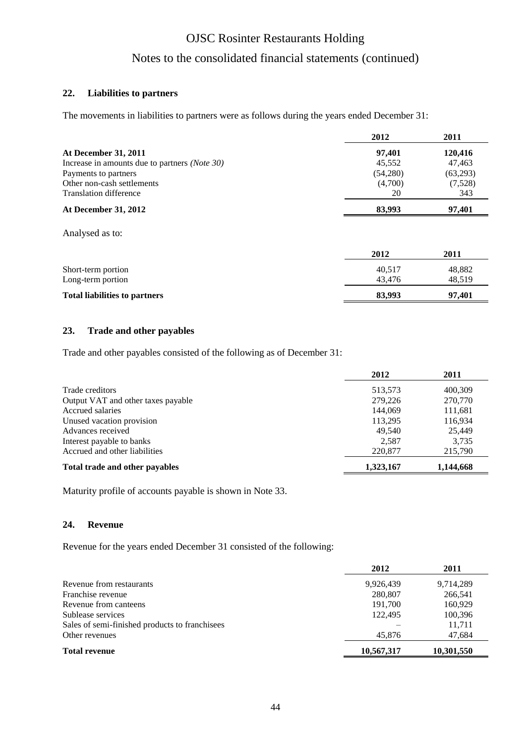# **22. Liabilities to partners**

The movements in liabilities to partners were as follows during the years ended December 31:

|                                               | 2012     | 2011     |
|-----------------------------------------------|----------|----------|
| <b>At December 31, 2011</b>                   | 97.401   | 120,416  |
| Increase in amounts due to partners (Note 30) | 45.552   | 47.463   |
| Payments to partners                          | (54,280) | (63,293) |
| Other non-cash settlements                    | (4,700)  | (7,528)  |
| <b>Translation difference</b>                 | 20       | 343      |
| <b>At December 31, 2012</b>                   | 83,993   | 97.401   |

Analysed as to:

|                                      | 2012   | 2011   |
|--------------------------------------|--------|--------|
| Short-term portion                   | 40.517 | 48,882 |
| Long-term portion                    | 43.476 | 48.519 |
| <b>Total liabilities to partners</b> | 83,993 | 97.401 |

# **23. Trade and other payables**

Trade and other payables consisted of the following as of December 31:

|                                    | 2012      | 2011      |
|------------------------------------|-----------|-----------|
| Trade creditors                    | 513,573   | 400,309   |
| Output VAT and other taxes payable | 279,226   | 270,770   |
| Accrued salaries                   | 144,069   | 111,681   |
| Unused vacation provision          | 113,295   | 116,934   |
| Advances received                  | 49.540    | 25,449    |
| Interest payable to banks          | 2,587     | 3,735     |
| Accrued and other liabilities      | 220,877   | 215,790   |
| Total trade and other payables     | 1,323,167 | 1,144,668 |

Maturity profile of accounts payable is shown in Note 33.

## **24. Revenue**

Revenue for the years ended December 31 consisted of the following:

|                                                | 2012       | 2011       |
|------------------------------------------------|------------|------------|
| Revenue from restaurants                       | 9,926,439  | 9,714,289  |
| Franchise revenue                              | 280,807    | 266,541    |
| Revenue from canteens                          | 191.700    | 160.929    |
| Sublease services                              | 122,495    | 100,396    |
| Sales of semi-finished products to franchisees |            | 11.711     |
| Other revenues                                 | 45,876     | 47,684     |
| <b>Total revenue</b>                           | 10,567,317 | 10,301,550 |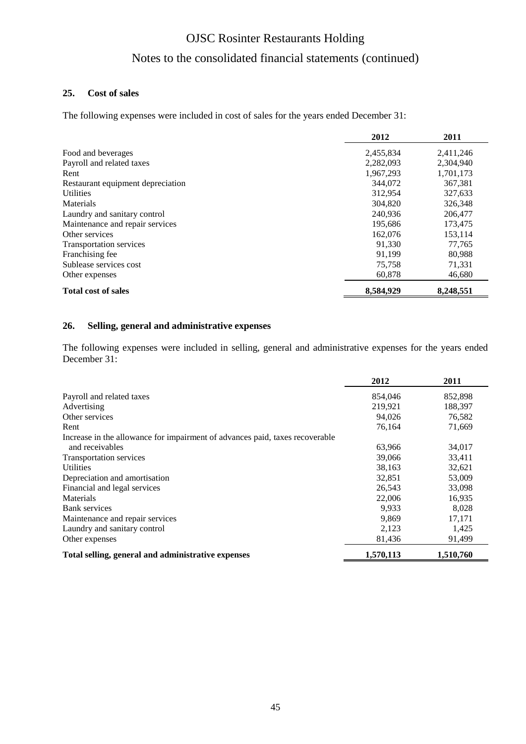# **25. Cost of sales**

The following expenses were included in cost of sales for the years ended December 31:

|                                   | 2012      | 2011      |
|-----------------------------------|-----------|-----------|
| Food and beverages                | 2,455,834 | 2,411,246 |
| Payroll and related taxes         | 2,282,093 | 2,304,940 |
| Rent                              | 1,967,293 | 1,701,173 |
| Restaurant equipment depreciation | 344,072   | 367,381   |
| <b>Utilities</b>                  | 312,954   | 327,633   |
| Materials                         | 304,820   | 326,348   |
| Laundry and sanitary control      | 240,936   | 206,477   |
| Maintenance and repair services   | 195,686   | 173,475   |
| Other services                    | 162,076   | 153,114   |
| <b>Transportation services</b>    | 91.330    | 77.765    |
| Franchising fee                   | 91,199    | 80,988    |
| Sublease services cost            | 75,758    | 71,331    |
| Other expenses                    | 60,878    | 46,680    |
| <b>Total cost of sales</b>        | 8,584,929 | 8,248,551 |

# **26. Selling, general and administrative expenses**

The following expenses were included in selling, general and administrative expenses for the years ended December 31:

|                                                                                                 | 2012      | 2011      |
|-------------------------------------------------------------------------------------------------|-----------|-----------|
| Payroll and related taxes                                                                       | 854,046   | 852,898   |
| Advertising                                                                                     | 219,921   | 188,397   |
| Other services                                                                                  | 94,026    | 76,582    |
| Rent                                                                                            | 76,164    | 71,669    |
| Increase in the allowance for impairment of advances paid, taxes recoverable<br>and receivables | 63,966    | 34,017    |
| Transportation services                                                                         | 39,066    | 33,411    |
| <b>Utilities</b>                                                                                | 38,163    | 32,621    |
| Depreciation and amortisation                                                                   | 32,851    | 53,009    |
| Financial and legal services                                                                    | 26,543    | 33,098    |
| <b>Materials</b>                                                                                | 22,006    | 16,935    |
| <b>Bank services</b>                                                                            | 9,933     | 8,028     |
| Maintenance and repair services                                                                 | 9,869     | 17,171    |
| Laundry and sanitary control                                                                    | 2,123     | 1,425     |
| Other expenses                                                                                  | 81,436    | 91,499    |
| Total selling, general and administrative expenses                                              | 1,570,113 | 1,510,760 |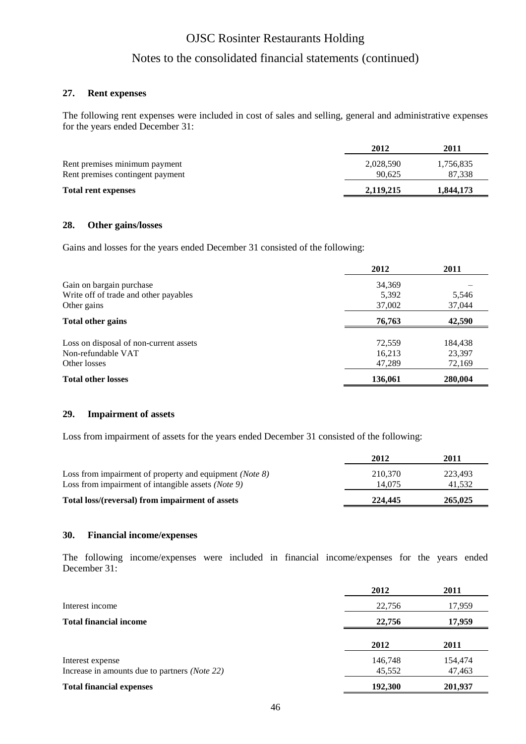# **27. Rent expenses**

The following rent expenses were included in cost of sales and selling, general and administrative expenses for the years ended December 31:

|                                  | 2012      | 2011      |
|----------------------------------|-----------|-----------|
| Rent premises minimum payment    | 2,028,590 | 1,756,835 |
| Rent premises contingent payment | 90.625    | 87.338    |
| <b>Total rent expenses</b>       | 2,119,215 | 1,844,173 |

## **28. Other gains/losses**

Gains and losses for the years ended December 31 consisted of the following:

|                                        | 2012    | 2011    |
|----------------------------------------|---------|---------|
| Gain on bargain purchase               | 34,369  |         |
| Write off of trade and other payables  | 5,392   | 5,546   |
| Other gains                            | 37,002  | 37,044  |
| <b>Total other gains</b>               | 76,763  | 42,590  |
| Loss on disposal of non-current assets | 72,559  | 184,438 |
| Non-refundable VAT                     | 16.213  | 23,397  |
| Other losses                           | 47,289  | 72,169  |
| <b>Total other losses</b>              | 136,061 | 280,004 |

### **29. Impairment of assets**

Loss from impairment of assets for the years ended December 31 consisted of the following:

|                                                                                                                               | 2012              | 2011              |
|-------------------------------------------------------------------------------------------------------------------------------|-------------------|-------------------|
| Loss from impairment of property and equipment ( <i>Note 8</i> )<br>Loss from impairment of intangible assets <i>(Note 9)</i> | 210,370<br>14.075 | 223,493<br>41.532 |
| Total loss/(reversal) from impairment of assets                                                                               | 224,445           | 265,025           |

## **30. Financial income/expenses**

The following income/expenses were included in financial income/expenses for the years ended December 31:

|                                                                   | 2012              | 2011              |
|-------------------------------------------------------------------|-------------------|-------------------|
| Interest income                                                   | 22,756            | 17,959            |
| <b>Total financial income</b>                                     | 22,756            | 17,959            |
|                                                                   | 2012              | 2011              |
| Interest expense<br>Increase in amounts due to partners (Note 22) | 146,748<br>45,552 | 154,474<br>47,463 |
| <b>Total financial expenses</b>                                   | 192,300           | 201,937           |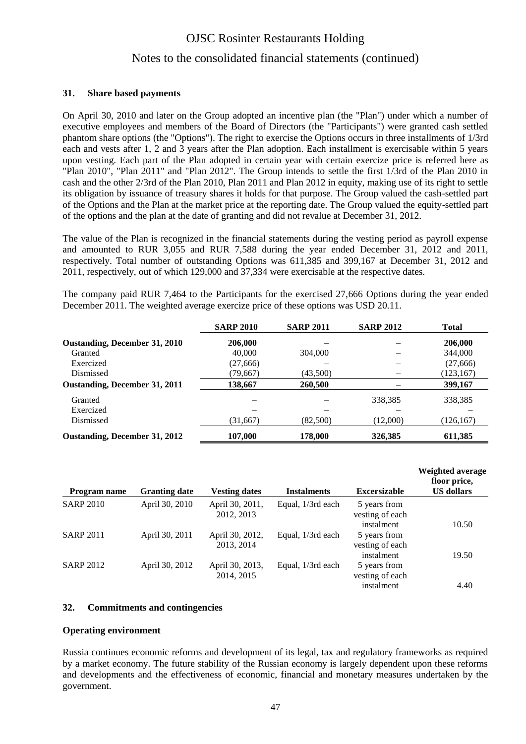# Notes to the consolidated financial statements (continued)

## **31. Share based payments**

On April 30, 2010 and later on the Group adopted an incentive plan (the "Plan") under which a number of executive employees and members of the Board of Directors (the "Participants") were granted cash settled phantom share options (the "Options"). The right to exercise the Options occurs in three installments of 1/3rd each and vests after 1, 2 and 3 years after the Plan adoption. Each installment is exercisable within 5 years upon vesting. Each part of the Plan adopted in certain year with certain exercize price is referred here as "Plan 2010", "Plan 2011" and "Plan 2012". The Group intends to settle the first 1/3rd of the Plan 2010 in cash and the other 2/3rd of the Plan 2010, Plan 2011 and Plan 2012 in equity, making use of its right to settle its obligation by issuance of treasury shares it holds for that purpose. The Group valued the cash-settled part of the Options and the Plan at the market price at the reporting date. The Group valued the equity-settled part of the options and the plan at the date of granting and did not revalue at December 31, 2012.

The value of the Plan is recognized in the financial statements during the vesting period as payroll expense and amounted to RUR 3,055 and RUR 7,588 during the year ended December 31, 2012 and 2011, respectively. Total number of outstanding Options was 611,385 and 399,167 at December 31, 2012 and 2011, respectively, out of which 129,000 and 37,334 were exercisable at the respective dates.

The company paid RUR 7,464 to the Participants for the exercised 27,666 Options during the year ended December 2011. The weighted average exercize price of these options was USD 20.11.

|                                      | <b>SARP 2010</b> | <b>SARP 2011</b> | <b>SARP 2012</b> | <b>Total</b> |
|--------------------------------------|------------------|------------------|------------------|--------------|
| <b>Oustanding, December 31, 2010</b> | 206,000          |                  |                  | 206,000      |
| Granted                              | 40,000           | 304,000          |                  | 344,000      |
| Exercized                            | (27, 666)        |                  |                  | (27, 666)    |
| Dismissed                            | (79,667)         | (43,500)         |                  | (123, 167)   |
| <b>Oustanding, December 31, 2011</b> | 138,667          | 260,500          |                  | 399,167      |
| Granted                              |                  |                  | 338,385          | 338.385      |
| Exercized                            |                  |                  |                  |              |
| Dismissed                            | (31, 667)        | (82,500)         | (12,000)         | (126, 167)   |
| <b>Oustanding, December 31, 2012</b> | 107,000          | 178,000          | 326,385          | 611,385      |

| Program name     | <b>Granting date</b> | <b>Vesting dates</b>          | <b>Instalments</b> | <b>Excersizable</b>                           | Weighted average<br>floor price,<br><b>US</b> dollars |
|------------------|----------------------|-------------------------------|--------------------|-----------------------------------------------|-------------------------------------------------------|
| <b>SARP 2010</b> | April 30, 2010       | April 30, 2011,<br>2012, 2013 | Equal, 1/3rd each  | 5 years from<br>vesting of each<br>instalment | 10.50                                                 |
| <b>SARP 2011</b> | April 30, 2011       | April 30, 2012,<br>2013, 2014 | Equal, 1/3rd each  | 5 years from<br>vesting of each<br>instalment | 19.50                                                 |
| <b>SARP 2012</b> | April 30, 2012       | April 30, 2013,<br>2014, 2015 | Equal, 1/3rd each  | 5 years from<br>vesting of each<br>instalment | 4.40                                                  |

### **32. Commitments and contingencies**

### **Operating environment**

Russia continues economic reforms and development of its legal, tax and regulatory frameworks as required by a market economy. The future stability of the Russian economy is largely dependent upon these reforms and developments and the effectiveness of economic, financial and monetary measures undertaken by the government.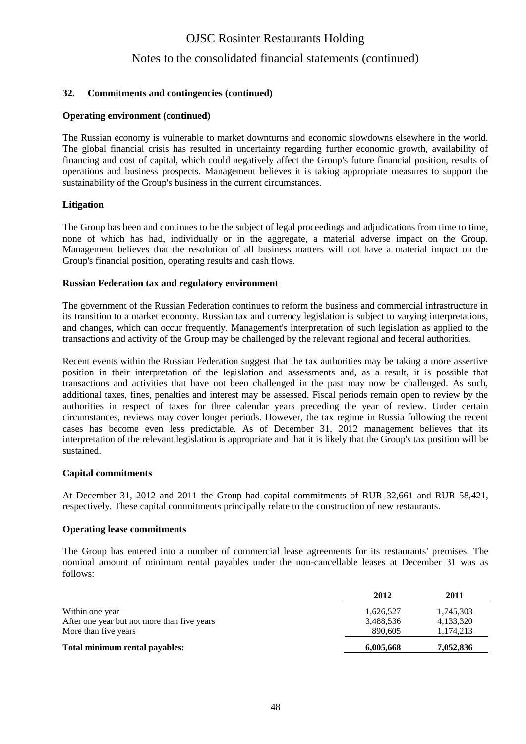## **32. Commitments and contingencies (continued)**

#### **Operating environment (continued)**

The Russian economy is vulnerable to market downturns and economic slowdowns elsewhere in the world. The global financial crisis has resulted in uncertainty regarding further economic growth, availability of financing and cost of capital, which could negatively affect the Group's future financial position, results of operations and business prospects. Management believes it is taking appropriate measures to support the sustainability of the Group's business in the current circumstances.

### **Litigation**

The Group has been and continues to be the subject of legal proceedings and adjudications from time to time, none of which has had, individually or in the aggregate, a material adverse impact on the Group. Management believes that the resolution of all business matters will not have a material impact on the Group's financial position, operating results and cash flows.

#### **Russian Federation tax and regulatory environment**

The government of the Russian Federation continues to reform the business and commercial infrastructure in its transition to a market economy. Russian tax and currency legislation is subject to varying interpretations, and changes, which can occur frequently. Management's interpretation of such legislation as applied to the transactions and activity of the Group may be challenged by the relevant regional and federal authorities.

Recent events within the Russian Federation suggest that the tax authorities may be taking a more assertive position in their interpretation of the legislation and assessments and, as a result, it is possible that transactions and activities that have not been challenged in the past may now be challenged. As such, additional taxes, fines, penalties and interest may be assessed. Fiscal periods remain open to review by the authorities in respect of taxes for three calendar years preceding the year of review. Under certain circumstances, reviews may cover longer periods. However, the tax regime in Russia following the recent cases has become even less predictable. As of December 31, 2012 management believes that its interpretation of the relevant legislation is appropriate and that it is likely that the Group's tax position will be sustained.

### **Capital commitments**

At December 31, 2012 and 2011 the Group had capital commitments of RUR 32,661 and RUR 58,421, respectively. These capital commitments principally relate to the construction of new restaurants.

#### **Operating lease commitments**

The Group has entered into a number of commercial lease agreements for its restaurants' premises. The nominal amount of minimum rental payables under the non-cancellable leases at December 31 was as follows:

|                                             | 2012      | 2011      |
|---------------------------------------------|-----------|-----------|
| Within one year                             | 1,626,527 | 1.745.303 |
| After one year but not more than five years | 3,488,536 | 4,133,320 |
| More than five years                        | 890,605   | 1,174,213 |
| Total minimum rental payables:              | 6,005,668 | 7,052,836 |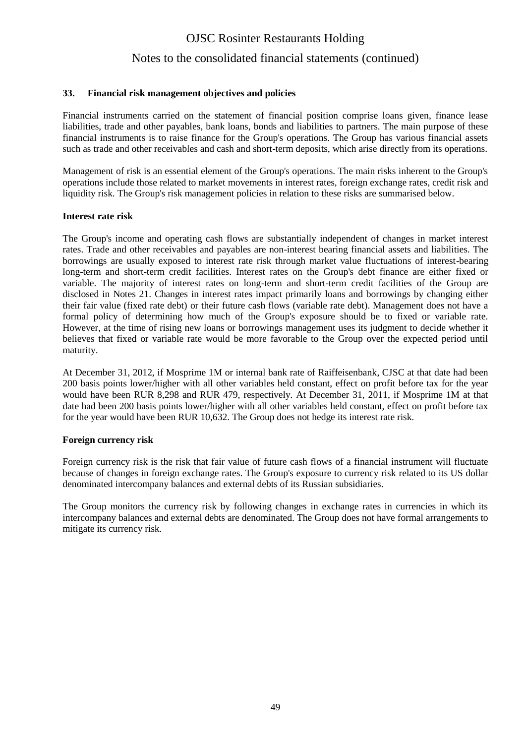## **33. Financial risk management objectives and policies**

Financial instruments carried on the statement of financial position comprise loans given, finance lease liabilities, trade and other payables, bank loans, bonds and liabilities to partners. The main purpose of these financial instruments is to raise finance for the Group's operations. The Group has various financial assets such as trade and other receivables and cash and short-term deposits, which arise directly from its operations.

Management of risk is an essential element of the Group's operations. The main risks inherent to the Group's operations include those related to market movements in interest rates, foreign exchange rates, credit risk and liquidity risk. The Group's risk management policies in relation to these risks are summarised below.

## **Interest rate risk**

The Group's income and operating cash flows are substantially independent of changes in market interest rates. Trade and other receivables and payables are non-interest bearing financial assets and liabilities. The borrowings are usually exposed to interest rate risk through market value fluctuations of interest-bearing long-term and short-term credit facilities. Interest rates on the Group's debt finance are either fixed or variable. The majority of interest rates on long-term and short-term credit facilities of the Group are disclosed in Notes 21. Changes in interest rates impact primarily loans and borrowings by changing either their fair value (fixed rate debt) or their future cash flows (variable rate debt). Management does not have a formal policy of determining how much of the Group's exposure should be to fixed or variable rate. However, at the time of rising new loans or borrowings management uses its judgment to decide whether it believes that fixed or variable rate would be more favorable to the Group over the expected period until maturity.

At December 31, 2012, if Mosprime 1M or internal bank rate of Raiffeisenbank, CJSC at that date had been 200 basis points lower/higher with all other variables held constant, effect on profit before tax for the year would have been RUR 8,298 and RUR 479, respectively. At December 31, 2011, if Mosprime 1M at that date had been 200 basis points lower/higher with all other variables held constant, effect on profit before tax for the year would have been RUR 10,632. The Group does not hedge its interest rate risk.

### **Foreign currency risk**

Foreign currency risk is the risk that fair value of future cash flows of a financial instrument will fluctuate because of changes in foreign exchange rates. The Group's exposure to currency risk related to its US dollar denominated intercompany balances and external debts of its Russian subsidiaries.

The Group monitors the currency risk by following changes in exchange rates in currencies in which its intercompany balances and external debts are denominated. The Group does not have formal arrangements to mitigate its currency risk.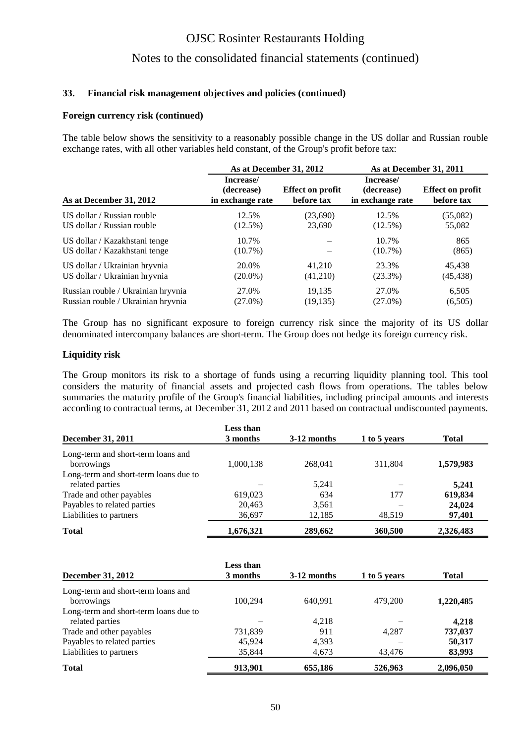# Notes to the consolidated financial statements (continued)

## **33. Financial risk management objectives and policies (continued)**

#### **Foreign currency risk (continued)**

The table below shows the sensitivity to a reasonably possible change in the US dollar and Russian rouble exchange rates, with all other variables held constant, of the Group's profit before tax:

|                                    | As at December 31, 2012                     |                                       | As at December 31, 2011                     |                                       |
|------------------------------------|---------------------------------------------|---------------------------------------|---------------------------------------------|---------------------------------------|
| As at December 31, 2012            | Increase/<br>(decrease)<br>in exchange rate | <b>Effect on profit</b><br>before tax | Increase/<br>(decrease)<br>in exchange rate | <b>Effect on profit</b><br>before tax |
| US dollar / Russian rouble         | 12.5%                                       | (23,690)                              | 12.5%                                       | (55,082)                              |
| US dollar / Russian rouble         | $(12.5\%)$                                  | 23,690                                | $(12.5\%)$                                  | 55,082                                |
| US dollar / Kazakhstani tenge      | 10.7%                                       |                                       | 10.7%                                       | 865                                   |
| US dollar / Kazakhstani tenge      | $(10.7\%)$                                  |                                       | $(10.7\%)$                                  | (865)                                 |
| US dollar / Ukrainian hryvnia      | 20.0%                                       | 41.210                                | 23.3%                                       | 45.438                                |
| US dollar / Ukrainian hryvnia      | $(20.0\%)$                                  | (41,210)                              | $(23.3\%)$                                  | (45,438)                              |
| Russian rouble / Ukrainian hryvnia | 27.0%                                       | 19.135                                | 27.0%                                       | 6,505                                 |
| Russian rouble / Ukrainian hryvnia | $(27.0\%)$                                  | (19, 135)                             | $(27.0\%)$                                  | (6,505)                               |

The Group has no significant exposure to foreign currency risk since the majority of its US dollar denominated intercompany balances are short-term. The Group does not hedge its foreign currency risk.

#### **Liquidity risk**

The Group monitors its risk to a shortage of funds using a recurring liquidity planning tool. This tool considers the maturity of financial assets and projected cash flows from operations. The tables below summaries the maturity profile of the Group's financial liabilities, including principal amounts and interests according to contractual terms, at December 31, 2012 and 2011 based on contractual undiscounted payments.

| December 31, 2011                     | Less than<br>3 months | $3-12$ months | 1 to 5 years | <b>Total</b> |
|---------------------------------------|-----------------------|---------------|--------------|--------------|
| Long-term and short-term loans and    |                       |               |              |              |
| borrowings                            | 1,000,138             | 268,041       | 311.804      | 1,579,983    |
| Long-term and short-term loans due to |                       |               |              |              |
| related parties                       |                       | 5,241         |              | 5.241        |
| Trade and other payables              | 619,023               | 634           | 177          | 619,834      |
| Payables to related parties           | 20.463                | 3,561         |              | 24,024       |
| Liabilities to partners               | 36,697                | 12,185        | 48,519       | 97,401       |
| <b>Total</b>                          | 1,676,321             | 289,662       | 360,500      | 2,326,483    |

| <b>December 31, 2012</b>              | Less than<br>3 months | $3-12$ months | 1 to 5 years | <b>Total</b> |
|---------------------------------------|-----------------------|---------------|--------------|--------------|
| Long-term and short-term loans and    |                       |               |              |              |
| borrowings                            | 100,294               | 640.991       | 479.200      | 1,220,485    |
| Long-term and short-term loans due to |                       |               |              |              |
| related parties                       |                       | 4.218         |              | 4,218        |
| Trade and other payables              | 731,839               | 911           | 4,287        | 737,037      |
| Payables to related parties           | 45.924                | 4,393         |              | 50,317       |
| Liabilities to partners               | 35,844                | 4,673         | 43.476       | 83,993       |
| <b>Total</b>                          | 913,901               | 655,186       | 526,963      | 2,096,050    |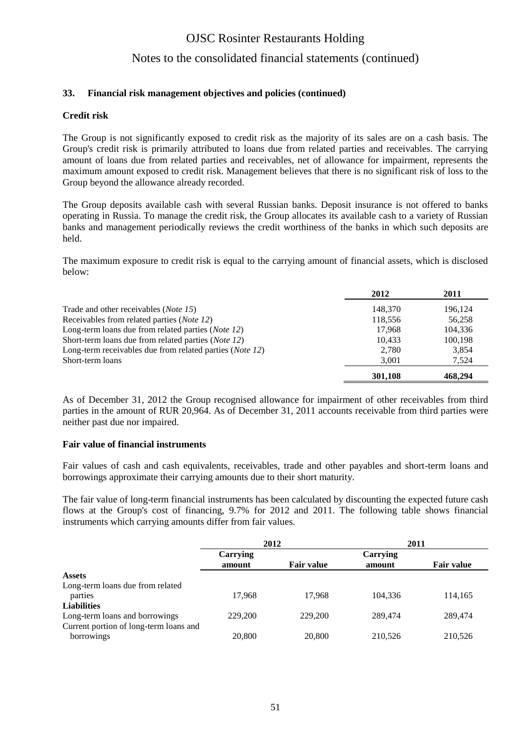# Notes to the consolidated financial statements (continued)

# **33. Financial risk management objectives and policies (continued)**

## **Credit risk**

The Group is not significantly exposed to credit risk as the majority of its sales are on a cash basis. The Group's credit risk is primarily attributed to loans due from related parties and receivables. The carrying amount of loans due from related parties and receivables, net of allowance for impairment, represents the maximum amount exposed to credit risk. Management believes that there is no significant risk of loss to the Group beyond the allowance already recorded.

The Group deposits available cash with several Russian banks. Deposit insurance is not offered to banks operating in Russia. To manage the credit risk, the Group allocates its available cash to a variety of Russian banks and management periodically reviews the credit worthiness of the banks in which such deposits are held.

The maximum exposure to credit risk is equal to the carrying amount of financial assets, which is disclosed below:

|                                                              | 2012    | 2011    |
|--------------------------------------------------------------|---------|---------|
| Trade and other receivables ( <i>Note 15</i> )               | 148,370 | 196.124 |
| Receivables from related parties ( <i>Note 12</i> )          | 118,556 | 56,258  |
| Long-term loans due from related parties ( <i>Note 12</i> )  | 17.968  | 104.336 |
| Short-term loans due from related parties ( <i>Note 12</i> ) | 10.433  | 100,198 |
| Long-term receivables due from related parties (Note 12)     | 2,780   | 3,854   |
| Short-term loans                                             | 3.001   | 7,524   |
|                                                              | 301.108 | 468.294 |

As of December 31, 2012 the Group recognised allowance for impairment of other receivables from third parties in the amount of RUR 20,964. As of December 31, 2011 accounts receivable from third parties were neither past due nor impaired.

### **Fair value of financial instruments**

Fair values of cash and cash equivalents, receivables, trade and other payables and short-term loans and borrowings approximate their carrying amounts due to their short maturity.

The fair value of long-term financial instruments has been calculated by discounting the expected future cash flows at the Group's cost of financing, 9.7% for 2012 and 2011. The following table shows financial instruments which carrying amounts differ from fair values.

|                                        | 2012               |                   | 2011               |            |
|----------------------------------------|--------------------|-------------------|--------------------|------------|
|                                        | Carrying<br>amount | <b>Fair value</b> | Carrying<br>amount | Fair value |
| <b>Assets</b>                          |                    |                   |                    |            |
| Long-term loans due from related       |                    |                   |                    |            |
| parties                                | 17,968             | 17,968            | 104.336            | 114,165    |
| <b>Liabilities</b>                     |                    |                   |                    |            |
| Long-term loans and borrowings         | 229,200            | 229,200           | 289,474            | 289,474    |
| Current portion of long-term loans and |                    |                   |                    |            |
| borrowings                             | 20,800             | 20,800            | 210,526            | 210,526    |